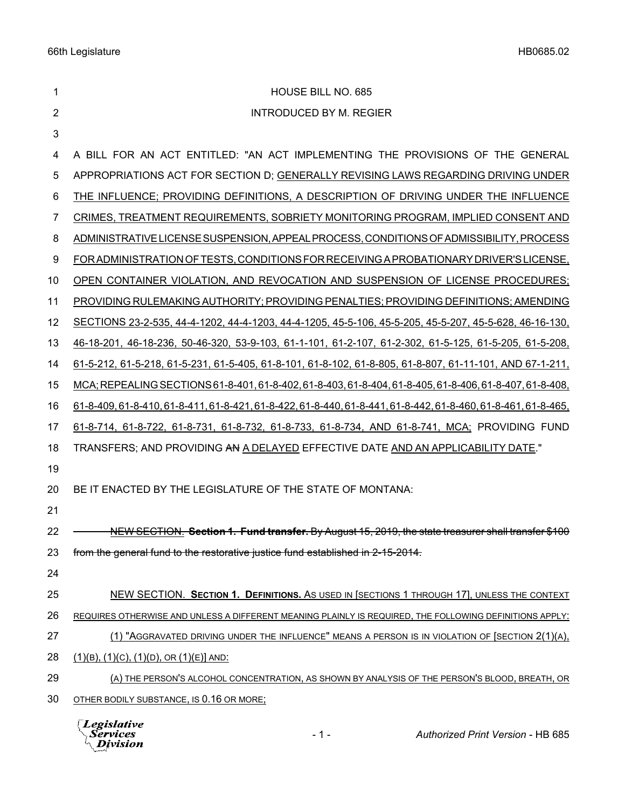| 1              | HOUSE BILL NO. 685                                                                                            |
|----------------|---------------------------------------------------------------------------------------------------------------|
| $\overline{2}$ | <b>INTRODUCED BY M. REGIER</b>                                                                                |
| $\mathbf{3}$   |                                                                                                               |
| 4              | A BILL FOR AN ACT ENTITLED: "AN ACT IMPLEMENTING THE PROVISIONS OF THE GENERAL                                |
| 5              | APPROPRIATIONS ACT FOR SECTION D; GENERALLY REVISING LAWS REGARDING DRIVING UNDER                             |
| 6              | THE INFLUENCE; PROVIDING DEFINITIONS, A DESCRIPTION OF DRIVING UNDER THE INFLUENCE                            |
| 7              | CRIMES, TREATMENT REQUIREMENTS, SOBRIETY MONITORING PROGRAM, IMPLIED CONSENT AND                              |
| 8              | ADMINISTRATIVE LICENSE SUSPENSION, APPEAL PROCESS, CONDITIONS OF ADMISSIBILITY, PROCESS                       |
| 9              | FOR ADMINISTRATION OF TESTS, CONDITIONS FOR RECEIVING A PROBATIONARY DRIVER'S LICENSE,                        |
| 10             | OPEN CONTAINER VIOLATION, AND REVOCATION AND SUSPENSION OF LICENSE PROCEDURES;                                |
| 11             | PROVIDING RULEMAKING AUTHORITY; PROVIDING PENALTIES; PROVIDING DEFINITIONS; AMENDING                          |
| 12             | SECTIONS 23-2-535, 44-4-1202, 44-4-1203, 44-4-1205, 45-5-106, 45-5-205, 45-5-207, 45-5-628, 46-16-130,        |
| 13             | 46-18-201, 46-18-236, 50-46-320, 53-9-103, 61-1-101, 61-2-107, 61-2-302, 61-5-125, 61-5-205, 61-5-208,        |
| 14             | 61-5-212, 61-5-218, 61-5-231, 61-5-405, 61-8-101, 61-8-102, 61-8-805, 61-8-807, 61-11-101, AND 67-1-211,      |
| 15             | MCA; REPEALING SECTIONS 61-8-401, 61-8-402, 61-8-403, 61-8-404, 61-8-405, 61-8-406, 61-8-407, 61-8-408,       |
| 16             | 61-8-409, 61-8-410, 61-8-411, 61-8-421, 61-8-422, 61-8-440, 61-8-441, 61-8-442, 61-8-460, 61-8-461, 61-8-465, |
| 17             | 61-8-714, 61-8-722, 61-8-731, 61-8-732, 61-8-733, 61-8-734, AND 61-8-741, MCA; PROVIDING FUND                 |
| 18             | TRANSFERS; AND PROVIDING AN A DELAYED EFFECTIVE DATE AND AN APPLICABILITY DATE."                              |
| 19             |                                                                                                               |
| 20             | BE IT ENACTED BY THE LEGISLATURE OF THE STATE OF MONTANA:                                                     |
| 21             |                                                                                                               |
| 22             | NEW SECTION. Section 1. Fund transfer. By August 15, 2019, the state treasurer shall transfer \$100           |
| 23             | from the general fund to the restorative justice fund established in 2-15-2014.                               |
| 24             |                                                                                                               |
| 25             | NEW SECTION. SECTION 1. DEFINITIONS. AS USED IN [SECTIONS 1 THROUGH 17], UNLESS THE CONTEXT                   |
| 26             | REQUIRES OTHERWISE AND UNLESS A DIFFERENT MEANING PLAINLY IS REQUIRED, THE FOLLOWING DEFINITIONS APPLY:       |
| 27             | (1) "AGGRAVATED DRIVING UNDER THE INFLUENCE" MEANS A PERSON IS IN VIOLATION OF [SECTION 2(1)(A),              |
| 28             | $(1)(B)$ , $(1)(C)$ , $(1)(D)$ , OR $(1)(E)$ AND:                                                             |
| 29             | (A) THE PERSON'S ALCOHOL CONCENTRATION, AS SHOWN BY ANALYSIS OF THE PERSON'S BLOOD, BREATH, OR                |
| 30             | OTHER BODILY SUBSTANCE, IS 0.16 OR MORE;                                                                      |
|                | $\Box$ and almost in a                                                                                        |

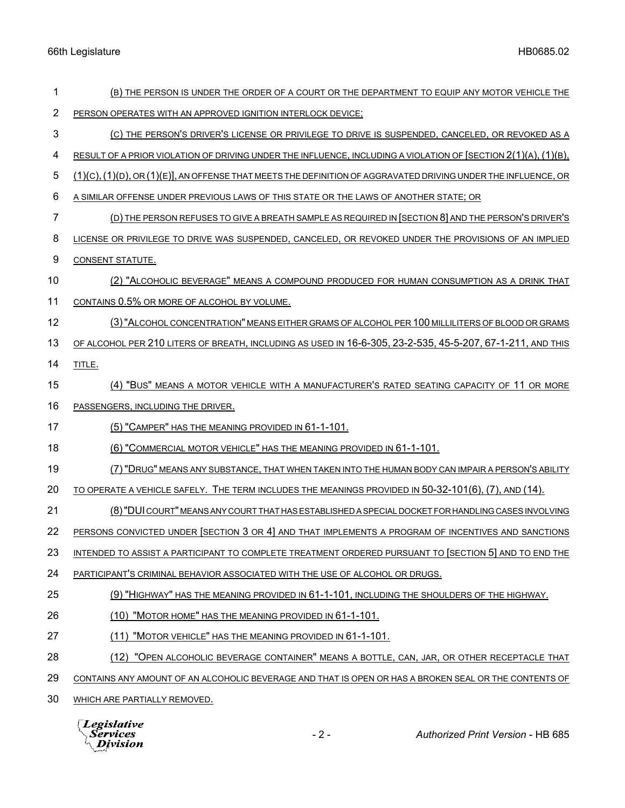| 1  | (B) THE PERSON IS UNDER THE ORDER OF A COURT OR THE DEPARTMENT TO EQUIP ANY MOTOR VEHICLE THE                           |
|----|-------------------------------------------------------------------------------------------------------------------------|
| 2  | PERSON OPERATES WITH AN APPROVED IGNITION INTERLOCK DEVICE;                                                             |
| 3  | (C) THE PERSON'S DRIVER'S LICENSE OR PRIVILEGE TO DRIVE IS SUSPENDED, CANCELED, OR REVOKED AS A                         |
| 4  | RESULT OF A PRIOR VIOLATION OF DRIVING UNDER THE INFLUENCE, INCLUDING A VIOLATION OF $[SECTION 2(1)(A), (1)(B),$        |
| 5  | $(1)(C)$ , $(1)(D)$ , OR $(1)(E)$ ], AN OFFENSE THAT MEETS THE DEFINITION OF AGGRAVATED DRIVING UNDER THE INFLUENCE, OR |
| 6  | A SIMILAR OFFENSE UNDER PREVIOUS LAWS OF THIS STATE OR THE LAWS OF ANOTHER STATE; OR                                    |
| 7  | (D) THE PERSON REFUSES TO GIVE A BREATH SAMPLE AS REQUIRED IN [SECTION 8] AND THE PERSON'S DRIVER'S                     |
| 8  | LICENSE OR PRIVILEGE TO DRIVE WAS SUSPENDED, CANCELED, OR REVOKED UNDER THE PROVISIONS OF AN IMPLIED                    |
| 9  | CONSENT STATUTE.                                                                                                        |
| 10 | (2) "ALCOHOLIC BEVERAGE" MEANS A COMPOUND PRODUCED FOR HUMAN CONSUMPTION AS A DRINK THAT                                |
| 11 | CONTAINS 0.5% OR MORE OF ALCOHOL BY VOLUME.                                                                             |
| 12 | (3) "ALCOHOL CONCENTRATION" MEANS EITHER GRAMS OF ALCOHOL PER 100 MILLILITERS OF BLOOD OR GRAMS                         |
| 13 | OF ALCOHOL PER 210 LITERS OF BREATH, INCLUDING AS USED IN 16-6-305, 23-2-535, 45-5-207, 67-1-211, AND THIS              |
| 14 | TITLE.                                                                                                                  |
| 15 | (4) "BUS" MEANS A MOTOR VEHICLE WITH A MANUFACTURER'S RATED SEATING CAPACITY OF 11 OR MORE                              |
| 16 | PASSENGERS, INCLUDING THE DRIVER.                                                                                       |
| 17 | (5) "CAMPER" HAS THE MEANING PROVIDED IN 61-1-101.                                                                      |
| 18 | (6) "COMMERCIAL MOTOR VEHICLE" HAS THE MEANING PROVIDED IN 61-1-101.                                                    |
| 19 | (7) "DRUG" MEANS ANY SUBSTANCE, THAT WHEN TAKEN INTO THE HUMAN BODY CAN IMPAIR A PERSON'S ABILITY                       |
| 20 | TO OPERATE A VEHICLE SAFELY. THE TERM INCLUDES THE MEANINGS PROVIDED IN 50-32-101(6), (7), AND (14).                    |
| 21 | (8) "DUI COURT" MEANS ANY COURT THAT HAS ESTABLISHED A SPECIAL DOCKET FOR HANDLING CASES INVOLVING                      |
| 22 | PERSONS CONVICTED UNDER [SECTION 3 OR 4] AND THAT IMPLEMENTS A PROGRAM OF INCENTIVES AND SANCTIONS                      |
| 23 | INTENDED TO ASSIST A PARTICIPANT TO COMPLETE TREATMENT ORDERED PURSUANT TO [SECTION 5] AND TO END THE                   |
| 24 | PARTICIPANT'S CRIMINAL BEHAVIOR ASSOCIATED WITH THE USE OF ALCOHOL OR DRUGS.                                            |
| 25 | (9) "HIGHWAY" HAS THE MEANING PROVIDED IN 61-1-101, INCLUDING THE SHOULDERS OF THE HIGHWAY.                             |
| 26 | (10) "MOTOR HOME" HAS THE MEANING PROVIDED IN 61-1-101.                                                                 |
| 27 | (11) "MOTOR VEHICLE" HAS THE MEANING PROVIDED IN 61-1-101.                                                              |
| 28 | (12) "OPEN ALCOHOLIC BEVERAGE CONTAINER" MEANS A BOTTLE, CAN, JAR, OR OTHER RECEPTACLE THAT                             |
| 29 | CONTAINS ANY AMOUNT OF AN ALCOHOLIC BEVERAGE AND THAT IS OPEN OR HAS A BROKEN SEAL OR THE CONTENTS OF                   |
| 30 | WHICH ARE PARTIALLY REMOVED.                                                                                            |
|    |                                                                                                                         |

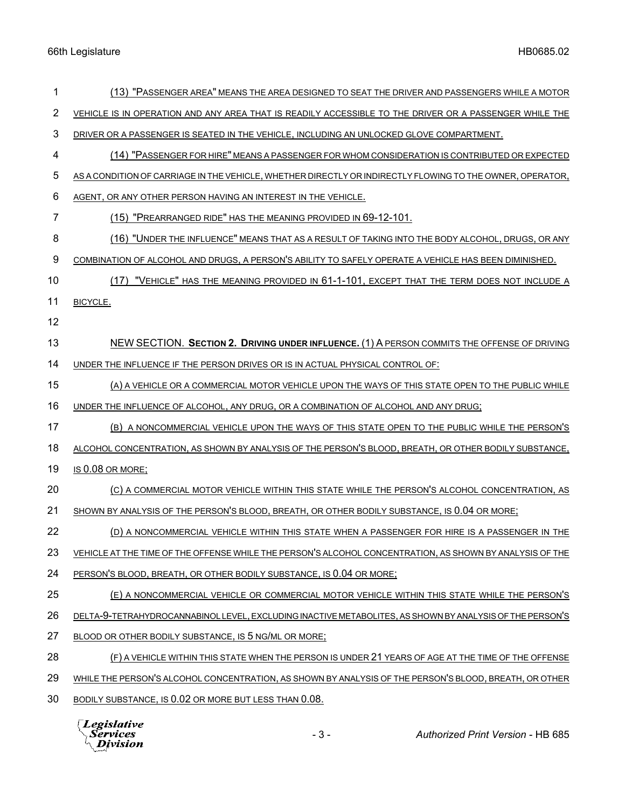| 1  | (13) "PASSENGER AREA" MEANS THE AREA DESIGNED TO SEAT THE DRIVER AND PASSENGERS WHILE A MOTOR             |
|----|-----------------------------------------------------------------------------------------------------------|
| 2  | VEHICLE IS IN OPERATION AND ANY AREA THAT IS READILY ACCESSIBLE TO THE DRIVER OR A PASSENGER WHILE THE    |
| 3  | DRIVER OR A PASSENGER IS SEATED IN THE VEHICLE, INCLUDING AN UNLOCKED GLOVE COMPARTMENT.                  |
| 4  | (14) "PASSENGER FOR HIRE" MEANS A PASSENGER FOR WHOM CONSIDERATION IS CONTRIBUTED OR EXPECTED             |
| 5  | AS A CONDITION OF CARRIAGE IN THE VEHICLE, WHETHER DIRECTLY OR INDIRECTLY FLOWING TO THE OWNER, OPERATOR, |
| 6  | AGENT, OR ANY OTHER PERSON HAVING AN INTEREST IN THE VEHICLE.                                             |
| 7  | (15) "PREARRANGED RIDE" HAS THE MEANING PROVIDED IN 69-12-101.                                            |
| 8  | (16) "UNDER THE INFLUENCE" MEANS THAT AS A RESULT OF TAKING INTO THE BODY ALCOHOL, DRUGS, OR ANY          |
| 9  | COMBINATION OF ALCOHOL AND DRUGS, A PERSON'S ABILITY TO SAFELY OPERATE A VEHICLE HAS BEEN DIMINISHED.     |
| 10 | (17) "VEHICLE" HAS THE MEANING PROVIDED IN 61-1-101, EXCEPT THAT THE TERM DOES NOT INCLUDE A              |
| 11 | BICYCLE.                                                                                                  |
| 12 |                                                                                                           |
| 13 | NEW SECTION. SECTION 2. DRIVING UNDER INFLUENCE. (1) A PERSON COMMITS THE OFFENSE OF DRIVING              |
| 14 | UNDER THE INFLUENCE IF THE PERSON DRIVES OR IS IN ACTUAL PHYSICAL CONTROL OF:                             |
| 15 | (A) A VEHICLE OR A COMMERCIAL MOTOR VEHICLE UPON THE WAYS OF THIS STATE OPEN TO THE PUBLIC WHILE          |
| 16 | UNDER THE INFLUENCE OF ALCOHOL, ANY DRUG, OR A COMBINATION OF ALCOHOL AND ANY DRUG;                       |
| 17 | (B) A NONCOMMERCIAL VEHICLE UPON THE WAYS OF THIS STATE OPEN TO THE PUBLIC WHILE THE PERSON'S             |
| 18 | ALCOHOL CONCENTRATION, AS SHOWN BY ANALYSIS OF THE PERSON'S BLOOD, BREATH, OR OTHER BODILY SUBSTANCE,     |
| 19 | IS 0.08 OR MORE;                                                                                          |
| 20 | (C) A COMMERCIAL MOTOR VEHICLE WITHIN THIS STATE WHILE THE PERSON'S ALCOHOL CONCENTRATION, AS             |
| 21 | SHOWN BY ANALYSIS OF THE PERSON'S BLOOD, BREATH, OR OTHER BODILY SUBSTANCE, IS 0.04 OR MORE;              |
| 22 | (D) A NONCOMMERCIAL VEHICLE WITHIN THIS STATE WHEN A PASSENGER FOR HIRE IS A PASSENGER IN THE             |
| 23 | VEHICLE AT THE TIME OF THE OFFENSE WHILE THE PERSON'S ALCOHOL CONCENTRATION, AS SHOWN BY ANALYSIS OF THE  |
| 24 | PERSON'S BLOOD, BREATH, OR OTHER BODILY SUBSTANCE, IS 0.04 OR MORE;                                       |
| 25 | (E) A NONCOMMERCIAL VEHICLE OR COMMERCIAL MOTOR VEHICLE WITHIN THIS STATE WHILE THE PERSON'S              |
| 26 | DELTA-9-TETRAHYDROCANNABINOL LEVEL, EXCLUDING INACTIVE METABOLITES, AS SHOWN BY ANALYSIS OF THE PERSON'S  |
| 27 | BLOOD OR OTHER BODILY SUBSTANCE, IS 5 NG/ML OR MORE;                                                      |
| 28 | (F) A VEHICLE WITHIN THIS STATE WHEN THE PERSON IS UNDER 21 YEARS OF AGE AT THE TIME OF THE OFFENSE       |
| 29 | WHILE THE PERSON'S ALCOHOL CONCENTRATION, AS SHOWN BY ANALYSIS OF THE PERSON'S BLOOD, BREATH, OR OTHER    |
| 30 | BODILY SUBSTANCE, IS 0.02 OR MORE BUT LESS THAN 0.08.                                                     |
|    |                                                                                                           |

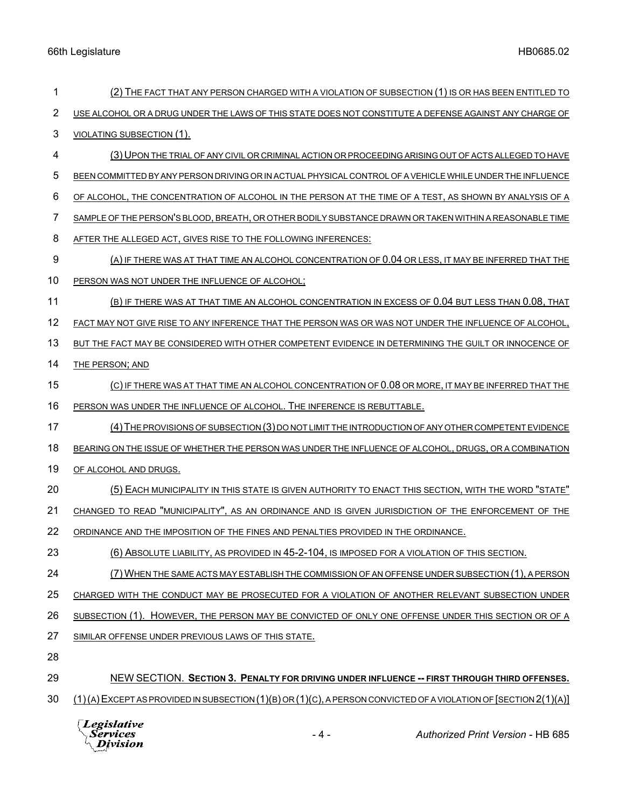| 1              | (2) THE FACT THAT ANY PERSON CHARGED WITH A VIOLATION OF SUBSECTION (1) IS OR HAS BEEN ENTITLED TO        |
|----------------|-----------------------------------------------------------------------------------------------------------|
| $\overline{2}$ | USE ALCOHOL OR A DRUG UNDER THE LAWS OF THIS STATE DOES NOT CONSTITUTE A DEFENSE AGAINST ANY CHARGE OF    |
| 3              | VIOLATING SUBSECTION (1).                                                                                 |
| 4              | (3) UPON THE TRIAL OF ANY CIVIL OR CRIMINAL ACTION OR PROCEEDING ARISING OUT OF ACTS ALLEGED TO HAVE      |
| 5              | BEEN COMMITTED BY ANY PERSON DRIVING OR IN ACTUAL PHYSICAL CONTROL OF A VEHICLE WHILE UNDER THE INFLUENCE |
| 6              | OF ALCOHOL, THE CONCENTRATION OF ALCOHOL IN THE PERSON AT THE TIME OF A TEST, AS SHOWN BY ANALYSIS OF A   |
| 7              | SAMPLE OF THE PERSON'S BLOOD, BREATH, OR OTHER BODILY SUBSTANCE DRAWN OR TAKEN WITHIN A REASONABLE TIME   |
| 8              | AFTER THE ALLEGED ACT, GIVES RISE TO THE FOLLOWING INFERENCES:                                            |
| 9              | (A) IF THERE WAS AT THAT TIME AN ALCOHOL CONCENTRATION OF 0.04 OR LESS, IT MAY BE INFERRED THAT THE       |
| 10             | PERSON WAS NOT UNDER THE INFLUENCE OF ALCOHOL;                                                            |
| 11             | (B) IF THERE WAS AT THAT TIME AN ALCOHOL CONCENTRATION IN EXCESS OF 0.04 BUT LESS THAN 0.08, THAT         |
| 12             | FACT MAY NOT GIVE RISE TO ANY INFERENCE THAT THE PERSON WAS OR WAS NOT UNDER THE INFLUENCE OF ALCOHOL,    |
| 13             | BUT THE FACT MAY BE CONSIDERED WITH OTHER COMPETENT EVIDENCE IN DETERMINING THE GUILT OR INNOCENCE OF     |
| 14             | THE PERSON; AND                                                                                           |
| 15             | (C) IF THERE WAS AT THAT TIME AN ALCOHOL CONCENTRATION OF 0.08 OR MORE, IT MAY BE INFERRED THAT THE       |
| 16             | PERSON WAS UNDER THE INFLUENCE OF ALCOHOL. THE INFERENCE IS REBUTTABLE.                                   |
| 17             | (4) THE PROVISIONS OF SUBSECTION (3) DO NOT LIMIT THE INTRODUCTION OF ANY OTHER COMPETENT EVIDENCE        |
| 18             | BEARING ON THE ISSUE OF WHETHER THE PERSON WAS UNDER THE INFLUENCE OF ALCOHOL, DRUGS, OR A COMBINATION    |
| 19             | OF ALCOHOL AND DRUGS.                                                                                     |
| 20             | (5) EACH MUNICIPALITY IN THIS STATE IS GIVEN AUTHORITY TO ENACT THIS SECTION, WITH THE WORD "STATE"       |
| 21             | CHANGED TO READ "MUNICIPALITY", AS AN ORDINANCE AND IS GIVEN JURISDICTION OF THE ENFORCEMENT OF THE       |
| 22             | ORDINANCE AND THE IMPOSITION OF THE FINES AND PENALTIES PROVIDED IN THE ORDINANCE.                        |
| 23             | (6) ABSOLUTE LIABILITY, AS PROVIDED IN 45-2-104, IS IMPOSED FOR A VIOLATION OF THIS SECTION.              |
| 24             | (7) WHEN THE SAME ACTS MAY ESTABLISH THE COMMISSION OF AN OFFENSE UNDER SUBSECTION (1), A PERSON          |
| 25             | CHARGED WITH THE CONDUCT MAY BE PROSECUTED FOR A VIOLATION OF ANOTHER RELEVANT SUBSECTION UNDER           |
| 26             | SUBSECTION (1). HOWEVER, THE PERSON MAY BE CONVICTED OF ONLY ONE OFFENSE UNDER THIS SECTION OR OF A       |
| 27             | SIMILAR OFFENSE UNDER PREVIOUS LAWS OF THIS STATE.                                                        |
| 28             |                                                                                                           |
| 29             | NEW SECTION. SECTION 3. PENALTY FOR DRIVING UNDER INFLUENCE -- FIRST THROUGH THIRD OFFENSES.              |

30 (1)(A)EXCEPT AS PROVIDED IN SUBSECTION (1)(B) OR (1)(C), A PERSON CONVICTED OF A VIOLATION OF [SECTION 2(1)(A)]

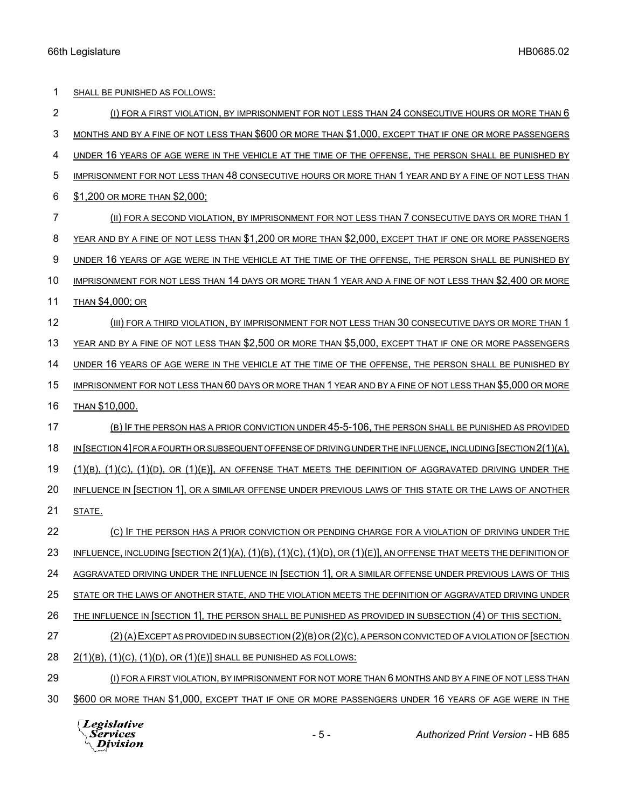| 1  | SHALL BE PUNISHED AS FOLLOWS:                                                                                        |
|----|----------------------------------------------------------------------------------------------------------------------|
| 2  | (I) FOR A FIRST VIOLATION, BY IMPRISONMENT FOR NOT LESS THAN 24 CONSECUTIVE HOURS OR MORE THAN 6                     |
| 3  | MONTHS AND BY A FINE OF NOT LESS THAN \$600 OR MORE THAN \$1,000, EXCEPT THAT IF ONE OR MORE PASSENGERS              |
| 4  | UNDER 16 YEARS OF AGE WERE IN THE VEHICLE AT THE TIME OF THE OFFENSE, THE PERSON SHALL BE PUNISHED BY                |
| 5  | IMPRISONMENT FOR NOT LESS THAN 48 CONSECUTIVE HOURS OR MORE THAN 1 YEAR AND BY A FINE OF NOT LESS THAN               |
| 6  | \$1,200 OR MORE THAN \$2,000;                                                                                        |
| 7  | (II) FOR A SECOND VIOLATION, BY IMPRISONMENT FOR NOT LESS THAN 7 CONSECUTIVE DAYS OR MORE THAN 1                     |
| 8  | YEAR AND BY A FINE OF NOT LESS THAN \$1,200 OR MORE THAN \$2,000, EXCEPT THAT IF ONE OR MORE PASSENGERS              |
| 9  | UNDER 16 YEARS OF AGE WERE IN THE VEHICLE AT THE TIME OF THE OFFENSE, THE PERSON SHALL BE PUNISHED BY                |
| 10 | IMPRISONMENT FOR NOT LESS THAN 14 DAYS OR MORE THAN 1 YEAR AND A FINE OF NOT LESS THAN \$2,400 OR MORE               |
| 11 | <b>THAN \$4,000; OR</b>                                                                                              |
| 12 | (III) FOR A THIRD VIOLATION, BY IMPRISONMENT FOR NOT LESS THAN 30 CONSECUTIVE DAYS OR MORE THAN 1                    |
| 13 | YEAR AND BY A FINE OF NOT LESS THAN \$2,500 OR MORE THAN \$5,000, EXCEPT THAT IF ONE OR MORE PASSENGERS              |
| 14 | UNDER 16 YEARS OF AGE WERE IN THE VEHICLE AT THE TIME OF THE OFFENSE, THE PERSON SHALL BE PUNISHED BY                |
| 15 | IMPRISONMENT FOR NOT LESS THAN 60 DAYS OR MORE THAN 1 YEAR AND BY A FINE OF NOT LESS THAN \$5,000 OR MORE            |
| 16 | THAN \$10,000.                                                                                                       |
| 17 | (B) IF THE PERSON HAS A PRIOR CONVICTION UNDER 45-5-106, THE PERSON SHALL BE PUNISHED AS PROVIDED                    |
| 18 | IN SECTION 4] FOR A FOURTH OR SUBSEQUENT OFFENSE OF DRIVING UNDER THE INFLUENCE, INCLUDING [SECTION 2(1)(A),         |
| 19 | $(1)(B)$ , $(1)(C)$ , $(1)(D)$ , OR $(1)(E)$ ], AN OFFENSE THAT MEETS THE DEFINITION OF AGGRAVATED DRIVING UNDER THE |
| 20 | INFLUENCE IN SECTION 1, OR A SIMILAR OFFENSE UNDER PREVIOUS LAWS OF THIS STATE OR THE LAWS OF ANOTHER                |
| 21 | STATE.                                                                                                               |
| 22 | (C) IF THE PERSON HAS A PRIOR CONVICTION OR PENDING CHARGE FOR A VIOLATION OF DRIVING UNDER THE                      |
| 23 | INFLUENCE, INCLUDING [SECTION 2(1)(A), (1)(B), (1)(C), (1)(D), OR (1)(E)], AN OFFENSE THAT MEETS THE DEFINITION OF   |
| 24 | AGGRAVATED DRIVING UNDER THE INFLUENCE IN [SECTION 1], OR A SIMILAR OFFENSE UNDER PREVIOUS LAWS OF THIS              |
| 25 | STATE OR THE LAWS OF ANOTHER STATE, AND THE VIOLATION MEETS THE DEFINITION OF AGGRAVATED DRIVING UNDER               |
| 26 | THE INFLUENCE IN [SECTION 1], THE PERSON SHALL BE PUNISHED AS PROVIDED IN SUBSECTION (4) OF THIS SECTION.            |
| 27 | (2) (A) EXCEPT AS PROVIDED IN SUBSECTION (2) (B) OR (2) (C), A PERSON CONVICTED OF A VIOLATION OF [SECTION           |
| 28 | $2(1)(B)$ , $(1)(C)$ , $(1)(D)$ , OR $(1)(E)$ SHALL BE PUNISHED AS FOLLOWS:                                          |
| 29 | (I) FOR A FIRST VIOLATION, BY IMPRISONMENT FOR NOT MORE THAN 6 MONTHS AND BY A FINE OF NOT LESS THAN                 |
| 30 | \$600 OR MORE THAN \$1,000, EXCEPT THAT IF ONE OR MORE PASSENGERS UNDER 16 YEARS OF AGE WERE IN THE                  |

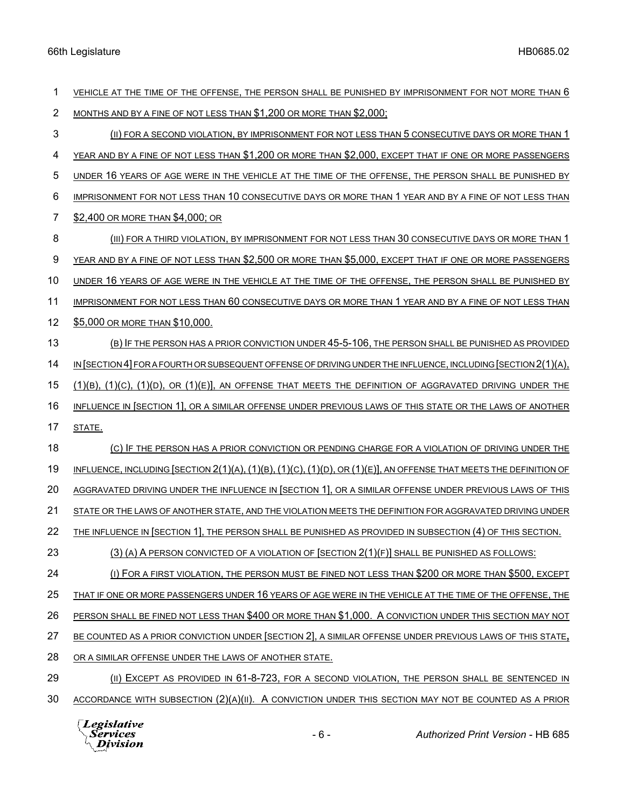| 1  | VEHICLE AT THE TIME OF THE OFFENSE, THE PERSON SHALL BE PUNISHED BY IMPRISONMENT FOR NOT MORE THAN 6                              |
|----|-----------------------------------------------------------------------------------------------------------------------------------|
| 2  | MONTHS AND BY A FINE OF NOT LESS THAN \$1,200 OR MORE THAN \$2,000;                                                               |
| 3  | (II) FOR A SECOND VIOLATION, BY IMPRISONMENT FOR NOT LESS THAN 5 CONSECUTIVE DAYS OR MORE THAN 1                                  |
| 4  | YEAR AND BY A FINE OF NOT LESS THAN \$1,200 OR MORE THAN \$2,000, EXCEPT THAT IF ONE OR MORE PASSENGERS                           |
| 5  | UNDER 16 YEARS OF AGE WERE IN THE VEHICLE AT THE TIME OF THE OFFENSE, THE PERSON SHALL BE PUNISHED BY                             |
| 6  | IMPRISONMENT FOR NOT LESS THAN 10 CONSECUTIVE DAYS OR MORE THAN 1 YEAR AND BY A FINE OF NOT LESS THAN                             |
| 7  | \$2,400 OR MORE THAN \$4,000; OR                                                                                                  |
| 8  | (III) FOR A THIRD VIOLATION, BY IMPRISONMENT FOR NOT LESS THAN 30 CONSECUTIVE DAYS OR MORE THAN 1                                 |
| 9  | YEAR AND BY A FINE OF NOT LESS THAN \$2,500 OR MORE THAN \$5,000, EXCEPT THAT IF ONE OR MORE PASSENGERS                           |
| 10 | UNDER 16 YEARS OF AGE WERE IN THE VEHICLE AT THE TIME OF THE OFFENSE, THE PERSON SHALL BE PUNISHED BY                             |
| 11 | IMPRISONMENT FOR NOT LESS THAN 60 CONSECUTIVE DAYS OR MORE THAN 1 YEAR AND BY A FINE OF NOT LESS THAN                             |
| 12 | \$5,000 OR MORE THAN \$10,000.                                                                                                    |
| 13 | (B) IF THE PERSON HAS A PRIOR CONVICTION UNDER 45-5-106, THE PERSON SHALL BE PUNISHED AS PROVIDED                                 |
| 14 | IN SECTION 4 FOR A FOURTH OR SUBSEQUENT OFFENSE OF DRIVING UNDER THE INFLUENCE, INCLUDING SECTION 2(1)(A),                        |
| 15 | $(1)(B)$ , $(1)(C)$ , $(1)(D)$ , OR $(1)(E)$ , AN OFFENSE THAT MEETS THE DEFINITION OF AGGRAVATED DRIVING UNDER THE               |
| 16 | INFLUENCE IN SECTION 1], OR A SIMILAR OFFENSE UNDER PREVIOUS LAWS OF THIS STATE OR THE LAWS OF ANOTHER                            |
| 17 | STATE.                                                                                                                            |
| 18 | (C) IF THE PERSON HAS A PRIOR CONVICTION OR PENDING CHARGE FOR A VIOLATION OF DRIVING UNDER THE                                   |
| 19 | INFLUENCE, INCLUDING [SECTION $2(1)(A)$ , $(1)(B)$ , $(1)(C)$ , $(1)(D)$ , OR $(1)(E)$ ], AN OFFENSE THAT MEETS THE DEFINITION OF |
| 20 | <u>AGGRAVATED DRIVING UNDER THE INFLUENCE IN [SECTION 1], OR A SIMILAR OFFENSE UNDER PREVIOUS LAWS OF THIS</u>                    |
| 21 | STATE OR THE LAWS OF ANOTHER STATE, AND THE VIOLATION MEETS THE DEFINITION FOR AGGRAVATED DRIVING UNDER                           |
| 22 | THE INFLUENCE IN [SECTION 1], THE PERSON SHALL BE PUNISHED AS PROVIDED IN SUBSECTION (4) OF THIS SECTION.                         |
| 23 | $(3)$ (A) A PERSON CONVICTED OF A VIOLATION OF [SECTION $2(1)(F)$ ] SHALL BE PUNISHED AS FOLLOWS:                                 |
| 24 | (I) FOR A FIRST VIOLATION, THE PERSON MUST BE FINED NOT LESS THAN \$200 OR MORE THAN \$500, EXCEPT                                |
| 25 | THAT IF ONE OR MORE PASSENGERS UNDER 16 YEARS OF AGE WERE IN THE VEHICLE AT THE TIME OF THE OFFENSE, THE                          |
| 26 | PERSON SHALL BE FINED NOT LESS THAN \$400 OR MORE THAN \$1,000. A CONVICTION UNDER THIS SECTION MAY NOT                           |
| 27 | BE COUNTED AS A PRIOR CONVICTION UNDER [SECTION 2], A SIMILAR OFFENSE UNDER PREVIOUS LAWS OF THIS STATE,                          |
| 28 | OR A SIMILAR OFFENSE UNDER THE LAWS OF ANOTHER STATE.                                                                             |
| 29 | (II) EXCEPT AS PROVIDED IN 61-8-723, FOR A SECOND VIOLATION, THE PERSON SHALL BE SENTENCED IN                                     |
| 30 | ACCORDANCE WITH SUBSECTION (2)(A)(II). A CONVICTION UNDER THIS SECTION MAY NOT BE COUNTED AS A PRIOR                              |

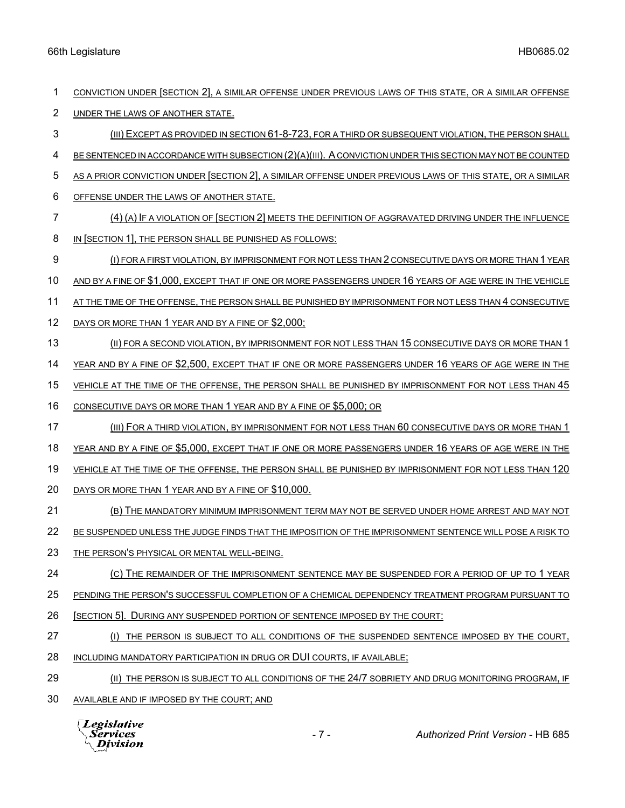| 1              | CONVICTION UNDER [SECTION 2], A SIMILAR OFFENSE UNDER PREVIOUS LAWS OF THIS STATE, OR A SIMILAR OFFENSE    |
|----------------|------------------------------------------------------------------------------------------------------------|
| $\overline{2}$ | UNDER THE LAWS OF ANOTHER STATE.                                                                           |
| 3              | (III) EXCEPT AS PROVIDED IN SECTION 61-8-723, FOR A THIRD OR SUBSEQUENT VIOLATION, THE PERSON SHALL        |
| 4              | BE SENTENCED IN ACCORDANCE WITH SUBSECTION (2)(A)(III). A CONVICTION UNDER THIS SECTION MAY NOT BE COUNTED |
| 5              | AS A PRIOR CONVICTION UNDER SECTION 2], A SIMILAR OFFENSE UNDER PREVIOUS LAWS OF THIS STATE, OR A SIMILAR  |
| 6              | OFFENSE UNDER THE LAWS OF ANOTHER STATE.                                                                   |
| 7              | (4) (A) IF A VIOLATION OF [SECTION 2] MEETS THE DEFINITION OF AGGRAVATED DRIVING UNDER THE INFLUENCE       |
| 8              | IN SECTION 1, THE PERSON SHALL BE PUNISHED AS FOLLOWS:                                                     |
| 9              | (I) FOR A FIRST VIOLATION, BY IMPRISONMENT FOR NOT LESS THAN 2 CONSECUTIVE DAYS OR MORE THAN 1 YEAR        |
| 10             | AND BY A FINE OF \$1,000, EXCEPT THAT IF ONE OR MORE PASSENGERS UNDER 16 YEARS OF AGE WERE IN THE VEHICLE  |
| 11             | AT THE TIME OF THE OFFENSE, THE PERSON SHALL BE PUNISHED BY IMPRISONMENT FOR NOT LESS THAN 4 CONSECUTIVE   |
| 12             | DAYS OR MORE THAN 1 YEAR AND BY A FINE OF \$2,000;                                                         |
| 13             | (II) FOR A SECOND VIOLATION, BY IMPRISONMENT FOR NOT LESS THAN 15 CONSECUTIVE DAYS OR MORE THAN 1          |
| 14             | YEAR AND BY A FINE OF \$2,500, EXCEPT THAT IF ONE OR MORE PASSENGERS UNDER 16 YEARS OF AGE WERE IN THE     |
| 15             | VEHICLE AT THE TIME OF THE OFFENSE, THE PERSON SHALL BE PUNISHED BY IMPRISONMENT FOR NOT LESS THAN 45      |
| 16             | CONSECUTIVE DAYS OR MORE THAN 1 YEAR AND BY A FINE OF \$5,000; OR                                          |
| 17             | (III) FOR A THIRD VIOLATION, BY IMPRISONMENT FOR NOT LESS THAN 60 CONSECUTIVE DAYS OR MORE THAN 1          |
| 18             | YEAR AND BY A FINE OF \$5,000, EXCEPT THAT IF ONE OR MORE PASSENGERS UNDER 16 YEARS OF AGE WERE IN THE     |
| 19             | VEHICLE AT THE TIME OF THE OFFENSE, THE PERSON SHALL BE PUNISHED BY IMPRISONMENT FOR NOT LESS THAN 120     |
| 20             | DAYS OR MORE THAN 1 YEAR AND BY A FINE OF \$10,000.                                                        |
| 21             | (B) THE MANDATORY MINIMUM IMPRISONMENT TERM MAY NOT BE SERVED UNDER HOME ARREST AND MAY NOT                |
| 22             | BE SUSPENDED UNLESS THE JUDGE FINDS THAT THE IMPOSITION OF THE IMPRISONMENT SENTENCE WILL POSE A RISK TO   |
| 23             | THE PERSON'S PHYSICAL OR MENTAL WELL-BEING.                                                                |
| 24             | (C) THE REMAINDER OF THE IMPRISONMENT SENTENCE MAY BE SUSPENDED FOR A PERIOD OF UP TO 1 YEAR               |
| 25             | PENDING THE PERSON'S SUCCESSFUL COMPLETION OF A CHEMICAL DEPENDENCY TREATMENT PROGRAM PURSUANT TO          |
| 26             | [SECTION 5]. DURING ANY SUSPENDED PORTION OF SENTENCE IMPOSED BY THE COURT:                                |
| 27             | (I) THE PERSON IS SUBJECT TO ALL CONDITIONS OF THE SUSPENDED SENTENCE IMPOSED BY THE COURT,                |
| 28             | INCLUDING MANDATORY PARTICIPATION IN DRUG OR DUI COURTS, IF AVAILABLE;                                     |
| 29             | (II) THE PERSON IS SUBJECT TO ALL CONDITIONS OF THE 24/7 SOBRIETY AND DRUG MONITORING PROGRAM, IF          |
| 30             | AVAILABLE AND IF IMPOSED BY THE COURT; AND                                                                 |
|                |                                                                                                            |

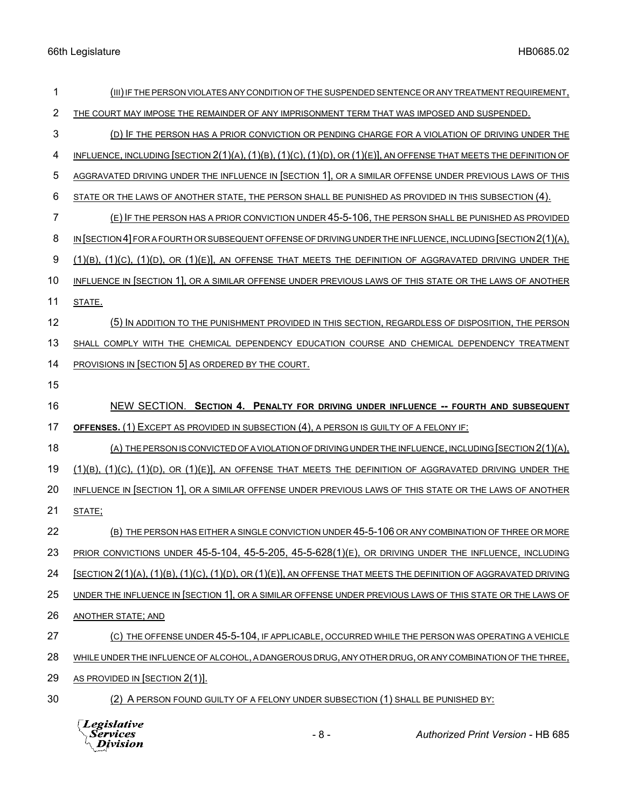| 1  | (III) IF THE PERSON VIOLATES ANY CONDITION OF THE SUSPENDED SENTENCE OR ANY TREATMENT REQUIREMENT,                  |
|----|---------------------------------------------------------------------------------------------------------------------|
| 2  | THE COURT MAY IMPOSE THE REMAINDER OF ANY IMPRISONMENT TERM THAT WAS IMPOSED AND SUSPENDED.                         |
| 3  | (D) IF THE PERSON HAS A PRIOR CONVICTION OR PENDING CHARGE FOR A VIOLATION OF DRIVING UNDER THE                     |
| 4  | INFLUENCE, INCLUDING (SECTION 2(1)(A), (1)(B), (1)(C), (1)(D), OR (1)(E)], AN OFFENSE THAT MEETS THE DEFINITION OF  |
| 5  | AGGRAVATED DRIVING UNDER THE INFLUENCE IN [SECTION 1], OR A SIMILAR OFFENSE UNDER PREVIOUS LAWS OF THIS             |
| 6  | STATE OR THE LAWS OF ANOTHER STATE, THE PERSON SHALL BE PUNISHED AS PROVIDED IN THIS SUBSECTION (4).                |
| 7  | (E) IF THE PERSON HAS A PRIOR CONVICTION UNDER 45-5-106, THE PERSON SHALL BE PUNISHED AS PROVIDED                   |
| 8  | IN [SECTION 4] FOR A FOURTH OR SUBSEQUENT OFFENSE OF DRIVING UNDER THE INFLUENCE, INCLUDING [SECTION 2(1)(A),       |
| 9  | $(1)(B)$ , $(1)(C)$ , $(1)(D)$ , OR $(1)(E)$ , AN OFFENSE THAT MEETS THE DEFINITION OF AGGRAVATED DRIVING UNDER THE |
| 10 | INFLUENCE IN SECTION 1], OR A SIMILAR OFFENSE UNDER PREVIOUS LAWS OF THIS STATE OR THE LAWS OF ANOTHER              |
| 11 | STATE.                                                                                                              |
| 12 | (5) IN ADDITION TO THE PUNISHMENT PROVIDED IN THIS SECTION, REGARDLESS OF DISPOSITION, THE PERSON                   |
| 13 | SHALL COMPLY WITH THE CHEMICAL DEPENDENCY EDUCATION COURSE AND CHEMICAL DEPENDENCY TREATMENT                        |
| 14 | PROVISIONS IN [SECTION 5] AS ORDERED BY THE COURT.                                                                  |
| 15 |                                                                                                                     |
|    |                                                                                                                     |
| 16 | NEW SECTION. SECTION 4. PENALTY FOR DRIVING UNDER INFLUENCE -- FOURTH AND SUBSEQUENT                                |
| 17 | OFFENSES. (1) EXCEPT AS PROVIDED IN SUBSECTION (4), A PERSON IS GUILTY OF A FELONY IF:                              |
| 18 | (A) THE PERSON IS CONVICTED OF A VIOLATION OF DRIVING UNDER THE INFLUENCE, INCLUDING [SECTION 2(1)(A),              |
| 19 | $(1)(B)$ , $(1)(C)$ , $(1)(D)$ , OR $(1)(E)$ , AN OFFENSE THAT MEETS THE DEFINITION OF AGGRAVATED DRIVING UNDER THE |
| 20 | INFLUENCE IN SECTION 1], OR A SIMILAR OFFENSE UNDER PREVIOUS LAWS OF THIS STATE OR THE LAWS OF ANOTHER              |
| 21 | STATE;                                                                                                              |
| 22 | (B) THE PERSON HAS EITHER A SINGLE CONVICTION UNDER 45-5-106 OR ANY COMBINATION OF THREE OR MORE                    |
| 23 | PRIOR CONVICTIONS UNDER 45-5-104, 45-5-205, 45-5-628(1)(E), OR DRIVING UNDER THE INFLUENCE, INCLUDING               |
| 24 | [SECTION 2(1)(A), (1)(B), (1)(C), (1)(D), OR (1)(E)], AN OFFENSE THAT MEETS THE DEFINITION OF AGGRAVATED DRIVING    |
| 25 | UNDER THE INFLUENCE IN SECTION 1, OR A SIMILAR OFFENSE UNDER PREVIOUS LAWS OF THIS STATE OR THE LAWS OF             |
| 26 | <b>ANOTHER STATE; AND</b>                                                                                           |
| 27 | (C) THE OFFENSE UNDER 45-5-104, IF APPLICABLE, OCCURRED WHILE THE PERSON WAS OPERATING A VEHICLE                    |
| 28 | WHILE UNDER THE INFLUENCE OF ALCOHOL, A DANGEROUS DRUG, ANY OTHER DRUG, OR ANY COMBINATION OF THE THREE,            |
| 29 | AS PROVIDED IN [SECTION 2(1)].                                                                                      |



- 8 - *Authorized Print Version* - HB 685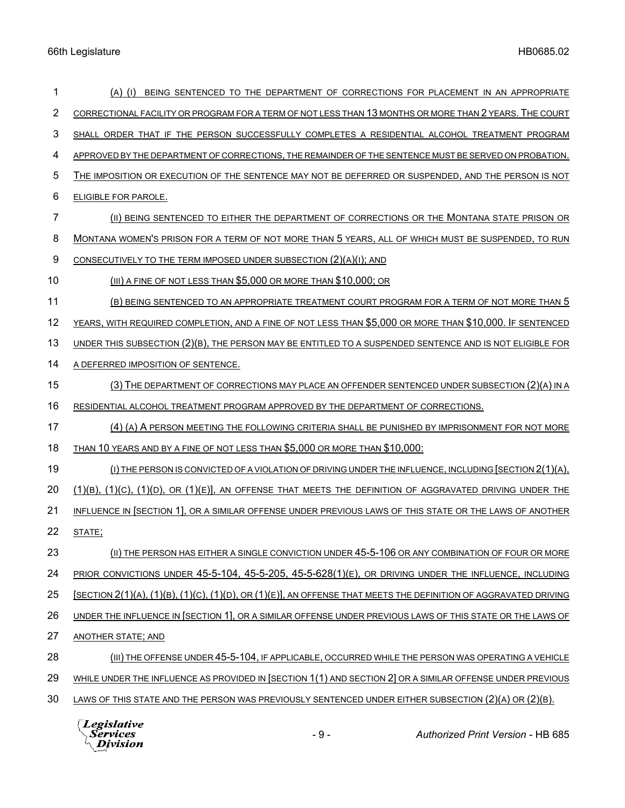| 1              | (A) (I) BEING SENTENCED TO THE DEPARTMENT OF CORRECTIONS FOR PLACEMENT IN AN APPROPRIATE                            |
|----------------|---------------------------------------------------------------------------------------------------------------------|
| $\overline{2}$ | CORRECTIONAL FACILITY OR PROGRAM FOR A TERM OF NOT LESS THAN 13 MONTHS OR MORE THAN 2 YEARS. THE COURT              |
| 3              | SHALL ORDER THAT IF THE PERSON SUCCESSFULLY COMPLETES A RESIDENTIAL ALCOHOL TREATMENT PROGRAM                       |
| 4              | APPROVED BY THE DEPARTMENT OF CORRECTIONS, THE REMAINDER OF THE SENTENCE MUST BE SERVED ON PROBATION.               |
| 5              | THE IMPOSITION OR EXECUTION OF THE SENTENCE MAY NOT BE DEFERRED OR SUSPENDED, AND THE PERSON IS NOT                 |
| 6              | <b>ELIGIBLE FOR PAROLE.</b>                                                                                         |
| 7              | (II) BEING SENTENCED TO EITHER THE DEPARTMENT OF CORRECTIONS OR THE MONTANA STATE PRISON OR                         |
| 8              | MONTANA WOMEN'S PRISON FOR A TERM OF NOT MORE THAN 5 YEARS, ALL OF WHICH MUST BE SUSPENDED, TO RUN                  |
| 9              | CONSECUTIVELY TO THE TERM IMPOSED UNDER SUBSECTION (2)(A)(I); AND                                                   |
| 10             | $(III)$ A FINE OF NOT LESS THAN \$5,000 OR MORE THAN \$10,000; OR                                                   |
| 11             | (B) BEING SENTENCED TO AN APPROPRIATE TREATMENT COURT PROGRAM FOR A TERM OF NOT MORE THAN 5                         |
| 12             | YEARS, WITH REQUIRED COMPLETION, AND A FINE OF NOT LESS THAN \$5,000 OR MORE THAN \$10,000. IF SENTENCED            |
| 13             | UNDER THIS SUBSECTION (2)(B), THE PERSON MAY BE ENTITLED TO A SUSPENDED SENTENCE AND IS NOT ELIGIBLE FOR            |
| 14             | A DEFERRED IMPOSITION OF SENTENCE.                                                                                  |
| 15             | $(3)$ THE DEPARTMENT OF CORRECTIONS MAY PLACE AN OFFENDER SENTENCED UNDER SUBSECTION $(2)(A)$ IN A                  |
| 16             | RESIDENTIAL ALCOHOL TREATMENT PROGRAM APPROVED BY THE DEPARTMENT OF CORRECTIONS.                                    |
| 17             | (4) (A) A PERSON MEETING THE FOLLOWING CRITERIA SHALL BE PUNISHED BY IMPRISONMENT FOR NOT MORE                      |
| 18             | THAN 10 YEARS AND BY A FINE OF NOT LESS THAN \$5,000 OR MORE THAN \$10,000:                                         |
| 19             | (I) THE PERSON IS CONVICTED OF A VIOLATION OF DRIVING UNDER THE INFLUENCE, INCLUDING [SECTION 2(1)(A),              |
| 20             | $(1)(B)$ , $(1)(C)$ , $(1)(D)$ , OR $(1)(E)$ , AN OFFENSE THAT MEETS THE DEFINITION OF AGGRAVATED DRIVING UNDER THE |
| 21             | INFLUENCE IN SECTION 1], OR A SIMILAR OFFENSE UNDER PREVIOUS LAWS OF THIS STATE OR THE LAWS OF ANOTHER              |
| 22             | STATE:                                                                                                              |
| 23             | (II) THE PERSON HAS EITHER A SINGLE CONVICTION UNDER 45-5-106 OR ANY COMBINATION OF FOUR OR MORE                    |
| 24             | PRIOR CONVICTIONS UNDER 45-5-104, 45-5-205, 45-5-628(1)(E), OR DRIVING UNDER THE INFLUENCE, INCLUDING               |
| 25             | [SECTION 2(1)(A), (1)(B), (1)(C), (1)(D), OR (1)(E)], AN OFFENSE THAT MEETS THE DEFINITION OF AGGRAVATED DRIVING    |
| 26             | UNDER THE INFLUENCE IN SECTION 1], OR A SIMILAR OFFENSE UNDER PREVIOUS LAWS OF THIS STATE OR THE LAWS OF            |
| 27             | <b>ANOTHER STATE; AND</b>                                                                                           |
| 28             | (III) THE OFFENSE UNDER 45-5-104, IF APPLICABLE, OCCURRED WHILE THE PERSON WAS OPERATING A VEHICLE                  |
| 29             | WHILE UNDER THE INFLUENCE AS PROVIDED IN [SECTION 1(1) AND SECTION 2] OR A SIMILAR OFFENSE UNDER PREVIOUS           |
| 30             | LAWS OF THIS STATE AND THE PERSON WAS PREVIOUSLY SENTENCED UNDER EITHER SUBSECTION (2)(A) OR (2)(B).                |
|                | Legislative<br>$-9-$<br><b>Authorized Print Version - HB 685</b><br>Services<br>Division                            |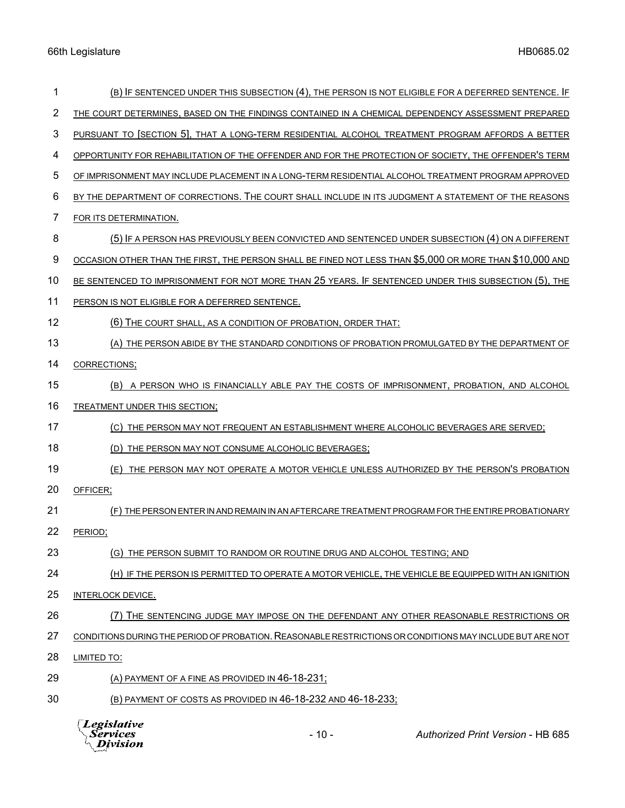| 1              | (B) IF SENTENCED UNDER THIS SUBSECTION (4), THE PERSON IS NOT ELIGIBLE FOR A DEFERRED SENTENCE. IF       |
|----------------|----------------------------------------------------------------------------------------------------------|
| $\overline{2}$ | THE COURT DETERMINES, BASED ON THE FINDINGS CONTAINED IN A CHEMICAL DEPENDENCY ASSESSMENT PREPARED       |
| 3              | PURSUANT TO [SECTION 5], THAT A LONG-TERM RESIDENTIAL ALCOHOL TREATMENT PROGRAM AFFORDS A BETTER         |
| 4              | OPPORTUNITY FOR REHABILITATION OF THE OFFENDER AND FOR THE PROTECTION OF SOCIETY, THE OFFENDER'S TERM    |
| 5              | OF IMPRISONMENT MAY INCLUDE PLACEMENT IN A LONG-TERM RESIDENTIAL ALCOHOL TREATMENT PROGRAM APPROVED      |
| 6              | BY THE DEPARTMENT OF CORRECTIONS. THE COURT SHALL INCLUDE IN ITS JUDGMENT A STATEMENT OF THE REASONS     |
| 7              | FOR ITS DETERMINATION.                                                                                   |
| 8              | (5) IF A PERSON HAS PREVIOUSLY BEEN CONVICTED AND SENTENCED UNDER SUBSECTION (4) ON A DIFFERENT          |
| 9              | OCCASION OTHER THAN THE FIRST, THE PERSON SHALL BE FINED NOT LESS THAN \$5,000 OR MORE THAN \$10,000 AND |
| 10             | BE SENTENCED TO IMPRISONMENT FOR NOT MORE THAN 25 YEARS. IF SENTENCED UNDER THIS SUBSECTION (5), THE     |
| 11             | PERSON IS NOT ELIGIBLE FOR A DEFERRED SENTENCE.                                                          |
| 12             | (6) THE COURT SHALL, AS A CONDITION OF PROBATION, ORDER THAT:                                            |
| 13             | (A) THE PERSON ABIDE BY THE STANDARD CONDITIONS OF PROBATION PROMULGATED BY THE DEPARTMENT OF            |
| 14             | CORRECTIONS;                                                                                             |
| 15             | A PERSON WHO IS FINANCIALLY ABLE PAY THE COSTS OF IMPRISONMENT, PROBATION, AND ALCOHOL<br>(B)            |
| 16             | TREATMENT UNDER THIS SECTION;                                                                            |
| 17             | THE PERSON MAY NOT FREQUENT AN ESTABLISHMENT WHERE ALCOHOLIC BEVERAGES ARE SERVED;<br>(C)                |
| 18             | THE PERSON MAY NOT CONSUME ALCOHOLIC BEVERAGES;<br>(D)                                                   |
| 19             | THE PERSON MAY NOT OPERATE A MOTOR VEHICLE UNLESS AUTHORIZED BY THE PERSON'S PROBATION<br>(E)            |
| 20             | OFFICER;                                                                                                 |
| 21             | (F) THE PERSON ENTER IN AND REMAIN IN AN AFTERCARE TREATMENT PROGRAM FOR THE ENTIRE PROBATIONARY         |
| 22             | PERIOD;                                                                                                  |
| 23             | (G) THE PERSON SUBMIT TO RANDOM OR ROUTINE DRUG AND ALCOHOL TESTING; AND                                 |
| 24             | (H) IF THE PERSON IS PERMITTED TO OPERATE A MOTOR VEHICLE, THE VEHICLE BE EQUIPPED WITH AN IGNITION      |
| 25             | INTERLOCK DEVICE.                                                                                        |
| 26             | (7) THE SENTENCING JUDGE MAY IMPOSE ON THE DEFENDANT ANY OTHER REASONABLE RESTRICTIONS OR                |
| 27             | CONDITIONS DURING THE PERIOD OF PROBATION. REASONABLE RESTRICTIONS OR CONDITIONS MAY INCLUDE BUT ARE NOT |
| 28             | <b>LIMITED TO:</b>                                                                                       |
| 29             | (A) PAYMENT OF A FINE AS PROVIDED IN 46-18-231;                                                          |
| 30             | (B) PAYMENT OF COSTS AS PROVIDED IN 46-18-232 AND 46-18-233;                                             |



- 10 - *Authorized Print Version* - HB 685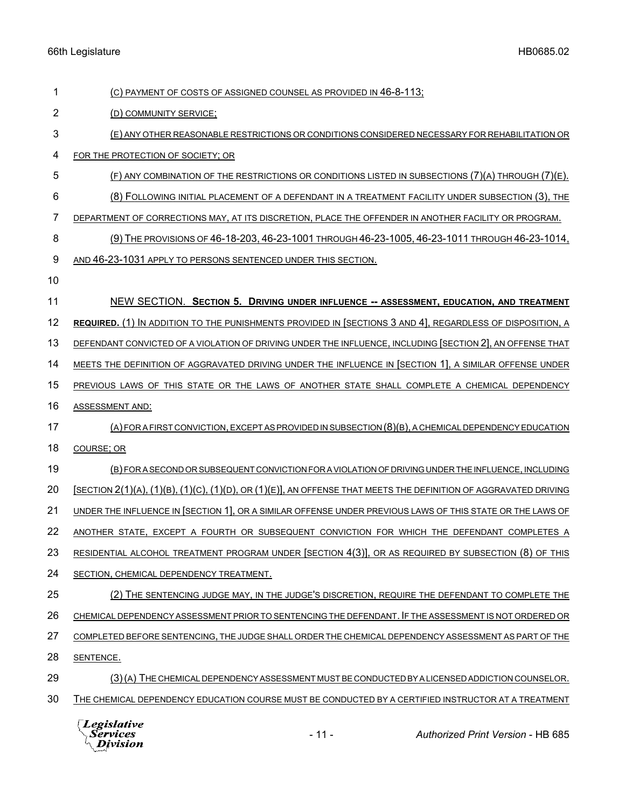| 1              | (C) PAYMENT OF COSTS OF ASSIGNED COUNSEL AS PROVIDED IN 46-8-113;                                                  |
|----------------|--------------------------------------------------------------------------------------------------------------------|
| $\overline{2}$ | (D) COMMUNITY SERVICE;                                                                                             |
| 3              | (E) ANY OTHER REASONABLE RESTRICTIONS OR CONDITIONS CONSIDERED NECESSARY FOR REHABILITATION OR                     |
| 4              | FOR THE PROTECTION OF SOCIETY; OR                                                                                  |
| 5              | (F) ANY COMBINATION OF THE RESTRICTIONS OR CONDITIONS LISTED IN SUBSECTIONS (7)(A) THROUGH (7)(E).                 |
| 6              | (8) FOLLOWING INITIAL PLACEMENT OF A DEFENDANT IN A TREATMENT FACILITY UNDER SUBSECTION (3), THE                   |
| 7              | DEPARTMENT OF CORRECTIONS MAY, AT ITS DISCRETION, PLACE THE OFFENDER IN ANOTHER FACILITY OR PROGRAM.               |
| 8              | (9) THE PROVISIONS OF 46-18-203, 46-23-1001 THROUGH 46-23-1005, 46-23-1011 THROUGH 46-23-1014,                     |
| 9              | AND 46-23-1031 APPLY TO PERSONS SENTENCED UNDER THIS SECTION.                                                      |
| 10             |                                                                                                                    |
| 11             | NEW SECTION. SECTION 5. DRIVING UNDER INFLUENCE -- ASSESSMENT, EDUCATION, AND TREATMENT                            |
| 12             | REQUIRED. (1) IN ADDITION TO THE PUNISHMENTS PROVIDED IN [SECTIONS 3 AND 4], REGARDLESS OF DISPOSITION, A          |
| 13             | DEFENDANT CONVICTED OF A VIOLATION OF DRIVING UNDER THE INFLUENCE, INCLUDING SECTION 2, AN OFFENSE THAT            |
| 14             | MEETS THE DEFINITION OF AGGRAVATED DRIVING UNDER THE INFLUENCE IN [SECTION 1], A SIMILAR OFFENSE UNDER             |
| 15             | PREVIOUS LAWS OF THIS STATE OR THE LAWS OF ANOTHER STATE SHALL COMPLETE A CHEMICAL DEPENDENCY                      |
| 16             | ASSESSMENT AND:                                                                                                    |
| 17             | (A) FOR A FIRST CONVICTION, EXCEPT AS PROVIDED IN SUBSECTION (8)(B), A CHEMICAL DEPENDENCY EDUCATION               |
| 18             | COURSE; OR                                                                                                         |
| 19             | (B) FOR A SECOND OR SUBSEQUENT CONVICTION FOR A VIOLATION OF DRIVING UNDER THE INFLUENCE, INCLUDING                |
| 20             | $[SECTION 2(1)(A), (1)(B), (1)(C), (1)(D), OR (1)(E)],$ AN OFFENSE THAT MEETS THE DEFINITION OF AGGRAVATED DRIVING |
| 21             | UNDER THE INFLUENCE IN [SECTION 1], OR A SIMILAR OFFENSE UNDER PREVIOUS LAWS OF THIS STATE OR THE LAWS OF          |
| 22             | ANOTHER STATE, EXCEPT A FOURTH OR SUBSEQUENT CONVICTION FOR WHICH THE DEFENDANT COMPLETES A                        |
| 23             | RESIDENTIAL ALCOHOL TREATMENT PROGRAM UNDER [SECTION 4(3)], OR AS REQUIRED BY SUBSECTION (8) OF THIS               |
| 24             | SECTION, CHEMICAL DEPENDENCY TREATMENT.                                                                            |
| 25             | (2) THE SENTENCING JUDGE MAY, IN THE JUDGE'S DISCRETION, REQUIRE THE DEFENDANT TO COMPLETE THE                     |
| 26             | CHEMICAL DEPENDENCY ASSESSMENT PRIOR TO SENTENCING THE DEFENDANT. IF THE ASSESSMENT IS NOT ORDERED OR              |
| 27             | COMPLETED BEFORE SENTENCING, THE JUDGE SHALL ORDER THE CHEMICAL DEPENDENCY ASSESSMENT AS PART OF THE               |
| 28             | SENTENCE.                                                                                                          |
| 29             | (3) (A) THE CHEMICAL DEPENDENCY ASSESSMENT MUST BE CONDUCTED BY A LICENSED ADDICTION COUNSELOR.                    |
| 30             | THE CHEMICAL DEPENDENCY EDUCATION COURSE MUST BE CONDUCTED BY A CERTIFIED INSTRUCTOR AT A TREATMENT                |
|                | Legislative<br>$-11-$<br><b>Authorized Print Version - HB 685</b><br>Services<br>Division                          |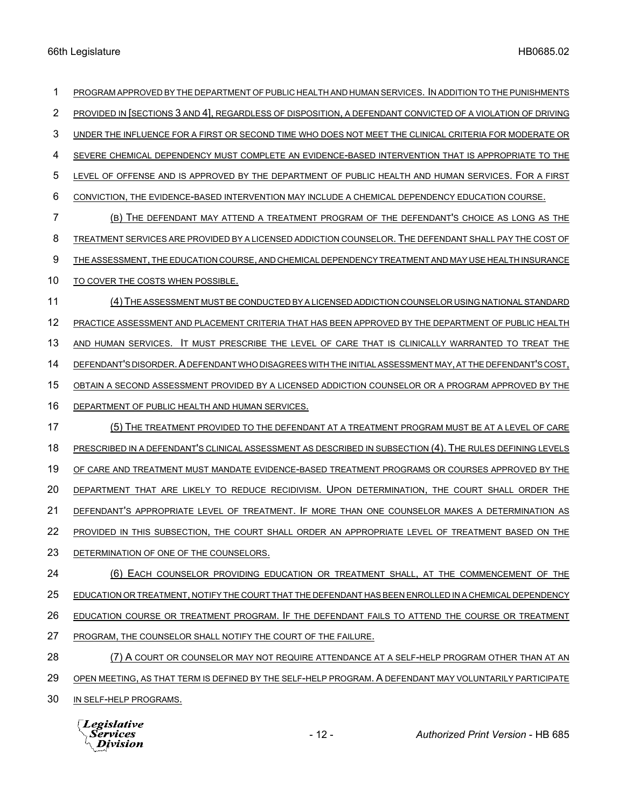PROGRAM APPROVED BY THE DEPARTMENT OF PUBLIC HEALTH AND HUMAN SERVICES. IN ADDITION TO THE PUNISHMENTS 2 PROVIDED IN [SECTIONS 3 AND 4], REGARDLESS OF DISPOSITION, A DEFENDANT CONVICTED OF A VIOLATION OF DRIVING UNDER THE INFLUENCE FOR A FIRST OR SECOND TIME WHO DOES NOT MEET THE CLINICAL CRITERIA FOR MODERATE OR SEVERE CHEMICAL DEPENDENCY MUST COMPLETE AN EVIDENCE-BASED INTERVENTION THAT IS APPROPRIATE TO THE LEVEL OF OFFENSE AND IS APPROVED BY THE DEPARTMENT OF PUBLIC HEALTH AND HUMAN SERVICES. FOR A FIRST CONVICTION, THE EVIDENCE-BASED INTERVENTION MAY INCLUDE A CHEMICAL DEPENDENCY EDUCATION COURSE. (B) THE DEFENDANT MAY ATTEND A TREATMENT PROGRAM OF THE DEFENDANT'S CHOICE AS LONG AS THE TREATMENT SERVICES ARE PROVIDED BY A LICENSED ADDICTION COUNSELOR. THE DEFENDANT SHALL PAY THE COST OF THE ASSESSMENT, THE EDUCATION COURSE, AND CHEMICAL DEPENDENCY TREATMENT AND MAY USE HEALTH INSURANCE TO COVER THE COSTS WHEN POSSIBLE. (4)THE ASSESSMENT MUST BE CONDUCTED BY A LICENSED ADDICTION COUNSELOR USING NATIONAL STANDARD PRACTICE ASSESSMENT AND PLACEMENT CRITERIA THAT HAS BEEN APPROVED BY THE DEPARTMENT OF PUBLIC HEALTH AND HUMAN SERVICES. IT MUST PRESCRIBE THE LEVEL OF CARE THAT IS CLINICALLY WARRANTED TO TREAT THE DEFENDANT'S DISORDER.A DEFENDANT WHO DISAGREES WITH THE INITIAL ASSESSMENT MAY, AT THE DEFENDANT'S COST, OBTAIN A SECOND ASSESSMENT PROVIDED BY A LICENSED ADDICTION COUNSELOR OR A PROGRAM APPROVED BY THE DEPARTMENT OF PUBLIC HEALTH AND HUMAN SERVICES. (5) THE TREATMENT PROVIDED TO THE DEFENDANT AT A TREATMENT PROGRAM MUST BE AT A LEVEL OF CARE PRESCRIBED IN A DEFENDANT'S CLINICAL ASSESSMENT AS DESCRIBED IN SUBSECTION (4). THE RULES DEFINING LEVELS OF CARE AND TREATMENT MUST MANDATE EVIDENCE-BASED TREATMENT PROGRAMS OR COURSES APPROVED BY THE DEPARTMENT THAT ARE LIKELY TO REDUCE RECIDIVISM. UPON DETERMINATION, THE COURT SHALL ORDER THE DEFENDANT'S APPROPRIATE LEVEL OF TREATMENT. IF MORE THAN ONE COUNSELOR MAKES A DETERMINATION AS 22 PROVIDED IN THIS SUBSECTION, THE COURT SHALL ORDER AN APPROPRIATE LEVEL OF TREATMENT BASED ON THE DETERMINATION OF ONE OF THE COUNSELORS. (6) EACH COUNSELOR PROVIDING EDUCATION OR TREATMENT SHALL, AT THE COMMENCEMENT OF THE EDUCATION OR TREATMENT, NOTIFY THE COURT THAT THE DEFENDANT HAS BEEN ENROLLED IN A CHEMICAL DEPENDENCY EDUCATION COURSE OR TREATMENT PROGRAM. IF THE DEFENDANT FAILS TO ATTEND THE COURSE OR TREATMENT PROGRAM, THE COUNSELOR SHALL NOTIFY THE COURT OF THE FAILURE. 28 (7) A COURT OR COUNSELOR MAY NOT REQUIRE ATTENDANCE AT A SELF-HELP PROGRAM OTHER THAN AT AN OPEN MEETING, AS THAT TERM IS DEFINED BY THE SELF-HELP PROGRAM. A DEFENDANT MAY VOLUNTARILY PARTICIPATE IN SELF-HELP PROGRAMS.

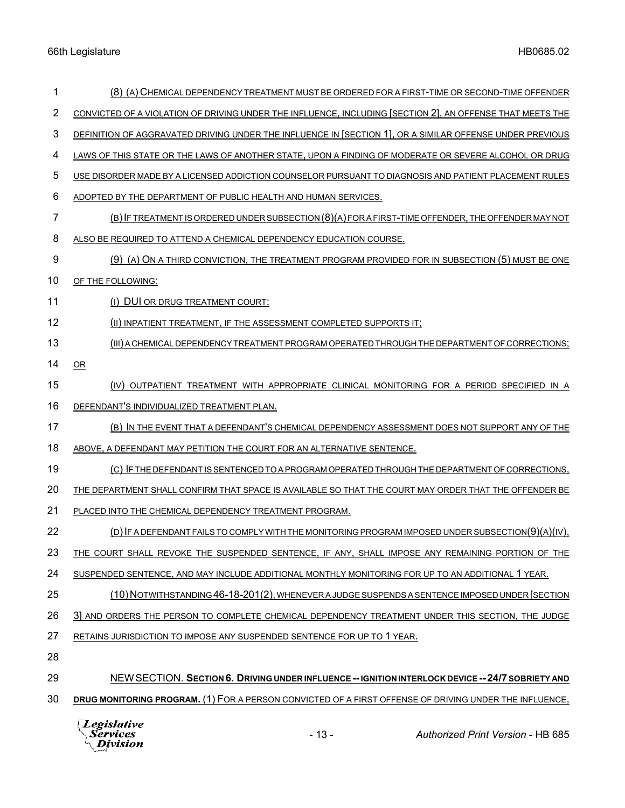| 1  | (8) (A) CHEMICAL DEPENDENCY TREATMENT MUST BE ORDERED FOR A FIRST-TIME OR SECOND-TIME OFFENDER            |
|----|-----------------------------------------------------------------------------------------------------------|
| 2  | CONVICTED OF A VIOLATION OF DRIVING UNDER THE INFLUENCE, INCLUDING [SECTION 2], AN OFFENSE THAT MEETS THE |
| 3  | DEFINITION OF AGGRAVATED DRIVING UNDER THE INFLUENCE IN SECTION 1, OR A SIMILAR OFFENSE UNDER PREVIOUS    |
| 4  | LAWS OF THIS STATE OR THE LAWS OF ANOTHER STATE, UPON A FINDING OF MODERATE OR SEVERE ALCOHOL OR DRUG     |
| 5  | USE DISORDER MADE BY A LICENSED ADDICTION COUNSELOR PURSUANT TO DIAGNOSIS AND PATIENT PLACEMENT RULES     |
| 6  | ADOPTED BY THE DEPARTMENT OF PUBLIC HEALTH AND HUMAN SERVICES.                                            |
| 7  | (B) IF TREATMENT IS ORDERED UNDER SUBSECTION (8)(A) FOR A FIRST-TIME OFFENDER, THE OFFENDER MAY NOT       |
| 8  | ALSO BE REQUIRED TO ATTEND A CHEMICAL DEPENDENCY EDUCATION COURSE.                                        |
| 9  | (9) (A) ON A THIRD CONVICTION, THE TREATMENT PROGRAM PROVIDED FOR IN SUBSECTION (5) MUST BE ONE           |
| 10 | OF THE FOLLOWING:                                                                                         |
| 11 | (I) DUI OR DRUG TREATMENT COURT;                                                                          |
| 12 | (II) INPATIENT TREATMENT, IF THE ASSESSMENT COMPLETED SUPPORTS IT;                                        |
| 13 | (III) A CHEMICAL DEPENDENCY TREATMENT PROGRAM OPERATED THROUGH THE DEPARTMENT OF CORRECTIONS;             |
| 14 | OR                                                                                                        |
| 15 | (IV) OUTPATIENT TREATMENT WITH APPROPRIATE CLINICAL MONITORING FOR A PERIOD SPECIFIED IN A                |
| 16 | DEFENDANT'S INDIVIDUALIZED TREATMENT PLAN.                                                                |
| 17 | (B) IN THE EVENT THAT A DEFENDANT'S CHEMICAL DEPENDENCY ASSESSMENT DOES NOT SUPPORT ANY OF THE            |
| 18 | ABOVE, A DEFENDANT MAY PETITION THE COURT FOR AN ALTERNATIVE SENTENCE.                                    |
| 19 | (C) IF THE DEFENDANT IS SENTENCED TO A PROGRAM OPERATED THROUGH THE DEPARTMENT OF CORRECTIONS,            |
| 20 | THE DEPARTMENT SHALL CONFIRM THAT SPACE IS AVAILABLE SO THAT THE COURT MAY ORDER THAT THE OFFENDER BE     |
| 21 | PLACED INTO THE CHEMICAL DEPENDENCY TREATMENT PROGRAM.                                                    |
| 22 | (D) IF A DEFENDANT FAILS TO COMPLY WITH THE MONITORING PROGRAM IMPOSED UNDER SUBSECTION(9)(A)(IV),        |
| 23 | THE COURT SHALL REVOKE THE SUSPENDED SENTENCE, IF ANY, SHALL IMPOSE ANY REMAINING PORTION OF THE          |
| 24 | SUSPENDED SENTENCE, AND MAY INCLUDE ADDITIONAL MONTHLY MONITORING FOR UP TO AN ADDITIONAL 1 YEAR.         |
| 25 | (10) NOTWITHSTANDING 46-18-201(2), WHENEVER A JUDGE SUSPENDS A SENTENCE IMPOSED UNDER [SECTION            |
| 26 | 3] AND ORDERS THE PERSON TO COMPLETE CHEMICAL DEPENDENCY TREATMENT UNDER THIS SECTION, THE JUDGE          |
| 27 | RETAINS JURISDICTION TO IMPOSE ANY SUSPENDED SENTENCE FOR UP TO 1 YEAR.                                   |
| 28 |                                                                                                           |
| 29 | NEW SECTION. SECTION 6. DRIVING UNDER INFLUENCE -- IGNITION INTERLOCK DEVICE -- 24/7 SOBRIETY AND         |
| 30 | DRUG MONITORING PROGRAM. (1) FOR A PERSON CONVICTED OF A FIRST OFFENSE OF DRIVING UNDER THE INFLUENCE,    |
|    | Legislative<br>$-13-$<br>Services<br><b>Authorized Print Version - HB 685</b><br>Division                 |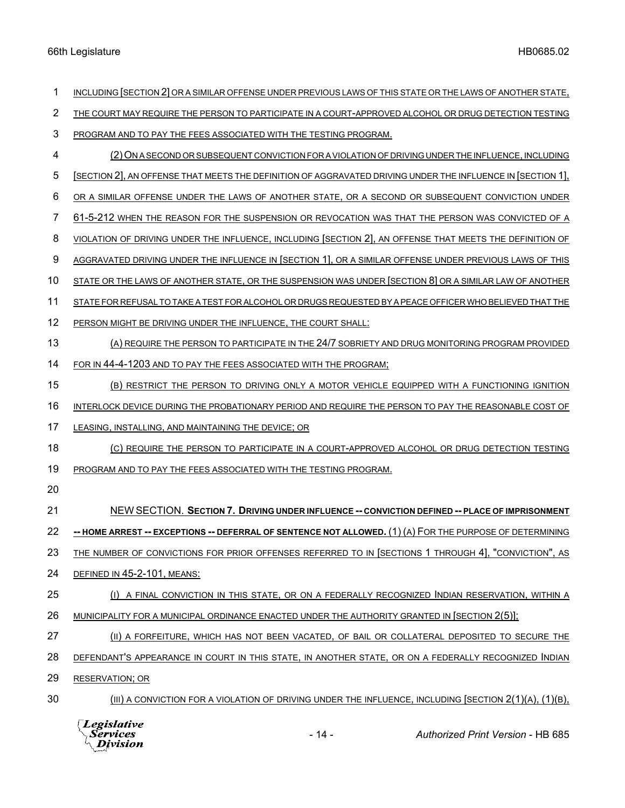| 1  | INCLUDING SECTION 2 OR A SIMILAR OFFENSE UNDER PREVIOUS LAWS OF THIS STATE OR THE LAWS OF ANOTHER STATE,       |
|----|----------------------------------------------------------------------------------------------------------------|
| 2  | THE COURT MAY REQUIRE THE PERSON TO PARTICIPATE IN A COURT-APPROVED ALCOHOL OR DRUG DETECTION TESTING          |
| 3  | PROGRAM AND TO PAY THE FEES ASSOCIATED WITH THE TESTING PROGRAM.                                               |
| 4  | (2) ON A SECOND OR SUBSEQUENT CONVICTION FOR A VIOLATION OF DRIVING UNDER THE INFLUENCE, INCLUDING             |
| 5  | [SECTION 2], AN OFFENSE THAT MEETS THE DEFINITION OF AGGRAVATED DRIVING UNDER THE INFLUENCE IN [SECTION 1],    |
| 6  | OR A SIMILAR OFFENSE UNDER THE LAWS OF ANOTHER STATE, OR A SECOND OR SUBSEQUENT CONVICTION UNDER               |
| 7  | 61-5-212 WHEN THE REASON FOR THE SUSPENSION OR REVOCATION WAS THAT THE PERSON WAS CONVICTED OF A               |
| 8  | VIOLATION OF DRIVING UNDER THE INFLUENCE, INCLUDING SECTION 2, AN OFFENSE THAT MEETS THE DEFINITION OF         |
| 9  | AGGRAVATED DRIVING UNDER THE INFLUENCE IN [SECTION 1], OR A SIMILAR OFFENSE UNDER PREVIOUS LAWS OF THIS        |
| 10 | STATE OR THE LAWS OF ANOTHER STATE, OR THE SUSPENSION WAS UNDER SECTION 8 OR A SIMILAR LAW OF ANOTHER          |
| 11 | STATE FOR REFUSAL TO TAKE A TEST FOR ALCOHOL OR DRUGS REQUESTED BY A PEACE OFFICER WHO BELIEVED THAT THE       |
| 12 | PERSON MIGHT BE DRIVING UNDER THE INFLUENCE, THE COURT SHALL:                                                  |
| 13 | (A) REQUIRE THE PERSON TO PARTICIPATE IN THE 24/7 SOBRIETY AND DRUG MONITORING PROGRAM PROVIDED                |
| 14 | FOR IN 44-4-1203 AND TO PAY THE FEES ASSOCIATED WITH THE PROGRAM;                                              |
| 15 | (B) RESTRICT THE PERSON TO DRIVING ONLY A MOTOR VEHICLE EQUIPPED WITH A FUNCTIONING IGNITION                   |
| 16 | INTERLOCK DEVICE DURING THE PROBATIONARY PERIOD AND REQUIRE THE PERSON TO PAY THE REASONABLE COST OF           |
| 17 | LEASING, INSTALLING, AND MAINTAINING THE DEVICE; OR                                                            |
| 18 | (C) REQUIRE THE PERSON TO PARTICIPATE IN A COURT-APPROVED ALCOHOL OR DRUG DETECTION TESTING                    |
| 19 | PROGRAM AND TO PAY THE FEES ASSOCIATED WITH THE TESTING PROGRAM.                                               |
| 20 |                                                                                                                |
| 21 | NEW SECTION. SECTION 7. DRIVING UNDER INFLUENCE -- CONVICTION DEFINED -- PLACE OF IMPRISONMENT                 |
| 22 | -- HOME ARREST -- EXCEPTIONS -- DEFERRAL OF SENTENCE NOT ALLOWED. (1) (A) FOR THE PURPOSE OF DETERMINING       |
| 23 | THE NUMBER OF CONVICTIONS FOR PRIOR OFFENSES REFERRED TO IN [SECTIONS 1 THROUGH 4], "CONVICTION", AS           |
| 24 | DEFINED IN 45-2-101, MEANS:                                                                                    |
| 25 | (I) A FINAL CONVICTION IN THIS STATE, OR ON A FEDERALLY RECOGNIZED INDIAN RESERVATION, WITHIN A                |
| 26 | MUNICIPALITY FOR A MUNICIPAL ORDINANCE ENACTED UNDER THE AUTHORITY GRANTED IN [SECTION 2(5)];                  |
| 27 | (II) A FORFEITURE, WHICH HAS NOT BEEN VACATED, OF BAIL OR COLLATERAL DEPOSITED TO SECURE THE                   |
| 28 | DEFENDANT'S APPEARANCE IN COURT IN THIS STATE, IN ANOTHER STATE, OR ON A FEDERALLY RECOGNIZED INDIAN           |
| 29 | <b>RESERVATION; OR</b>                                                                                         |
| 30 | $(III)$ A CONVICTION FOR A VIOLATION OF DRIVING UNDER THE INFLUENCE, INCLUDING [SECTION $2(1)(A)$ , $(1)(B)$ , |

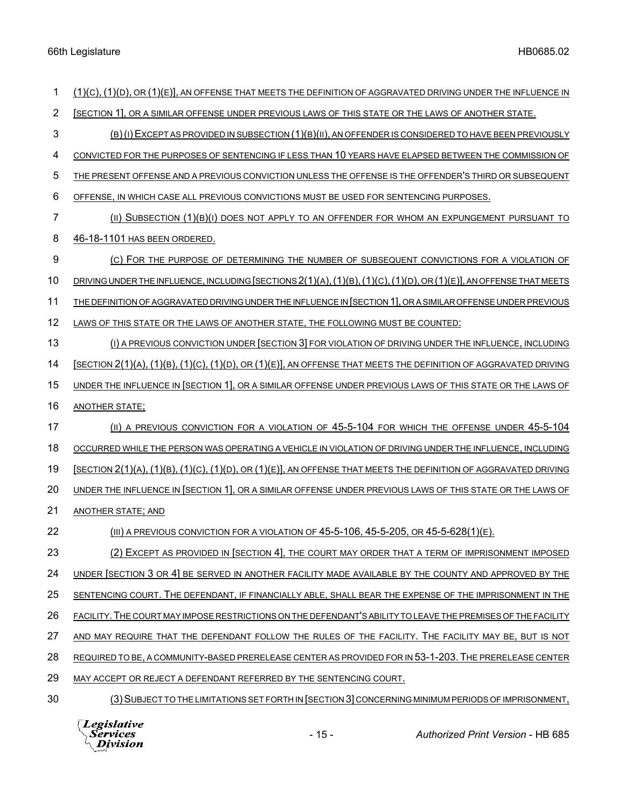(1)(C), (1)(D), OR (1)(E)], AN OFFENSE THAT MEETS THE DEFINITION OF AGGRAVATED DRIVING UNDER THE INFLUENCE IN 2 [SECTION 1], OR A SIMILAR OFFENSE UNDER PREVIOUS LAWS OF THIS STATE OR THE LAWS OF ANOTHER STATE. (B)(I)EXCEPT AS PROVIDED IN SUBSECTION (1)(B)(II), AN OFFENDER IS CONSIDERED TO HAVE BEEN PREVIOUSLY CONVICTED FOR THE PURPOSES OF SENTENCING IF LESS THAN 10 YEARS HAVE ELAPSED BETWEEN THE COMMISSION OF THE PRESENT OFFENSE AND A PREVIOUS CONVICTION UNLESS THE OFFENSE IS THE OFFENDER'S THIRD OR SUBSEQUENT OFFENSE, IN WHICH CASE ALL PREVIOUS CONVICTIONS MUST BE USED FOR SENTENCING PURPOSES. (II) SUBSECTION (1)(B)(I) DOES NOT APPLY TO AN OFFENDER FOR WHOM AN EXPUNGEMENT PURSUANT TO 46-18-1101 HAS BEEN ORDERED. (C) FOR THE PURPOSE OF DETERMINING THE NUMBER OF SUBSEQUENT CONVICTIONS FOR A VIOLATION OF DRIVING UNDER THE INFLUENCE, INCLUDING [SECTIONS 2(1)(A),(1)(B),(1)(C),(1)(D), OR (1)(E)], AN OFFENSE THAT MEETS THE DEFINITION OF AGGRAVATED DRIVING UNDER THE INFLUENCE IN [SECTION 1], OR A SIMILAR OFFENSE UNDER PREVIOUS LAWS OF THIS STATE OR THE LAWS OF ANOTHER STATE, THE FOLLOWING MUST BE COUNTED: (I) A PREVIOUS CONVICTION UNDER [SECTION 3] FOR VIOLATION OF DRIVING UNDER THE INFLUENCE, INCLUDING [SECTION 2(1)(A), (1)(B), (1)(C), (1)(D), OR (1)(E)], AN OFFENSE THAT MEETS THE DEFINITION OF AGGRAVATED DRIVING UNDER THE INFLUENCE IN [SECTION 1], OR A SIMILAR OFFENSE UNDER PREVIOUS LAWS OF THIS STATE OR THE LAWS OF ANOTHER STATE; 17 (II) A PREVIOUS CONVICTION FOR A VIOLATION OF 45-5-104 FOR WHICH THE OFFENSE UNDER 45-5-104 OCCURRED WHILE THE PERSON WAS OPERATING A VEHICLE IN VIOLATION OF DRIVING UNDER THE INFLUENCE, INCLUDING [SECTION 2(1)(A), (1)(B), (1)(C), (1)(D), OR (1)(E)], AN OFFENSE THAT MEETS THE DEFINITION OF AGGRAVATED DRIVING UNDER THE INFLUENCE IN [SECTION 1], OR A SIMILAR OFFENSE UNDER PREVIOUS LAWS OF THIS STATE OR THE LAWS OF ANOTHER STATE; AND (III) A PREVIOUS CONVICTION FOR A VIOLATION OF 45-5-106, 45-5-205, OR 45-5-628(1)(E). 23 (2) EXCEPT AS PROVIDED IN [SECTION 4], THE COURT MAY ORDER THAT A TERM OF IMPRISONMENT IMPOSED UNDER [SECTION 3 OR 4] BE SERVED IN ANOTHER FACILITY MADE AVAILABLE BY THE COUNTY AND APPROVED BY THE SENTENCING COURT. THE DEFENDANT, IF FINANCIALLY ABLE, SHALL BEAR THE EXPENSE OF THE IMPRISONMENT IN THE FACILITY.THE COURT MAY IMPOSE RESTRICTIONS ON THE DEFENDANT'S ABILITY TO LEAVE THE PREMISES OF THE FACILITY AND MAY REQUIRE THAT THE DEFENDANT FOLLOW THE RULES OF THE FACILITY. THE FACILITY MAY BE, BUT IS NOT REQUIRED TO BE, A COMMUNITY-BASED PRERELEASE CENTER AS PROVIDED FOR IN 53-1-203. THE PRERELEASE CENTER MAY ACCEPT OR REJECT A DEFENDANT REFERRED BY THE SENTENCING COURT. (3)SUBJECT TO THE LIMITATIONS SET FORTH IN [SECTION 3] CONCERNING MINIMUM PERIODS OF IMPRISONMENT,

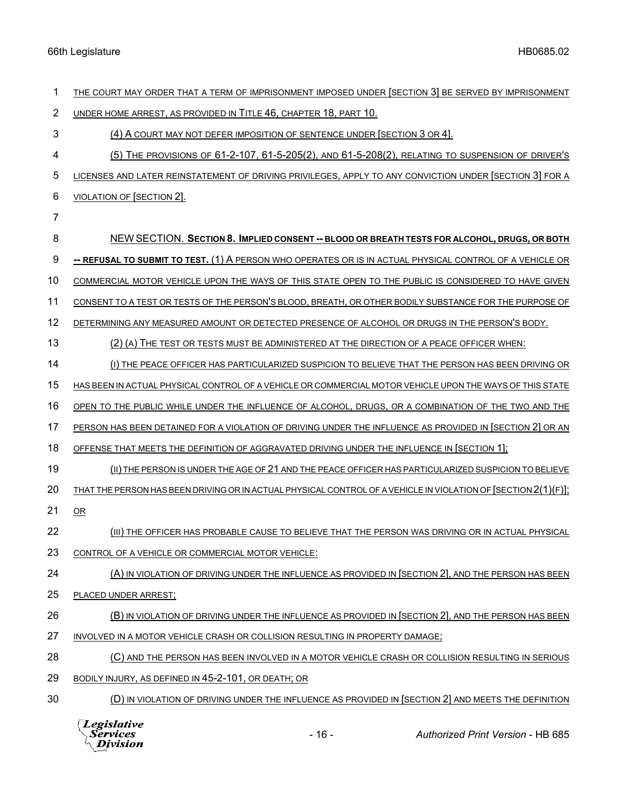| 1              | THE COURT MAY ORDER THAT A TERM OF IMPRISONMENT IMPOSED UNDER [SECTION 3] BE SERVED BY IMPRISONMENT            |
|----------------|----------------------------------------------------------------------------------------------------------------|
| $\overline{2}$ | UNDER HOME ARREST, AS PROVIDED IN TITLE 46, CHAPTER 18, PART 10.                                               |
| $\mathbf{3}$   | (4) A COURT MAY NOT DEFER IMPOSITION OF SENTENCE UNDER [SECTION 3 OR 4].                                       |
| 4              | (5) THE PROVISIONS OF 61-2-107, 61-5-205(2), AND 61-5-208(2), RELATING TO SUSPENSION OF DRIVER'S               |
| 5              | LICENSES AND LATER REINSTATEMENT OF DRIVING PRIVILEGES, APPLY TO ANY CONVICTION UNDER [SECTION 3] FOR A        |
| 6              | <b>VIOLATION OF [SECTION 2].</b>                                                                               |
| 7              |                                                                                                                |
| 8              | NEW SECTION. SECTION 8. IMPLIED CONSENT -- BLOOD OR BREATH TESTS FOR ALCOHOL, DRUGS, OR BOTH                   |
| 9              | -- REFUSAL TO SUBMIT TO TEST. (1) A PERSON WHO OPERATES OR IS IN ACTUAL PHYSICAL CONTROL OF A VEHICLE OR       |
| 10             | COMMERCIAL MOTOR VEHICLE UPON THE WAYS OF THIS STATE OPEN TO THE PUBLIC IS CONSIDERED TO HAVE GIVEN            |
| 11             | CONSENT TO A TEST OR TESTS OF THE PERSON'S BLOOD, BREATH, OR OTHER BODILY SUBSTANCE FOR THE PURPOSE OF         |
| 12             | DETERMINING ANY MEASURED AMOUNT OR DETECTED PRESENCE OF ALCOHOL OR DRUGS IN THE PERSON'S BODY.                 |
| 13             | (2) (A) THE TEST OR TESTS MUST BE ADMINISTERED AT THE DIRECTION OF A PEACE OFFICER WHEN:                       |
| 14             | (I) THE PEACE OFFICER HAS PARTICULARIZED SUSPICION TO BELIEVE THAT THE PERSON HAS BEEN DRIVING OR              |
| 15             | HAS BEEN IN ACTUAL PHYSICAL CONTROL OF A VEHICLE OR COMMERCIAL MOTOR VEHICLE UPON THE WAYS OF THIS STATE       |
| 16             | OPEN TO THE PUBLIC WHILE UNDER THE INFLUENCE OF ALCOHOL, DRUGS, OR A COMBINATION OF THE TWO AND THE            |
| 17             | PERSON HAS BEEN DETAINED FOR A VIOLATION OF DRIVING UNDER THE INFLUENCE AS PROVIDED IN [SECTION 2] OR AN       |
| 18             | OFFENSE THAT MEETS THE DEFINITION OF AGGRAVATED DRIVING UNDER THE INFLUENCE IN [SECTION 1];                    |
| 19             | (II) THE PERSON IS UNDER THE AGE OF 21 AND THE PEACE OFFICER HAS PARTICULARIZED SUSPICION TO BELIEVE           |
| 20             | THAT THE PERSON HAS BEEN DRIVING OR IN ACTUAL PHYSICAL CONTROL OF A VEHICLE IN VIOLATION OF [SECTION 2(1)(F)]; |
| 21             | OR                                                                                                             |
| 22             | (III) THE OFFICER HAS PROBABLE CAUSE TO BELIEVE THAT THE PERSON WAS DRIVING OR IN ACTUAL PHYSICAL              |
| 23             | CONTROL OF A VEHICLE OR COMMERCIAL MOTOR VEHICLE:                                                              |
| 24             | (A) IN VIOLATION OF DRIVING UNDER THE INFLUENCE AS PROVIDED IN [SECTION 2], AND THE PERSON HAS BEEN            |
| 25             | PLACED UNDER ARREST;                                                                                           |
| 26             | (B) IN VIOLATION OF DRIVING UNDER THE INFLUENCE AS PROVIDED IN [SECTION 2], AND THE PERSON HAS BEEN            |
| 27             | INVOLVED IN A MOTOR VEHICLE CRASH OR COLLISION RESULTING IN PROPERTY DAMAGE;                                   |
| 28             | (C) AND THE PERSON HAS BEEN INVOLVED IN A MOTOR VEHICLE CRASH OR COLLISION RESULTING IN SERIOUS                |
| 29             | BODILY INJURY, AS DEFINED IN 45-2-101, OR DEATH; OR                                                            |
| 30             | (D) IN VIOLATION OF DRIVING UNDER THE INFLUENCE AS PROVIDED IN [SECTION 2] AND MEETS THE DEFINITION            |
|                |                                                                                                                |



- 16 - *Authorized Print Version* - HB 685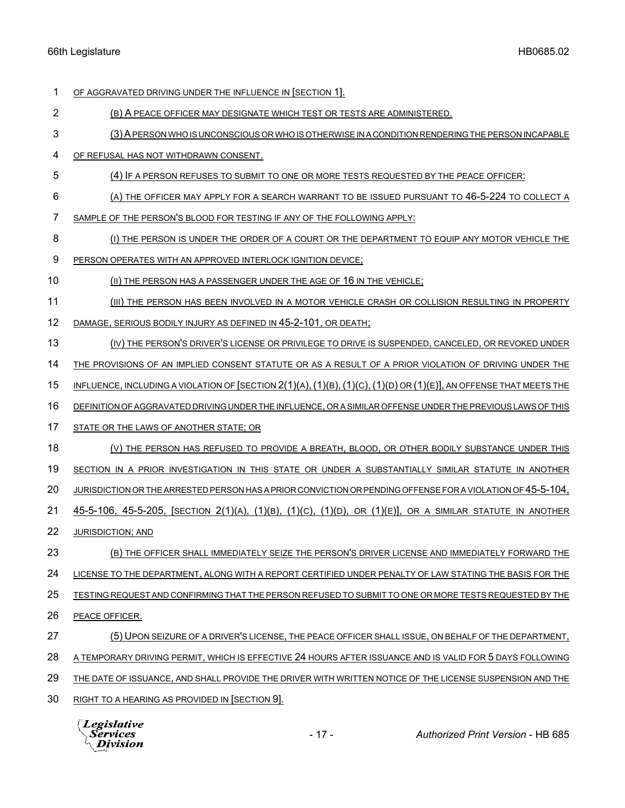OF AGGRAVATED DRIVING UNDER THE INFLUENCE IN [SECTION 1].

- (B) A PEACE OFFICER MAY DESIGNATE WHICH TEST OR TESTS ARE ADMINISTERED.
- (3)A PERSON WHO IS UNCONSCIOUS OR WHO IS OTHERWISE IN A CONDITION RENDERING THE PERSON INCAPABLE
- OF REFUSAL HAS NOT WITHDRAWN CONSENT.
- (4) IF A PERSON REFUSES TO SUBMIT TO ONE OR MORE TESTS REQUESTED BY THE PEACE OFFICER:
- 6 (A) THE OFFICER MAY APPLY FOR A SEARCH WARRANT TO BE ISSUED PURSUANT TO 46-5-224 TO COLLECT A
- SAMPLE OF THE PERSON'S BLOOD FOR TESTING IF ANY OF THE FOLLOWING APPLY:
- (I) THE PERSON IS UNDER THE ORDER OF A COURT OR THE DEPARTMENT TO EQUIP ANY MOTOR VEHICLE THE
- PERSON OPERATES WITH AN APPROVED INTERLOCK IGNITION DEVICE;
- (II) THE PERSON HAS A PASSENGER UNDER THE AGE OF 16 IN THE VEHICLE;
- (III) THE PERSON HAS BEEN INVOLVED IN A MOTOR VEHICLE CRASH OR COLLISION RESULTING IN PROPERTY
- DAMAGE, SERIOUS BODILY INJURY AS DEFINED IN 45-2-101, OR DEATH;
- (IV) THE PERSON'S DRIVER'S LICENSE OR PRIVILEGE TO DRIVE IS SUSPENDED, CANCELED, OR REVOKED UNDER
- 14 THE PROVISIONS OF AN IMPLIED CONSENT STATUTE OR AS A RESULT OF A PRIOR VIOLATION OF DRIVING UNDER THE
- INFLUENCE, INCLUDING A VIOLATION OF [SECTION 2(1)(A),(1)(B),(1)(C),(1)(D) OR (1)(E)], AN OFFENSE THAT MEETS THE
- DEFINITION OF AGGRAVATED DRIVING UNDER THE INFLUENCE, OR A SIMILAR OFFENSE UNDER THE PREVIOUS LAWS OF THIS
- STATE OR THE LAWS OF ANOTHER STATE; OR
- 18 (V) THE PERSON HAS REFUSED TO PROVIDE A BREATH, BLOOD, OR OTHER BODILY SUBSTANCE UNDER THIS
- SECTION IN A PRIOR INVESTIGATION IN THIS STATE OR UNDER A SUBSTANTIALLY SIMILAR STATUTE IN ANOTHER
- JURISDICTION OR THE ARRESTED PERSON HAS A PRIOR CONVICTION OR PENDING OFFENSE FOR A VIOLATION OF 45-5-104,
- 45-5-106, 45-5-205, [SECTION 2(1)(A), (1)(B), (1)(C), (1)(D), OR (1)(E)], OR A SIMILAR STATUTE IN ANOTHER
- JURISDICTION; AND
- (B) THE OFFICER SHALL IMMEDIATELY SEIZE THE PERSON'S DRIVER LICENSE AND IMMEDIATELY FORWARD THE
- LICENSE TO THE DEPARTMENT, ALONG WITH A REPORT CERTIFIED UNDER PENALTY OF LAW STATING THE BASIS FOR THE

TESTING REQUEST AND CONFIRMING THAT THE PERSON REFUSED TO SUBMIT TO ONE OR MORE TESTS REQUESTED BY THE

- PEACE OFFICER.
- (5) UPON SEIZURE OF A DRIVER'S LICENSE, THE PEACE OFFICER SHALL ISSUE, ON BEHALF OF THE DEPARTMENT,
- A TEMPORARY DRIVING PERMIT, WHICH IS EFFECTIVE 24 HOURS AFTER ISSUANCE AND IS VALID FOR 5 DAYS FOLLOWING
- THE DATE OF ISSUANCE, AND SHALL PROVIDE THE DRIVER WITH WRITTEN NOTICE OF THE LICENSE SUSPENSION AND THE
- RIGHT TO A HEARING AS PROVIDED IN [SECTION 9].

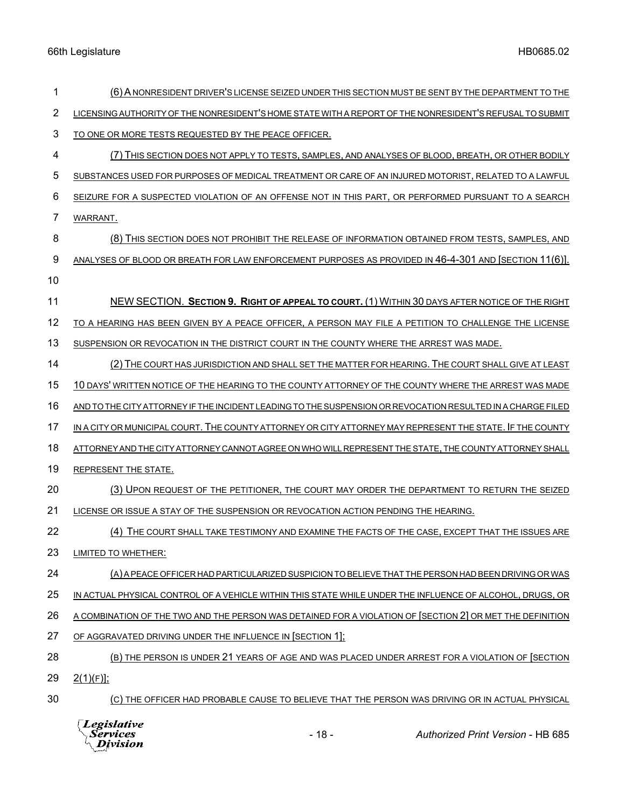| 1  | (6) A NONRESIDENT DRIVER'S LICENSE SEIZED UNDER THIS SECTION MUST BE SENT BY THE DEPARTMENT TO THE          |
|----|-------------------------------------------------------------------------------------------------------------|
| 2  | LICENSING AUTHORITY OF THE NONRESIDENT'S HOME STATE WITH A REPORT OF THE NONRESIDENT'S REFUSAL TO SUBMIT    |
| 3  | TO ONE OR MORE TESTS REQUESTED BY THE PEACE OFFICER.                                                        |
| 4  | (7) THIS SECTION DOES NOT APPLY TO TESTS, SAMPLES, AND ANALYSES OF BLOOD, BREATH, OR OTHER BODILY           |
| 5  | SUBSTANCES USED FOR PURPOSES OF MEDICAL TREATMENT OR CARE OF AN INJURED MOTORIST, RELATED TO A LAWFUL       |
| 6  | SEIZURE FOR A SUSPECTED VIOLATION OF AN OFFENSE NOT IN THIS PART, OR PERFORMED PURSUANT TO A SEARCH         |
| 7  | WARRANT.                                                                                                    |
| 8  | (8) THIS SECTION DOES NOT PROHIBIT THE RELEASE OF INFORMATION OBTAINED FROM TESTS, SAMPLES, AND             |
| 9  | ANALYSES OF BLOOD OR BREATH FOR LAW ENFORCEMENT PURPOSES AS PROVIDED IN 46-4-301 AND [SECTION 11(6)].       |
| 10 |                                                                                                             |
| 11 | NEW SECTION. SECTION 9. RIGHT OF APPEAL TO COURT. (1) WITHIN 30 DAYS AFTER NOTICE OF THE RIGHT              |
| 12 | TO A HEARING HAS BEEN GIVEN BY A PEACE OFFICER, A PERSON MAY FILE A PETITION TO CHALLENGE THE LICENSE       |
| 13 | SUSPENSION OR REVOCATION IN THE DISTRICT COURT IN THE COUNTY WHERE THE ARREST WAS MADE.                     |
| 14 | (2) THE COURT HAS JURISDICTION AND SHALL SET THE MATTER FOR HEARING. THE COURT SHALL GIVE AT LEAST          |
| 15 | 10 DAYS' WRITTEN NOTICE OF THE HEARING TO THE COUNTY ATTORNEY OF THE COUNTY WHERE THE ARREST WAS MADE       |
| 16 | AND TO THE CITY ATTORNEY IF THE INCIDENT LEADING TO THE SUSPENSION OR REVOCATION RESULTED IN A CHARGE FILED |
| 17 | IN A CITY OR MUNICIPAL COURT. THE COUNTY ATTORNEY OR CITY ATTORNEY MAY REPRESENT THE STATE. IF THE COUNTY   |
| 18 | ATTORNEY AND THE CITY ATTORNEY CANNOT AGREE ON WHO WILL REPRESENT THE STATE, THE COUNTY ATTORNEY SHALL      |
| 19 | REPRESENT THE STATE.                                                                                        |
| 20 | (3) UPON REQUEST OF THE PETITIONER. THE COURT MAY ORDER THE DEPARTMENT TO RETURN THE SEIZED                 |
| 21 | LICENSE OR ISSUE A STAY OF THE SUSPENSION OR REVOCATION ACTION PENDING THE HEARING.                         |
| 22 | (4) THE COURT SHALL TAKE TESTIMONY AND EXAMINE THE FACTS OF THE CASE, EXCEPT THAT THE ISSUES ARE            |
| 23 | LIMITED TO WHETHER:                                                                                         |
| 24 | (A) A PEACE OFFICER HAD PARTICULARIZED SUSPICION TO BELIEVE THAT THE PERSON HAD BEEN DRIVING OR WAS         |
| 25 | IN ACTUAL PHYSICAL CONTROL OF A VEHICLE WITHIN THIS STATE WHILE UNDER THE INFLUENCE OF ALCOHOL, DRUGS, OR   |
| 26 | A COMBINATION OF THE TWO AND THE PERSON WAS DETAINED FOR A VIOLATION OF [SECTION 2] OR MET THE DEFINITION   |
| 27 | OF AGGRAVATED DRIVING UNDER THE INFLUENCE IN [SECTION 1];                                                   |
| 28 | (B) THE PERSON IS UNDER 21 YEARS OF AGE AND WAS PLACED UNDER ARREST FOR A VIOLATION OF [SECTION             |
| 29 | $2(1)(F)$ :                                                                                                 |
| 30 | (C) THE OFFICER HAD PROBABLE CAUSE TO BELIEVE THAT THE PERSON WAS DRIVING OR IN ACTUAL PHYSICAL             |

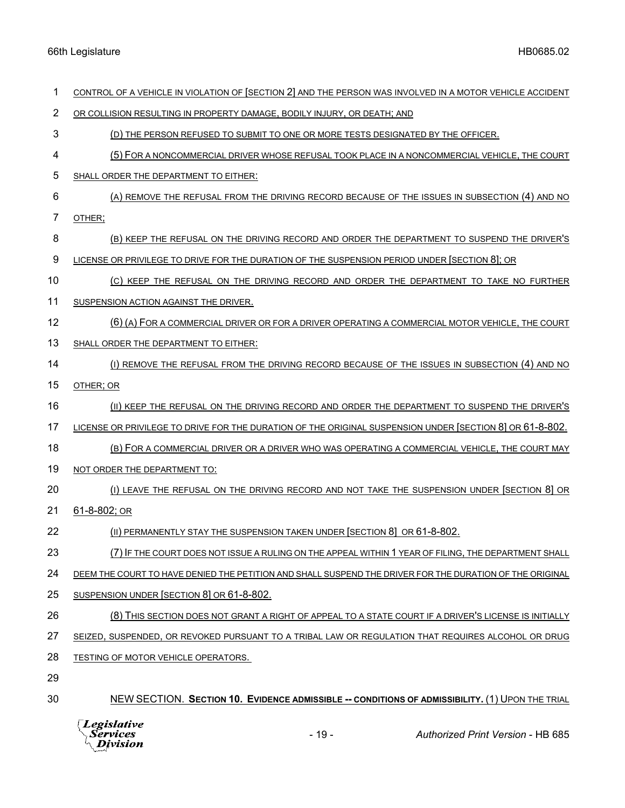| 1   | CONTROL OF A VEHICLE IN VIOLATION OF [SECTION 2] AND THE PERSON WAS INVOLVED IN A MOTOR VEHICLE ACCIDENT |
|-----|----------------------------------------------------------------------------------------------------------|
| 2   | OR COLLISION RESULTING IN PROPERTY DAMAGE, BODILY INJURY, OR DEATH; AND                                  |
| 3   | (D) THE PERSON REFUSED TO SUBMIT TO ONE OR MORE TESTS DESIGNATED BY THE OFFICER.                         |
| 4   | (5) FOR A NONCOMMERCIAL DRIVER WHOSE REFUSAL TOOK PLACE IN A NONCOMMERCIAL VEHICLE, THE COURT            |
| 5   | SHALL ORDER THE DEPARTMENT TO EITHER:                                                                    |
| 6   | (A) REMOVE THE REFUSAL FROM THE DRIVING RECORD BECAUSE OF THE ISSUES IN SUBSECTION (4) AND NO            |
| 7   | OTHER;                                                                                                   |
| 8   | (B) KEEP THE REFUSAL ON THE DRIVING RECORD AND ORDER THE DEPARTMENT TO SUSPEND THE DRIVER'S              |
| 9   | LICENSE OR PRIVILEGE TO DRIVE FOR THE DURATION OF THE SUSPENSION PERIOD UNDER [SECTION 8]; OR            |
| 10  | (C) KEEP THE REFUSAL ON THE DRIVING RECORD AND ORDER THE DEPARTMENT TO TAKE NO FURTHER                   |
| 11  | SUSPENSION ACTION AGAINST THE DRIVER.                                                                    |
| 12  | (6) (A) FOR A COMMERCIAL DRIVER OR FOR A DRIVER OPERATING A COMMERCIAL MOTOR VEHICLE, THE COURT          |
| 13  | SHALL ORDER THE DEPARTMENT TO EITHER:                                                                    |
| 14  | (I) REMOVE THE REFUSAL FROM THE DRIVING RECORD BECAUSE OF THE ISSUES IN SUBSECTION (4) AND NO            |
| 15  | OTHER; OR                                                                                                |
| 16  | (II) KEEP THE REFUSAL ON THE DRIVING RECORD AND ORDER THE DEPARTMENT TO SUSPEND THE DRIVER'S             |
| 17  | LICENSE OR PRIVILEGE TO DRIVE FOR THE DURATION OF THE ORIGINAL SUSPENSION UNDER [SECTION 8] OR 61-8-802. |
| 18  | (B) FOR A COMMERCIAL DRIVER OR A DRIVER WHO WAS OPERATING A COMMERCIAL VEHICLE, THE COURT MAY            |
| 19  | NOT ORDER THE DEPARTMENT TO:                                                                             |
| 20  | (1) LEAVE THE REFUSAL ON THE DRIVING RECORD AND NOT TAKE THE SUSPENSION UNDER [SECTION 8] OR             |
| 21  | 61-8-802; OR                                                                                             |
| 22  | (II) PERMANENTLY STAY THE SUSPENSION TAKEN UNDER [SECTION 8] OR 61-8-802.                                |
| 23  | (7) IF THE COURT DOES NOT ISSUE A RULING ON THE APPEAL WITHIN 1 YEAR OF FILING, THE DEPARTMENT SHALL     |
| 24  | DEEM THE COURT TO HAVE DENIED THE PETITION AND SHALL SUSPEND THE DRIVER FOR THE DURATION OF THE ORIGINAL |
| 25  | SUSPENSION UNDER [SECTION 8] OR 61-8-802.                                                                |
| 26  | (8) THIS SECTION DOES NOT GRANT A RIGHT OF APPEAL TO A STATE COURT IF A DRIVER'S LICENSE IS INITIALLY    |
| 27  | SEIZED, SUSPENDED, OR REVOKED PURSUANT TO A TRIBAL LAW OR REGULATION THAT REQUIRES ALCOHOL OR DRUG       |
| 28  | TESTING OF MOTOR VEHICLE OPERATORS.                                                                      |
| nn. |                                                                                                          |

29

30 NEW SECTION. **SECTION 10. EVIDENCE ADMISSIBLE -- CONDITIONS OF ADMISSIBILITY.** (1) UPON THE TRIAL

- 
- 
- 6 (A) REMOVE THE REFUSAL FROM THE DRIVING RECORD BECAUSE OF THE ISSUES IN SUBSECTION (4) AND NO
- 
- 8 (B) KEEP THE REFUSAL ON THE DRIVING RECORD AND ORDER THE DEPARTMENT TO SUSPEND THE DRIVER'S
- 9 LICENSE OR PRIVILEGE TO DRIVE FOR THE DURATION OF THE SUSPENSION PERIOD UNDER [SECTION 8]; OR
- 10 6 10 (C) KEEP THE REFUSAL ON THE DRIVING RECORD AND ORDER THE DEPARTMENT TO TAKE NO FURTHER
- 11 SUSPENSION ACTION AGAINST THE DRIVER.
- 12 (6) (A) FOR A COMMERCIAL DRIVER OR FOR A DRIVER OPERATING A COMMERCIAL MOTOR VEHICLE, THE COURT
- 13 SHALL ORDER THE DEPARTMENT TO EITHER:
- 14 (I) REMOVE THE REFUSAL FROM THE DRIVING RECORD BECAUSE OF THE ISSUES IN SUBSECTION (4) AND NO
- 16 (II) KEEP THE REFUSAL ON THE DRIVING RECORD AND ORDER THE DEPARTMENT TO SUSPEND THE DRIVER'S
- 17 LICENSE OR PRIVILEGE TO DRIVE FOR THE DURATION OF THE ORIGINAL SUSPENSION UNDER [SECTION 8] OR 61-8-802.
- 18 (B) FOR A COMMERCIAL DRIVER OR A DRIVER WHO WAS OPERATING A COMMERCIAL VEHICLE, THE COURT MAY
- 19 NOT ORDER THE DEPARTMENT TO:
- 20 (I) LEAVE THE REFUSAL ON THE DRIVING RECORD AND NOT TAKE THE SUSPENSION UNDER [SECTION 8] OR

## 21 <u>61-8-802; or</u>

- 22 (II) PERMANENTLY STAY THE SUSPENSION TAKEN UNDER [SECTION 8] OR 61-8-802.
- 23 (7) IF THE COURT DOES NOT ISSUE A RULING ON THE APPEAL WITHIN 1 YEAR OF FILING, THE DEPARTMENT SHALL

- 25 SUSPENSION UNDER SECTION 8 OR 61-8-802.
- 26 (8) THIS SECTION DOES NOT GRANT A RIGHT OF APPEAL TO A STATE COURT IF A DRIVER'S LICENSE IS INITIALLY
- 27 SEIZED, SUSPENDED, OR REVOKED PURSUANT TO A TRIBAL LAW OR REGULATION THAT REQUIRES ALCOHOL OR DRUG

*Legislative*<br>Services  $\setminus$  Division

- 19 - *Authorized Print Version* - HB 685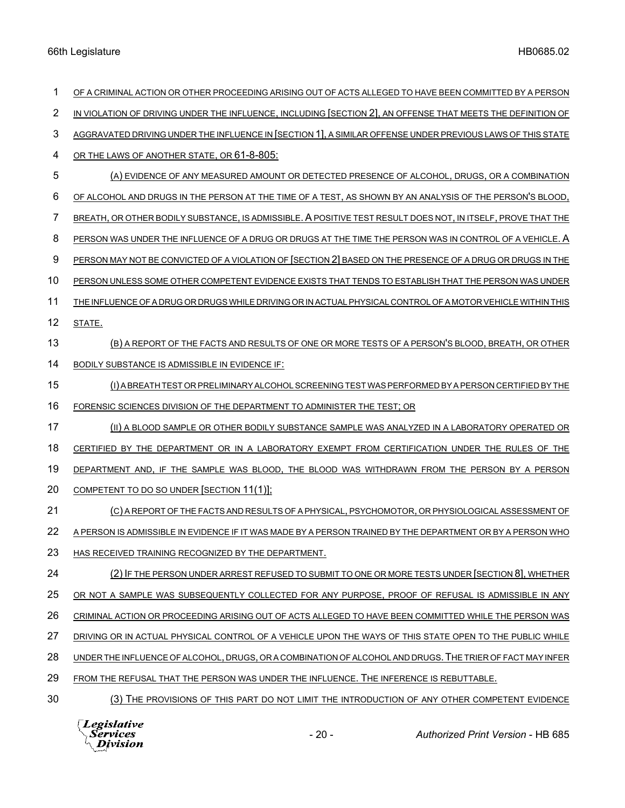| 1  | OF A CRIMINAL ACTION OR OTHER PROCEEDING ARISING OUT OF ACTS ALLEGED TO HAVE BEEN COMMITTED BY A PERSON      |
|----|--------------------------------------------------------------------------------------------------------------|
| 2  | IN VIOLATION OF DRIVING UNDER THE INFLUENCE, INCLUDING [SECTION 2], AN OFFENSE THAT MEETS THE DEFINITION OF  |
| 3  | AGGRAVATED DRIVING UNDER THE INFLUENCE IN [SECTION 1], A SIMILAR OFFENSE UNDER PREVIOUS LAWS OF THIS STATE   |
| 4  | OR THE LAWS OF ANOTHER STATE, OR 61-8-805:                                                                   |
| 5  | (A) EVIDENCE OF ANY MEASURED AMOUNT OR DETECTED PRESENCE OF ALCOHOL, DRUGS, OR A COMBINATION                 |
| 6  | OF ALCOHOL AND DRUGS IN THE PERSON AT THE TIME OF A TEST, AS SHOWN BY AN ANALYSIS OF THE PERSON'S BLOOD,     |
| 7  | BREATH, OR OTHER BODILY SUBSTANCE, IS ADMISSIBLE. A POSITIVE TEST RESULT DOES NOT, IN ITSELF, PROVE THAT THE |
| 8  | PERSON WAS UNDER THE INFLUENCE OF A DRUG OR DRUGS AT THE TIME THE PERSON WAS IN CONTROL OF A VEHICLE. A      |
| 9  | PERSON MAY NOT BE CONVICTED OF A VIOLATION OF [SECTION 2] BASED ON THE PRESENCE OF A DRUG OR DRUGS IN THE    |
| 10 | PERSON UNLESS SOME OTHER COMPETENT EVIDENCE EXISTS THAT TENDS TO ESTABLISH THAT THE PERSON WAS UNDER         |
| 11 | THE INFLUENCE OF A DRUG OR DRUGS WHILE DRIVING OR IN ACTUAL PHYSICAL CONTROL OF A MOTOR VEHICLE WITHIN THIS  |
| 12 | STATE.                                                                                                       |
| 13 | (B) A REPORT OF THE FACTS AND RESULTS OF ONE OR MORE TESTS OF A PERSON'S BLOOD, BREATH, OR OTHER             |
| 14 | BODILY SUBSTANCE IS ADMISSIBLE IN EVIDENCE IF:                                                               |
| 15 | (I) A BREATH TEST OR PRELIMINARY ALCOHOL SCREENING TEST WAS PERFORMED BY A PERSON CERTIFIED BY THE           |
| 16 | FORENSIC SCIENCES DIVISION OF THE DEPARTMENT TO ADMINISTER THE TEST; OR                                      |
| 17 | (II) A BLOOD SAMPLE OR OTHER BODILY SUBSTANCE SAMPLE WAS ANALYZED IN A LABORATORY OPERATED OR                |
| 18 | CERTIFIED BY THE DEPARTMENT OR IN A LABORATORY EXEMPT FROM CERTIFICATION UNDER THE RULES OF THE              |
| 19 | DEPARTMENT AND, IF THE SAMPLE WAS BLOOD, THE BLOOD WAS WITHDRAWN FROM THE PERSON BY A PERSON                 |
| 20 | <b>COMPETENT TO DO SO UNDER [SECTION 11(1)]:</b>                                                             |
| 21 | (C) A REPORT OF THE FACTS AND RESULTS OF A PHYSICAL, PSYCHOMOTOR, OR PHYSIOLOGICAL ASSESSMENT OF             |
| 22 | A PERSON IS ADMISSIBLE IN EVIDENCE IF IT WAS MADE BY A PERSON TRAINED BY THE DEPARTMENT OR BY A PERSON WHO   |
| 23 | HAS RECEIVED TRAINING RECOGNIZED BY THE DEPARTMENT.                                                          |
| 24 | (2) IF THE PERSON UNDER ARREST REFUSED TO SUBMIT TO ONE OR MORE TESTS UNDER [SECTION 8], WHETHER             |
| 25 | OR NOT A SAMPLE WAS SUBSEQUENTLY COLLECTED FOR ANY PURPOSE, PROOF OF REFUSAL IS ADMISSIBLE IN ANY            |
| 26 | CRIMINAL ACTION OR PROCEEDING ARISING OUT OF ACTS ALLEGED TO HAVE BEEN COMMITTED WHILE THE PERSON WAS        |
| 27 | DRIVING OR IN ACTUAL PHYSICAL CONTROL OF A VEHICLE UPON THE WAYS OF THIS STATE OPEN TO THE PUBLIC WHILE      |
| 28 | UNDER THE INFLUENCE OF ALCOHOL, DRUGS, OR A COMBINATION OF ALCOHOL AND DRUGS. THE TRIER OF FACT MAY INFER    |
| 29 | FROM THE REFUSAL THAT THE PERSON WAS UNDER THE INFLUENCE. THE INFERENCE IS REBUTTABLE.                       |
| 30 | (3) THE PROVISIONS OF THIS PART DO NOT LIMIT THE INTRODUCTION OF ANY OTHER COMPETENT EVIDENCE                |
|    | Legislative<br>$-20-$<br><i>Services</i><br><b>Authorized Print Version - HB 685</b><br>Division             |

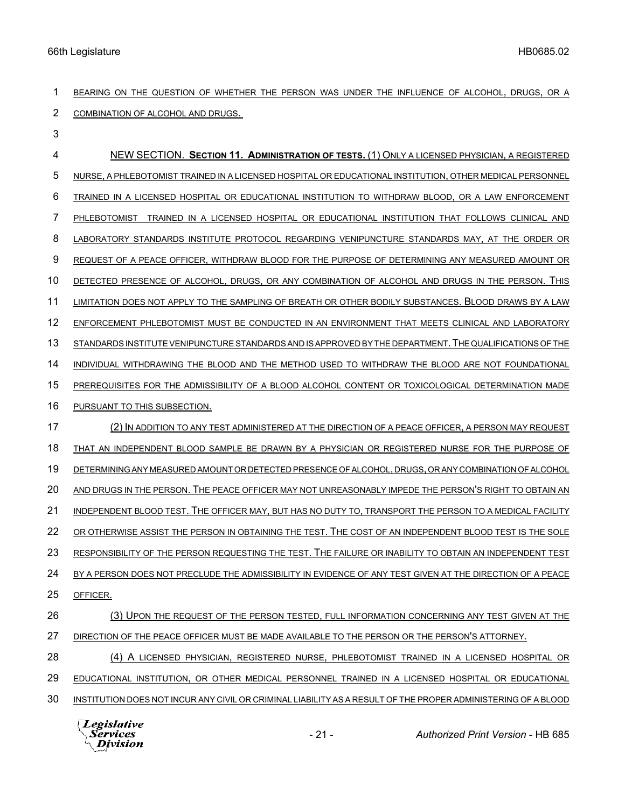BEARING ON THE QUESTION OF WHETHER THE PERSON WAS UNDER THE INFLUENCE OF ALCOHOL, DRUGS, OR A COMBINATION OF ALCOHOL AND DRUGS.

 NEW SECTION. **SECTION 11. ADMINISTRATION OF TESTS.** (1) ONLY A LICENSED PHYSICIAN, A REGISTERED NURSE, A PHLEBOTOMIST TRAINED IN A LICENSED HOSPITAL OR EDUCATIONAL INSTITUTION, OTHER MEDICAL PERSONNEL TRAINED IN A LICENSED HOSPITAL OR EDUCATIONAL INSTITUTION TO WITHDRAW BLOOD, OR A LAW ENFORCEMENT PHLEBOTOMIST TRAINED IN A LICENSED HOSPITAL OR EDUCATIONAL INSTITUTION THAT FOLLOWS CLINICAL AND LABORATORY STANDARDS INSTITUTE PROTOCOL REGARDING VENIPUNCTURE STANDARDS MAY, AT THE ORDER OR REQUEST OF A PEACE OFFICER, WITHDRAW BLOOD FOR THE PURPOSE OF DETERMINING ANY MEASURED AMOUNT OR 10 DETECTED PRESENCE OF ALCOHOL, DRUGS, OR ANY COMBINATION OF ALCOHOL AND DRUGS IN THE PERSON. THIS LIMITATION DOES NOT APPLY TO THE SAMPLING OF BREATH OR OTHER BODILY SUBSTANCES. BLOOD DRAWS BY A LAW ENFORCEMENT PHLEBOTOMIST MUST BE CONDUCTED IN AN ENVIRONMENT THAT MEETS CLINICAL AND LABORATORY STANDARDS INSTITUTE VENIPUNCTURE STANDARDS AND IS APPROVED BY THE DEPARTMENT.THE QUALIFICATIONS OF THE 14 INDIVIDUAL WITHDRAWING THE BLOOD AND THE METHOD USED TO WITHDRAW THE BLOOD ARE NOT FOUNDATIONAL PREREQUISITES FOR THE ADMISSIBILITY OF A BLOOD ALCOHOL CONTENT OR TOXICOLOGICAL DETERMINATION MADE PURSUANT TO THIS SUBSECTION. (2) IN ADDITION TO ANY TEST ADMINISTERED AT THE DIRECTION OF A PEACE OFFICER, A PERSON MAY REQUEST 18 THAT AN INDEPENDENT BLOOD SAMPLE BE DRAWN BY A PHYSICIAN OR REGISTERED NURSE FOR THE PURPOSE OF DETERMINING ANY MEASURED AMOUNT OR DETECTED PRESENCE OF ALCOHOL, DRUGS, OR ANY COMBINATION OF ALCOHOL AND DRUGS IN THE PERSON. THE PEACE OFFICER MAY NOT UNREASONABLY IMPEDE THE PERSON'S RIGHT TO OBTAIN AN 21 INDEPENDENT BLOOD TEST. THE OFFICER MAY, BUT HAS NO DUTY TO, TRANSPORT THE PERSON TO A MEDICAL FACILITY OR OTHERWISE ASSIST THE PERSON IN OBTAINING THE TEST. THE COST OF AN INDEPENDENT BLOOD TEST IS THE SOLE RESPONSIBILITY OF THE PERSON REQUESTING THE TEST. THE FAILURE OR INABILITY TO OBTAIN AN INDEPENDENT TEST BY A PERSON DOES NOT PRECLUDE THE ADMISSIBILITY IN EVIDENCE OF ANY TEST GIVEN AT THE DIRECTION OF A PEACE OFFICER. (3) UPON THE REQUEST OF THE PERSON TESTED, FULL INFORMATION CONCERNING ANY TEST GIVEN AT THE DIRECTION OF THE PEACE OFFICER MUST BE MADE AVAILABLE TO THE PERSON OR THE PERSON'S ATTORNEY. (4) A LICENSED PHYSICIAN, REGISTERED NURSE, PHLEBOTOMIST TRAINED IN A LICENSED HOSPITAL OR EDUCATIONAL INSTITUTION, OR OTHER MEDICAL PERSONNEL TRAINED IN A LICENSED HOSPITAL OR EDUCATIONAL INSTITUTION DOES NOT INCUR ANY CIVIL OR CRIMINAL LIABILITY AS A RESULT OF THE PROPER ADMINISTERING OF A BLOOD

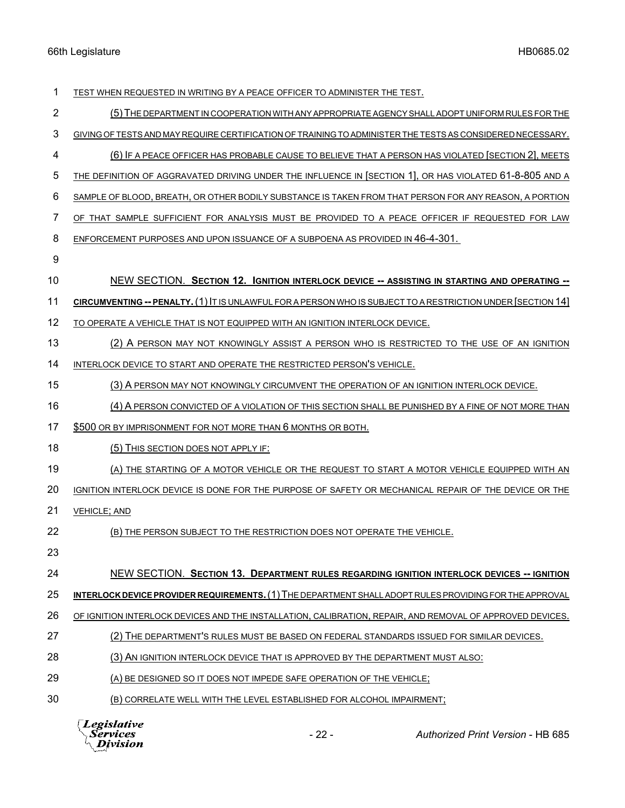| 1  | TEST WHEN REQUESTED IN WRITING BY A PEACE OFFICER TO ADMINISTER THE TEST.                                    |
|----|--------------------------------------------------------------------------------------------------------------|
| 2  | (5) THE DEPARTMENT IN COOPERATION WITH ANY APPROPRIATE AGENCY SHALL ADOPT UNIFORM RULES FOR THE              |
| 3  | GIVING OF TESTS AND MAY REQUIRE CERTIFICATION OF TRAINING TO ADMINISTER THE TESTS AS CONSIDERED NECESSARY.   |
| 4  | (6) IF A PEACE OFFICER HAS PROBABLE CAUSE TO BELIEVE THAT A PERSON HAS VIOLATED [SECTION 2], MEETS           |
| 5  | THE DEFINITION OF AGGRAVATED DRIVING UNDER THE INFLUENCE IN [SECTION 1], OR HAS VIOLATED 61-8-805 AND A      |
| 6  | SAMPLE OF BLOOD, BREATH, OR OTHER BODILY SUBSTANCE IS TAKEN FROM THAT PERSON FOR ANY REASON, A PORTION       |
| 7  | OF THAT SAMPLE SUFFICIENT FOR ANALYSIS MUST BE PROVIDED TO A PEACE OFFICER IF REQUESTED FOR LAW              |
| 8  | ENFORCEMENT PURPOSES AND UPON ISSUANCE OF A SUBPOENA AS PROVIDED IN 46-4-301.                                |
| 9  |                                                                                                              |
| 10 | NEW SECTION. SECTION 12. IGNITION INTERLOCK DEVICE -- ASSISTING IN STARTING AND OPERATING --                 |
| 11 | CIRCUMVENTING -- PENALTY. (1) IT IS UNLAWFUL FOR A PERSON WHO IS SUBJECT TO A RESTRICTION UNDER [SECTION 14] |
| 12 | TO OPERATE A VEHICLE THAT IS NOT EQUIPPED WITH AN IGNITION INTERLOCK DEVICE.                                 |
| 13 | (2) A PERSON MAY NOT KNOWINGLY ASSIST A PERSON WHO IS RESTRICTED TO THE USE OF AN IGNITION                   |
| 14 | INTERLOCK DEVICE TO START AND OPERATE THE RESTRICTED PERSON'S VEHICLE.                                       |
| 15 | (3) A PERSON MAY NOT KNOWINGLY CIRCUMVENT THE OPERATION OF AN IGNITION INTERLOCK DEVICE.                     |
| 16 | (4) A PERSON CONVICTED OF A VIOLATION OF THIS SECTION SHALL BE PUNISHED BY A FINE OF NOT MORE THAN           |
| 17 | \$500 OR BY IMPRISONMENT FOR NOT MORE THAN 6 MONTHS OR BOTH.                                                 |
| 18 | (5) THIS SECTION DOES NOT APPLY IF:                                                                          |
| 19 | (A) THE STARTING OF A MOTOR VEHICLE OR THE REQUEST TO START A MOTOR VEHICLE EQUIPPED WITH AN                 |
| 20 | IGNITION INTERLOCK DEVICE IS DONE FOR THE PURPOSE OF SAFETY OR MECHANICAL REPAIR OF THE DEVICE OR THE        |
| 21 | <b>VEHICLE; AND</b>                                                                                          |
| 22 | (B) THE PERSON SUBJECT TO THE RESTRICTION DOES NOT OPERATE THE VEHICLE.                                      |
| 23 |                                                                                                              |
| 24 | NEW SECTION. SECTION 13. DEPARTMENT RULES REGARDING IGNITION INTERLOCK DEVICES -- IGNITION                   |
| 25 | INTERLOCK DEVICE PROVIDER REQUIREMENTS. (1) THE DEPARTMENT SHALL ADOPT RULES PROVIDING FOR THE APPROVAL      |
| 26 | OF IGNITION INTERLOCK DEVICES AND THE INSTALLATION, CALIBRATION, REPAIR, AND REMOVAL OF APPROVED DEVICES.    |
| 27 | (2) THE DEPARTMENT'S RULES MUST BE BASED ON FEDERAL STANDARDS ISSUED FOR SIMILAR DEVICES.                    |
| 28 | (3) AN IGNITION INTERLOCK DEVICE THAT IS APPROVED BY THE DEPARTMENT MUST ALSO:                               |
| 29 | (A) BE DESIGNED SO IT DOES NOT IMPEDE SAFE OPERATION OF THE VEHICLE;                                         |
| 30 | (B) CORRELATE WELL WITH THE LEVEL ESTABLISHED FOR ALCOHOL IMPAIRMENT;                                        |
|    | $\Box$ eqislative                                                                                            |

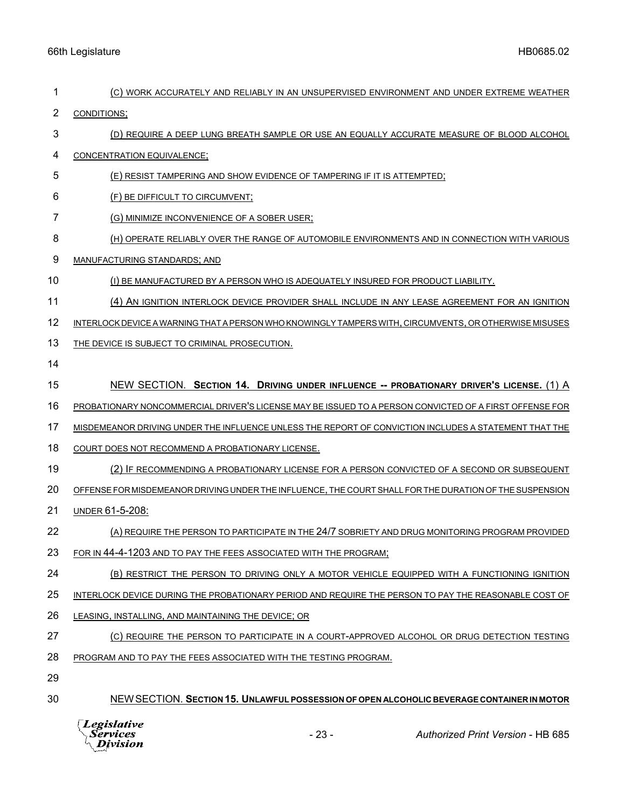| 1  | (C) WORK ACCURATELY AND RELIABLY IN AN UNSUPERVISED ENVIRONMENT AND UNDER EXTREME WEATHER               |
|----|---------------------------------------------------------------------------------------------------------|
| 2  | CONDITIONS;                                                                                             |
| 3  | (D) REQUIRE A DEEP LUNG BREATH SAMPLE OR USE AN EQUALLY ACCURATE MEASURE OF BLOOD ALCOHOL               |
| 4  | CONCENTRATION EQUIVALENCE;                                                                              |
| 5  | (E) RESIST TAMPERING AND SHOW EVIDENCE OF TAMPERING IF IT IS ATTEMPTED;                                 |
| 6  | (F) BE DIFFICULT TO CIRCUMVENT;                                                                         |
| 7  | (G) MINIMIZE INCONVENIENCE OF A SOBER USER;                                                             |
| 8  | (H) OPERATE RELIABLY OVER THE RANGE OF AUTOMOBILE ENVIRONMENTS AND IN CONNECTION WITH VARIOUS           |
| 9  | MANUFACTURING STANDARDS; AND                                                                            |
| 10 | (I) BE MANUFACTURED BY A PERSON WHO IS ADEQUATELY INSURED FOR PRODUCT LIABILITY.                        |
| 11 | (4) AN IGNITION INTERLOCK DEVICE PROVIDER SHALL INCLUDE IN ANY LEASE AGREEMENT FOR AN IGNITION          |
| 12 | INTERLOCK DEVICE A WARNING THAT A PERSON WHO KNOWINGLY TAMPERS WITH, CIRCUMVENTS, OR OTHERWISE MISUSES  |
| 13 | THE DEVICE IS SUBJECT TO CRIMINAL PROSECUTION.                                                          |
| 14 |                                                                                                         |
| 15 | NEW SECTION. SECTION 14. DRIVING UNDER INFLUENCE -- PROBATIONARY DRIVER'S LICENSE. (1) A                |
| 16 | PROBATIONARY NONCOMMERCIAL DRIVER'S LICENSE MAY BE ISSUED TO A PERSON CONVICTED OF A FIRST OFFENSE FOR  |
| 17 | MISDEMEANOR DRIVING UNDER THE INFLUENCE UNLESS THE REPORT OF CONVICTION INCLUDES A STATEMENT THAT THE   |
| 18 | COURT DOES NOT RECOMMEND A PROBATIONARY LICENSE.                                                        |
| 19 | (2) IF RECOMMENDING A PROBATIONARY LICENSE FOR A PERSON CONVICTED OF A SECOND OR SUBSEQUENT             |
| 20 | OFFENSE FOR MISDEMEANOR DRIVING UNDER THE INFLUENCE, THE COURT SHALL FOR THE DURATION OF THE SUSPENSION |
| 21 | UNDER 61-5-208:                                                                                         |
| 22 | (A) REQUIRE THE PERSON TO PARTICIPATE IN THE 24/7 SOBRIETY AND DRUG MONITORING PROGRAM PROVIDED         |
| 23 | FOR IN 44-4-1203 AND TO PAY THE FEES ASSOCIATED WITH THE PROGRAM;                                       |
| 24 | (B) RESTRICT THE PERSON TO DRIVING ONLY A MOTOR VEHICLE EQUIPPED WITH A FUNCTIONING IGNITION            |
| 25 | INTERLOCK DEVICE DURING THE PROBATIONARY PERIOD AND REQUIRE THE PERSON TO PAY THE REASONABLE COST OF    |
| 26 | LEASING, INSTALLING, AND MAINTAINING THE DEVICE; OR                                                     |
| 27 | (C) REQUIRE THE PERSON TO PARTICIPATE IN A COURT-APPROVED ALCOHOL OR DRUG DETECTION TESTING             |
| 28 | PROGRAM AND TO PAY THE FEES ASSOCIATED WITH THE TESTING PROGRAM.                                        |
| 29 |                                                                                                         |
| 30 | NEW SECTION. SECTION 15. UNLAWFUL POSSESSION OF OPEN ALCOHOLIC BEVERAGE CONTAINER IN MOTOR              |
|    |                                                                                                         |

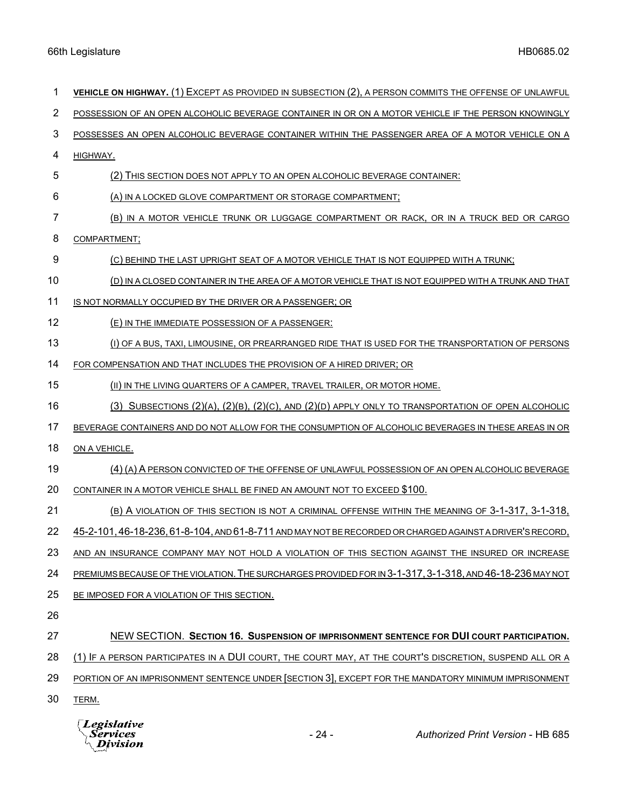| 1  | VEHICLE ON HIGHWAY. (1) EXCEPT AS PROVIDED IN SUBSECTION (2), A PERSON COMMITS THE OFFENSE OF UNLAWFUL         |
|----|----------------------------------------------------------------------------------------------------------------|
| 2  | POSSESSION OF AN OPEN ALCOHOLIC BEVERAGE CONTAINER IN OR ON A MOTOR VEHICLE IF THE PERSON KNOWINGLY            |
| 3  | POSSESSES AN OPEN ALCOHOLIC BEVERAGE CONTAINER WITHIN THE PASSENGER AREA OF A MOTOR VEHICLE ON A               |
| 4  | HIGHWAY.                                                                                                       |
| 5  | (2) THIS SECTION DOES NOT APPLY TO AN OPEN ALCOHOLIC BEVERAGE CONTAINER:                                       |
| 6  | (A) IN A LOCKED GLOVE COMPARTMENT OR STORAGE COMPARTMENT;                                                      |
| 7  | (B) IN A MOTOR VEHICLE TRUNK OR LUGGAGE COMPARTMENT OR RACK, OR IN A TRUCK BED OR CARGO                        |
| 8  | COMPARTMENT;                                                                                                   |
| 9  | (C) BEHIND THE LAST UPRIGHT SEAT OF A MOTOR VEHICLE THAT IS NOT EQUIPPED WITH A TRUNK;                         |
| 10 | (D) IN A CLOSED CONTAINER IN THE AREA OF A MOTOR VEHICLE THAT IS NOT EQUIPPED WITH A TRUNK AND THAT            |
| 11 | IS NOT NORMALLY OCCUPIED BY THE DRIVER OR A PASSENGER; OR                                                      |
| 12 | (E) IN THE IMMEDIATE POSSESSION OF A PASSENGER:                                                                |
| 13 | (I) OF A BUS, TAXI, LIMOUSINE, OR PREARRANGED RIDE THAT IS USED FOR THE TRANSPORTATION OF PERSONS              |
| 14 | FOR COMPENSATION AND THAT INCLUDES THE PROVISION OF A HIRED DRIVER; OR                                         |
| 15 | (II) IN THE LIVING QUARTERS OF A CAMPER, TRAVEL TRAILER, OR MOTOR HOME.                                        |
| 16 | $(3)$ SUBSECTIONS $(2)(A)$ , $(2)(B)$ , $(2)(C)$ , AND $(2)(D)$ APPLY ONLY TO TRANSPORTATION OF OPEN ALCOHOLIC |
| 17 | BEVERAGE CONTAINERS AND DO NOT ALLOW FOR THE CONSUMPTION OF ALCOHOLIC BEVERAGES IN THESE AREAS IN OR           |
| 18 | ON A VEHICLE.                                                                                                  |
| 19 | (4) (A) A PERSON CONVICTED OF THE OFFENSE OF UNLAWFUL POSSESSION OF AN OPEN ALCOHOLIC BEVERAGE                 |
| 20 | CONTAINER IN A MOTOR VEHICLE SHALL BE FINED AN AMOUNT NOT TO EXCEED \$100.                                     |
| 21 | (B) A VIOLATION OF THIS SECTION IS NOT A CRIMINAL OFFENSE WITHIN THE MEANING OF 3-1-317, 3-1-318,              |
| 22 | 45-2-101, 46-18-236, 61-8-104, AND 61-8-711 AND MAY NOT BE RECORDED OR CHARGED AGAINST A DRIVER'S RECORD,      |
| 23 | AND AN INSURANCE COMPANY MAY NOT HOLD A VIOLATION OF THIS SECTION AGAINST THE INSURED OR INCREASE              |
| 24 | PREMIUMS BECAUSE OF THE VIOLATION. THE SURCHARGES PROVIDED FOR IN 3-1-317, 3-1-318, AND 46-18-236 MAY NOT      |
| 25 | BE IMPOSED FOR A VIOLATION OF THIS SECTION.                                                                    |
| 26 |                                                                                                                |
| 27 | NEW SECTION. SECTION 16. SUSPENSION OF IMPRISONMENT SENTENCE FOR DUI COURT PARTICIPATION.                      |
| 28 | (1) IF A PERSON PARTICIPATES IN A DUI COURT, THE COURT MAY, AT THE COURT'S DISCRETION, SUSPEND ALL OR A        |
| 29 | PORTION OF AN IMPRISONMENT SENTENCE UNDER SECTION 3], EXCEPT FOR THE MANDATORY MINIMUM IMPRISONMENT            |
| 30 | TERM.                                                                                                          |
|    |                                                                                                                |

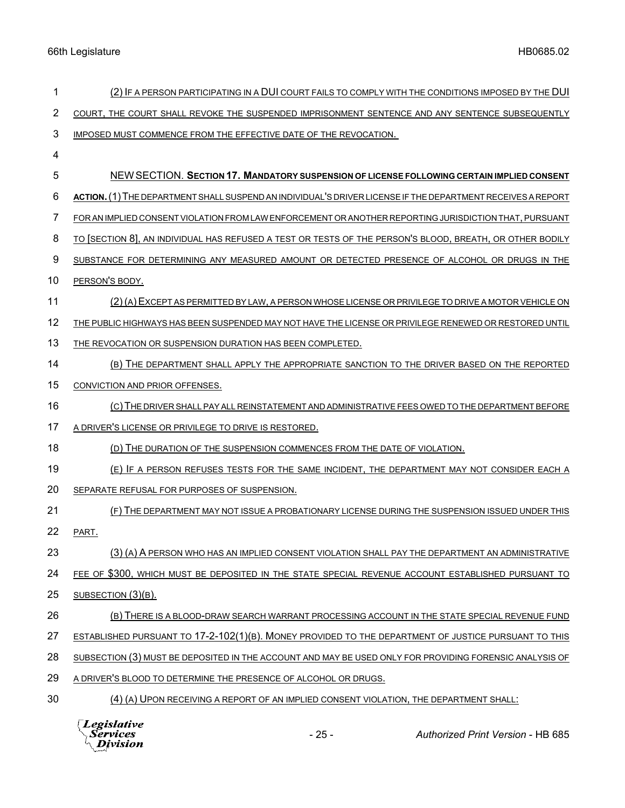| 1  | (2) IF A PERSON PARTICIPATING IN A DUI COURT FAILS TO COMPLY WITH THE CONDITIONS IMPOSED BY THE DUI         |
|----|-------------------------------------------------------------------------------------------------------------|
| 2  | COURT, THE COURT SHALL REVOKE THE SUSPENDED IMPRISONMENT SENTENCE AND ANY SENTENCE SUBSEQUENTLY             |
| 3  | IMPOSED MUST COMMENCE FROM THE EFFECTIVE DATE OF THE REVOCATION.                                            |
| 4  |                                                                                                             |
| 5  | NEW SECTION. SECTION 17. MANDATORY SUSPENSION OF LICENSE FOLLOWING CERTAIN IMPLIED CONSENT                  |
| 6  | ACTION. (1) THE DEPARTMENT SHALL SUSPEND AN INDIVIDUAL'S DRIVER LICENSE IF THE DEPARTMENT RECEIVES A REPORT |
| 7  | FOR AN IMPLIED CONSENT VIOLATION FROM LAW ENFORCEMENT OR ANOTHER REPORTING JURISDICTION THAT, PURSUANT      |
| 8  | TO [SECTION 8], AN INDIVIDUAL HAS REFUSED A TEST OR TESTS OF THE PERSON'S BLOOD, BREATH, OR OTHER BODILY    |
| 9  | SUBSTANCE FOR DETERMINING ANY MEASURED AMOUNT OR DETECTED PRESENCE OF ALCOHOL OR DRUGS IN THE               |
| 10 | PERSON'S BODY.                                                                                              |
| 11 | (2) (A) EXCEPT AS PERMITTED BY LAW, A PERSON WHOSE LICENSE OR PRIVILEGE TO DRIVE A MOTOR VEHICLE ON         |
| 12 | THE PUBLIC HIGHWAYS HAS BEEN SUSPENDED MAY NOT HAVE THE LICENSE OR PRIVILEGE RENEWED OR RESTORED UNTIL      |
| 13 | THE REVOCATION OR SUSPENSION DURATION HAS BEEN COMPLETED.                                                   |
| 14 | (B) THE DEPARTMENT SHALL APPLY THE APPROPRIATE SANCTION TO THE DRIVER BASED ON THE REPORTED                 |
| 15 | CONVICTION AND PRIOR OFFENSES.                                                                              |
| 16 | (C) THE DRIVER SHALL PAY ALL REINSTATEMENT AND ADMINISTRATIVE FEES OWED TO THE DEPARTMENT BEFORE            |
| 17 | A DRIVER'S LICENSE OR PRIVILEGE TO DRIVE IS RESTORED.                                                       |
| 18 | (D) THE DURATION OF THE SUSPENSION COMMENCES FROM THE DATE OF VIOLATION.                                    |
| 19 | (E) IF A PERSON REFUSES TESTS FOR THE SAME INCIDENT, THE DEPARTMENT MAY NOT CONSIDER EACH A                 |
| 20 | SEPARATE REFUSAL FOR PURPOSES OF SUSPENSION.                                                                |
| 21 | (F) THE DEPARTMENT MAY NOT ISSUE A PROBATIONARY LICENSE DURING THE SUSPENSION ISSUED UNDER THIS             |
| 22 | PART.                                                                                                       |
| 23 | (3) (A) A PERSON WHO HAS AN IMPLIED CONSENT VIOLATION SHALL PAY THE DEPARTMENT AN ADMINISTRATIVE            |
| 24 | FEE OF \$300, WHICH MUST BE DEPOSITED IN THE STATE SPECIAL REVENUE ACCOUNT ESTABLISHED PURSUANT TO          |
| 25 | SUBSECTION (3)(B).                                                                                          |
| 26 | (B) THERE IS A BLOOD-DRAW SEARCH WARRANT PROCESSING ACCOUNT IN THE STATE SPECIAL REVENUE FUND               |
| 27 | ESTABLISHED PURSUANT TO 17-2-102(1)(B). MONEY PROVIDED TO THE DEPARTMENT OF JUSTICE PURSUANT TO THIS        |
| 28 | SUBSECTION (3) MUST BE DEPOSITED IN THE ACCOUNT AND MAY BE USED ONLY FOR PROVIDING FORENSIC ANALYSIS OF     |
| 29 | A DRIVER'S BLOOD TO DETERMINE THE PRESENCE OF ALCOHOL OR DRUGS.                                             |
| 30 | (4) (A) UPON RECEIVING A REPORT OF AN IMPLIED CONSENT VIOLATION, THE DEPARTMENT SHALL:                      |



- 25 - *Authorized Print Version* - HB 685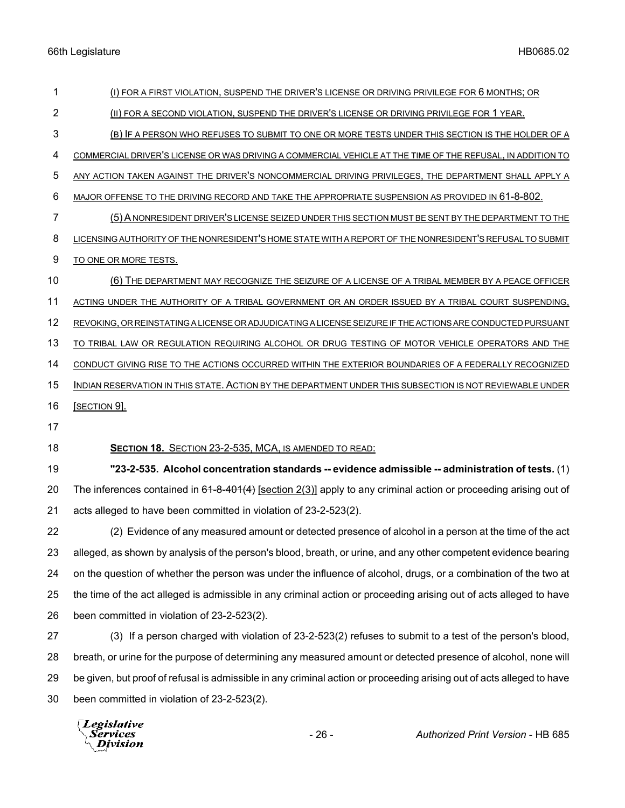| 1              | (I) FOR A FIRST VIOLATION, SUSPEND THE DRIVER'S LICENSE OR DRIVING PRIVILEGE FOR 6 MONTHS; OR                         |
|----------------|-----------------------------------------------------------------------------------------------------------------------|
| $\overline{2}$ | (II) FOR A SECOND VIOLATION, SUSPEND THE DRIVER'S LICENSE OR DRIVING PRIVILEGE FOR 1 YEAR.                            |
| 3              | (B) IF A PERSON WHO REFUSES TO SUBMIT TO ONE OR MORE TESTS UNDER THIS SECTION IS THE HOLDER OF A                      |
| 4              | COMMERCIAL DRIVER'S LICENSE OR WAS DRIVING A COMMERCIAL VEHICLE AT THE TIME OF THE REFUSAL, IN ADDITION TO            |
| 5              | ANY ACTION TAKEN AGAINST THE DRIVER'S NONCOMMERCIAL DRIVING PRIVILEGES, THE DEPARTMENT SHALL APPLY A                  |
| 6              | MAJOR OFFENSE TO THE DRIVING RECORD AND TAKE THE APPROPRIATE SUSPENSION AS PROVIDED IN 61-8-802.                      |
| $\overline{7}$ | (5) A NONRESIDENT DRIVER'S LICENSE SEIZED UNDER THIS SECTION MUST BE SENT BY THE DEPARTMENT TO THE                    |
| 8              | LICENSING AUTHORITY OF THE NONRESIDENT'S HOME STATE WITH A REPORT OF THE NONRESIDENT'S REFUSAL TO SUBMIT              |
| 9              | TO ONE OR MORE TESTS.                                                                                                 |
| 10             | (6) THE DEPARTMENT MAY RECOGNIZE THE SEIZURE OF A LICENSE OF A TRIBAL MEMBER BY A PEACE OFFICER                       |
| 11             | ACTING UNDER THE AUTHORITY OF A TRIBAL GOVERNMENT OR AN ORDER ISSUED BY A TRIBAL COURT SUSPENDING,                    |
| 12             | REVOKING, OR REINSTATING A LICENSE OR ADJUDICATING A LICENSE SEIZURE IF THE ACTIONS ARE CONDUCTED PURSUANT            |
| 13             | TO TRIBAL LAW OR REGULATION REQUIRING ALCOHOL OR DRUG TESTING OF MOTOR VEHICLE OPERATORS AND THE                      |
| 14             | CONDUCT GIVING RISE TO THE ACTIONS OCCURRED WITHIN THE EXTERIOR BOUNDARIES OF A FEDERALLY RECOGNIZED                  |
| 15             | INDIAN RESERVATION IN THIS STATE. ACTION BY THE DEPARTMENT UNDER THIS SUBSECTION IS NOT REVIEWABLE UNDER              |
|                |                                                                                                                       |
| 16             | <b>SECTION 91.</b>                                                                                                    |
| 17             |                                                                                                                       |
| 18             | SECTION 18. SECTION 23-2-535, MCA, IS AMENDED TO READ:                                                                |
| 19             | "23-2-535. Alcohol concentration standards -- evidence admissible -- administration of tests. (1)                     |
| 20             | The inferences contained in $64-8-401(4)$ [section 2(3)] apply to any criminal action or proceeding arising out of    |
| 21             | acts alleged to have been committed in violation of 23-2-523(2).                                                      |
| 22             | (2) Evidence of any measured amount or detected presence of alcohol in a person at the time of the act                |
| 23             | alleged, as shown by analysis of the person's blood, breath, or urine, and any other competent evidence bearing       |
| 24             | on the question of whether the person was under the influence of alcohol, drugs, or a combination of the two at       |
| 25             | the time of the act alleged is admissible in any criminal action or proceeding arising out of acts alleged to have    |
| 26             | been committed in violation of 23-2-523(2).                                                                           |
| 27             | (3) If a person charged with violation of 23-2-523(2) refuses to submit to a test of the person's blood,              |
| 28             | breath, or urine for the purpose of determining any measured amount or detected presence of alcohol, none will        |
| 29             | be given, but proof of refusal is admissible in any criminal action or proceeding arising out of acts alleged to have |
| 30             | been committed in violation of 23-2-523(2).                                                                           |

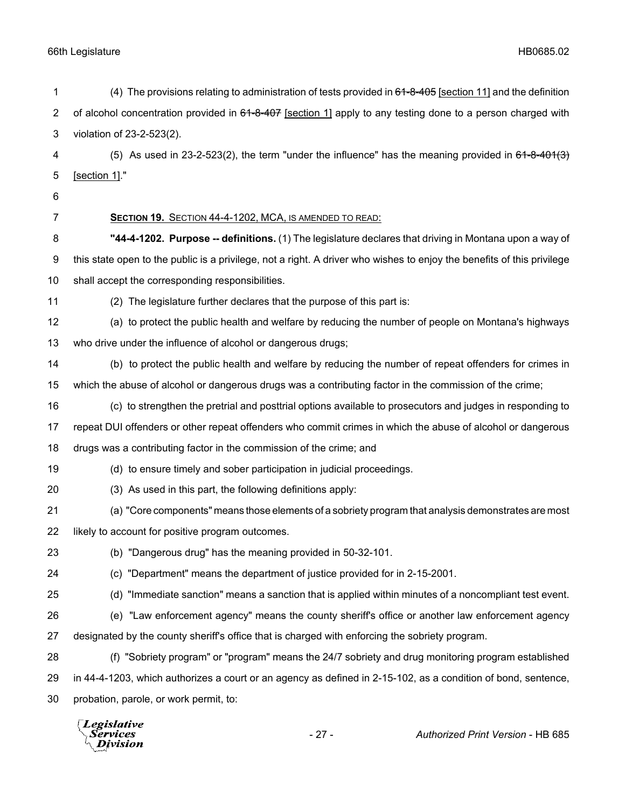| 1              | (4) The provisions relating to administration of tests provided in 64-8-405 [section 11] and the definition            |
|----------------|------------------------------------------------------------------------------------------------------------------------|
| $\overline{c}$ | of alcohol concentration provided in 61-8-407 [section 1] apply to any testing done to a person charged with           |
| 3              | violation of 23-2-523(2).                                                                                              |
| 4              | (5) As used in 23-2-523(2), the term "under the influence" has the meaning provided in $64-8-401(3)$                   |
| 5              | [section 1]."                                                                                                          |
| 6              |                                                                                                                        |
| 7              | SECTION 19. SECTION 44-4-1202, MCA, IS AMENDED TO READ:                                                                |
| 8              | "44-4-1202. Purpose -- definitions. (1) The legislature declares that driving in Montana upon a way of                 |
| 9              | this state open to the public is a privilege, not a right. A driver who wishes to enjoy the benefits of this privilege |
| 10             | shall accept the corresponding responsibilities.                                                                       |
| 11             | (2) The legislature further declares that the purpose of this part is:                                                 |
| 12             | (a) to protect the public health and welfare by reducing the number of people on Montana's highways                    |
| 13             | who drive under the influence of alcohol or dangerous drugs;                                                           |
| 14             | (b) to protect the public health and welfare by reducing the number of repeat offenders for crimes in                  |
| 15             | which the abuse of alcohol or dangerous drugs was a contributing factor in the commission of the crime;                |
| 16             | (c) to strengthen the pretrial and posttrial options available to prosecutors and judges in responding to              |
| 17             | repeat DUI offenders or other repeat offenders who commit crimes in which the abuse of alcohol or dangerous            |
| 18             | drugs was a contributing factor in the commission of the crime; and                                                    |
| 19             | (d) to ensure timely and sober participation in judicial proceedings.                                                  |
| 20             | (3) As used in this part, the following definitions apply:                                                             |
| 21             | (a) "Core components" means those elements of a sobriety program that analysis demonstrates are most                   |
| 22             | likely to account for positive program outcomes.                                                                       |
| 23             | (b) "Dangerous drug" has the meaning provided in 50-32-101.                                                            |
| 24             | (c) "Department" means the department of justice provided for in 2-15-2001.                                            |
| 25             | (d) "Immediate sanction" means a sanction that is applied within minutes of a noncompliant test event.                 |
| 26             | (e) "Law enforcement agency" means the county sheriff's office or another law enforcement agency                       |
| 27             | designated by the county sheriff's office that is charged with enforcing the sobriety program.                         |
| 28             | (f) "Sobriety program" or "program" means the 24/7 sobriety and drug monitoring program established                    |
| 29             | in 44-4-1203, which authorizes a court or an agency as defined in 2-15-102, as a condition of bond, sentence,          |
| 30             | probation, parole, or work permit, to:                                                                                 |
|                | Legislative<br>$-27-$<br>Authorized Print Version - HB 685<br>Services<br>ivision                                      |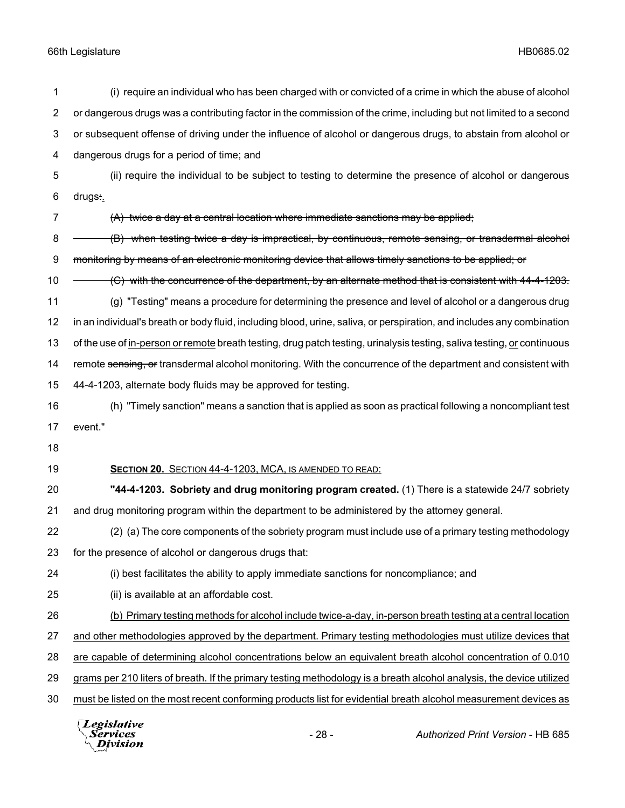| 1              | (i) require an individual who has been charged with or convicted of a crime in which the abuse of alcohol               |
|----------------|-------------------------------------------------------------------------------------------------------------------------|
| $\overline{2}$ | or dangerous drugs was a contributing factor in the commission of the crime, including but not limited to a second      |
| 3              | or subsequent offense of driving under the influence of alcohol or dangerous drugs, to abstain from alcohol or          |
| 4              | dangerous drugs for a period of time; and                                                                               |
| 5              | (ii) require the individual to be subject to testing to determine the presence of alcohol or dangerous                  |
| 6              | drugs:.                                                                                                                 |
| 7              | (A) twice a day at a central location where immediate sanctions may be applied;                                         |
| 8              | (B) when testing twice a day is impractical, by continuous, remote sensing, or transdermal alcohol                      |
| 9              | monitoring by means of an electronic monitoring device that allows timely sanctions to be applied; or                   |
| 10             | (C) with the concurrence of the department, by an alternate method that is consistent with 44-4-1203.                   |
| 11             | (g) "Testing" means a procedure for determining the presence and level of alcohol or a dangerous drug                   |
| 12             | in an individual's breath or body fluid, including blood, urine, saliva, or perspiration, and includes any combination  |
| 13             | of the use of in-person or remote breath testing, drug patch testing, urinalysis testing, saliva testing, or continuous |
| 14             | remote sensing, or transdermal alcohol monitoring. With the concurrence of the department and consistent with           |
| 15             | 44-4-1203, alternate body fluids may be approved for testing.                                                           |
| 16             | (h) "Timely sanction" means a sanction that is applied as soon as practical following a noncompliant test               |
| 17             | event."                                                                                                                 |
| 18             |                                                                                                                         |
| 19             | SECTION 20. SECTION 44-4-1203, MCA, IS AMENDED TO READ:                                                                 |
| 20             | "44-4-1203. Sobriety and drug monitoring program created. (1) There is a statewide 24/7 sobriety                        |
| 21             | and drug monitoring program within the department to be administered by the attorney general.                           |
| 22             | (2) (a) The core components of the sobriety program must include use of a primary testing methodology                   |
| 23             | for the presence of alcohol or dangerous drugs that:                                                                    |
| 24             | (i) best facilitates the ability to apply immediate sanctions for noncompliance; and                                    |
| 25             | (ii) is available at an affordable cost.                                                                                |
| 26             | (b) Primary testing methods for alcohol include twice-a-day, in-person breath testing at a central location             |
| 27             | and other methodologies approved by the department. Primary testing methodologies must utilize devices that             |
| 28             | are capable of determining alcohol concentrations below an equivalent breath alcohol concentration of 0.010             |
| 29             | grams per 210 liters of breath. If the primary testing methodology is a breath alcohol analysis, the device utilized    |
| 30             |                                                                                                                         |
|                | must be listed on the most recent conforming products list for evidential breath alcohol measurement devices as         |

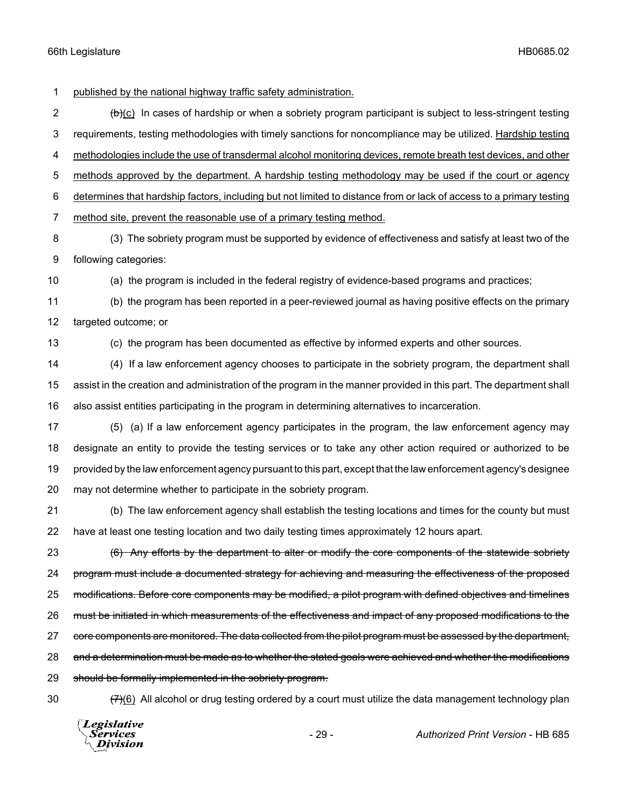1 published by the national highway traffic safety administration.

 (b)(c) In cases of hardship or when a sobriety program participant is subject to less-stringent testing requirements, testing methodologies with timely sanctions for noncompliance may be utilized. Hardship testing 4 methodologies include the use of transdermal alcohol monitoring devices, remote breath test devices, and other 5 methods approved by the department. A hardship testing methodology may be used if the court or agency determines that hardship factors, including but not limited to distance from or lack of access to a primary testing method site, prevent the reasonable use of a primary testing method. (3) The sobriety program must be supported by evidence of effectiveness and satisfy at least two of the

9 following categories:

10 (a) the program is included in the federal registry of evidence-based programs and practices;

11 (b) the program has been reported in a peer-reviewed journal as having positive effects on the primary 12 targeted outcome; or

13 (c) the program has been documented as effective by informed experts and other sources.

14 (4) If a law enforcement agency chooses to participate in the sobriety program, the department shall 15 assist in the creation and administration of the program in the manner provided in this part. The department shall 16 also assist entities participating in the program in determining alternatives to incarceration.

 (5) (a) If a law enforcement agency participates in the program, the law enforcement agency may designate an entity to provide the testing services or to take any other action required or authorized to be provided by the law enforcement agency pursuant to this part, except that the law enforcement agency's designee may not determine whether to participate in the sobriety program.

21 (b) The law enforcement agency shall establish the testing locations and times for the county but must 22 have at least one testing location and two daily testing times approximately 12 hours apart.

23 (6) Any efforts by the department to alter or modify the core components of the statewide sobriety 24 program must include a documented strategy for achieving and measuring the effectiveness of the proposed 25 modifications. Before core components may be modified, a pilot program with defined objectives and timelines 26 must be initiated in which measurements of the effectiveness and impact of any proposed modifications to the 27 core components are monitored. The data collected from the pilot program must be assessed by the department, 28 and a determination must be made as to whether the stated goals were achieved and whether the modifications 29 should be formally implemented in the sobriety program.

30  $(7)(6)$  All alcohol or drug testing ordered by a court must utilize the data management technology plan

Legislative *Services* Division

- 29 - *Authorized Print Version* - HB 685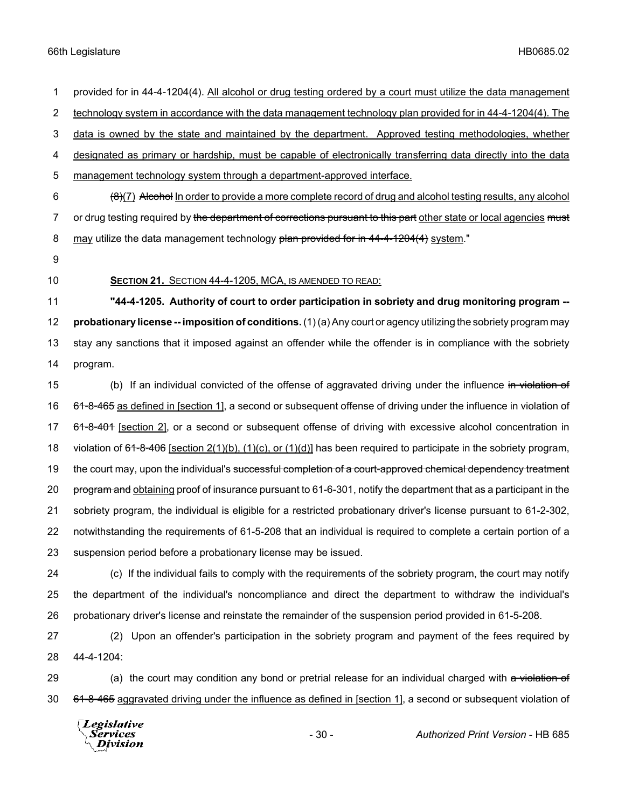1 provided for in 44-4-1204(4). All alcohol or drug testing ordered by a court must utilize the data management 2 technology system in accordance with the data management technology plan provided for in 44-4-1204(4). The 3 data is owned by the state and maintained by the department. Approved testing methodologies, whether 4 designated as primary or hardship, must be capable of electronically transferring data directly into the data 5 management technology system through a department-approved interface.  $6 \left(8\right)$  (7) Alcohol In order to provide a more complete record of drug and alcohol testing results, any alcohol 7 or drug testing required by the department of corrections pursuant to this part other state or local agencies must 8 may utilize the data management technology plan provided for in 44-4-1204(4) system." 9 10 **SECTION 21.** SECTION 44-4-1205, MCA, IS AMENDED TO READ: 11 **"44-4-1205. Authority of court to order participation in sobriety and drug monitoring program --** 12 **probationary license -- imposition of conditions.** (1) (a) Any court or agency utilizing the sobriety program may 13 stay any sanctions that it imposed against an offender while the offender is in compliance with the sobriety 14 program. 15 (b) If an individual convicted of the offense of aggravated driving under the influence in violation of

16 61-8-465 as defined in [section 1], a second or subsequent offense of driving under the influence in violation of 17 61-8-401 [section 2], or a second or subsequent offense of driving with excessive alcohol concentration in 18 violation of 64-8-406 [section 2(1)(b), (1)(c), or (1)(d)] has been required to participate in the sobriety program, 19 the court may, upon the individual's successful completion of a court-approved chemical dependency treatment 20 program and obtaining proof of insurance pursuant to 61-6-301, notify the department that as a participant in the 21 sobriety program, the individual is eligible for a restricted probationary driver's license pursuant to 61-2-302, 22 notwithstanding the requirements of 61-5-208 that an individual is required to complete a certain portion of a 23 suspension period before a probationary license may be issued.

- 24 (c) If the individual fails to comply with the requirements of the sobriety program, the court may notify 25 the department of the individual's noncompliance and direct the department to withdraw the individual's 26 probationary driver's license and reinstate the remainder of the suspension period provided in 61-5-208.
- 27 (2) Upon an offender's participation in the sobriety program and payment of the fees required by 28 44-4-1204:
- 29 (a) the court may condition any bond or pretrial release for an individual charged with a violation of 30 61-8-465 aggravated driving under the influence as defined in [section 1], a second or subsequent violation of

**Legislative** *Services* **Division**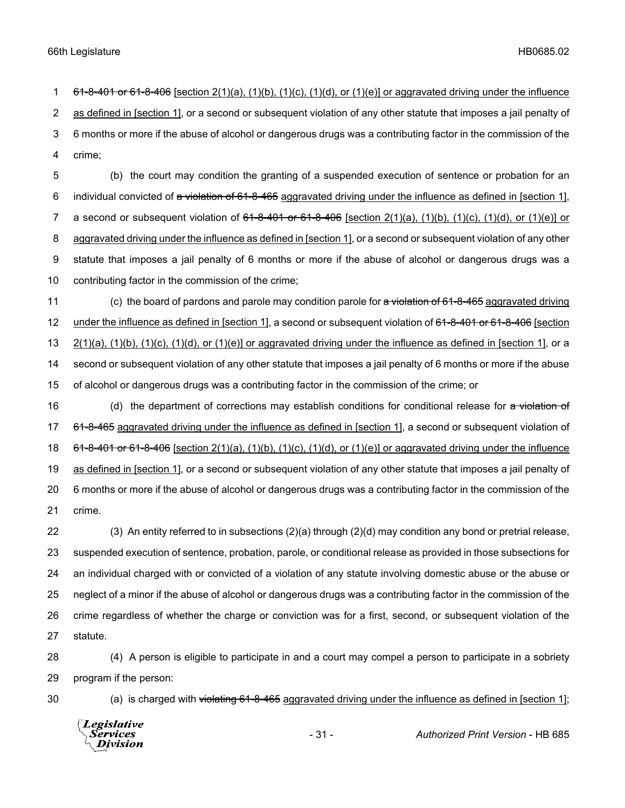1 61-8-401 or 61-8-406 [section  $2(1)(a)$ ,  $(1)(b)$ ,  $(1)(c)$ ,  $(1)(d)$ , or  $(1)(e)$ ] or aggravated driving under the influence 2 as defined in [section 1], or a second or subsequent violation of any other statute that imposes a jail penalty of 3 6 months or more if the abuse of alcohol or dangerous drugs was a contributing factor in the commission of the 4 crime;

 (b) the court may condition the granting of a suspended execution of sentence or probation for an 6 individual convicted of a violation of 61-8-465 aggravated driving under the influence as defined in [section 1], 7 a second or subsequent violation of  $61-8-401$  or  $61-8-406$  [section  $2(1)(a)$ ,  $(1)(b)$ ,  $(1)(c)$ ,  $(1)(d)$ , or  $(1)(e)$ ] or aggravated driving under the influence as defined in [section 1], or a second or subsequent violation of any other statute that imposes a jail penalty of 6 months or more if the abuse of alcohol or dangerous drugs was a contributing factor in the commission of the crime;

11 (c) the board of pardons and parole may condition parole for a violation of 61-8-465 aggravated driving 12 under the influence as defined in [section 1], a second or subsequent violation of 61-8-401 or 61-8-406 [section 13  $2(1)(a)$ ,  $(1)(b)$ ,  $(1)(c)$ ,  $(1)(d)$ , or  $(1)(e)$ ] or aggravated driving under the influence as defined in [section 1], or a 14 second or subsequent violation of any other statute that imposes a jail penalty of 6 months or more if the abuse 15 of alcohol or dangerous drugs was a contributing factor in the commission of the crime; or

16 (d) the department of corrections may establish conditions for conditional release for a violation of 17 61-8-465 aggravated driving under the influence as defined in [section 1], a second or subsequent violation of 18 61-8-401 or 61-8-406 [section  $2(1)(a)$ ,  $(1)(b)$ ,  $(1)(c)$ ,  $(1)(d)$ , or  $(1)(e)$ ] or aggravated driving under the influence 19 as defined in [section 1], or a second or subsequent violation of any other statute that imposes a jail penalty of 20 6 months or more if the abuse of alcohol or dangerous drugs was a contributing factor in the commission of the 21 crime.

 (3) An entity referred to in subsections (2)(a) through (2)(d) may condition any bond or pretrial release, suspended execution of sentence, probation, parole, or conditional release as provided in those subsections for an individual charged with or convicted of a violation of any statute involving domestic abuse or the abuse or neglect of a minor if the abuse of alcohol or dangerous drugs was a contributing factor in the commission of the crime regardless of whether the charge or conviction was for a first, second, or subsequent violation of the 27 statute.

28 (4) A person is eligible to participate in and a court may compel a person to participate in a sobriety 29 program if the person:

30 (a) is charged with violating 61-8-465 aggravated driving under the influence as defined in [section 1];

Legislative *Services* **Division**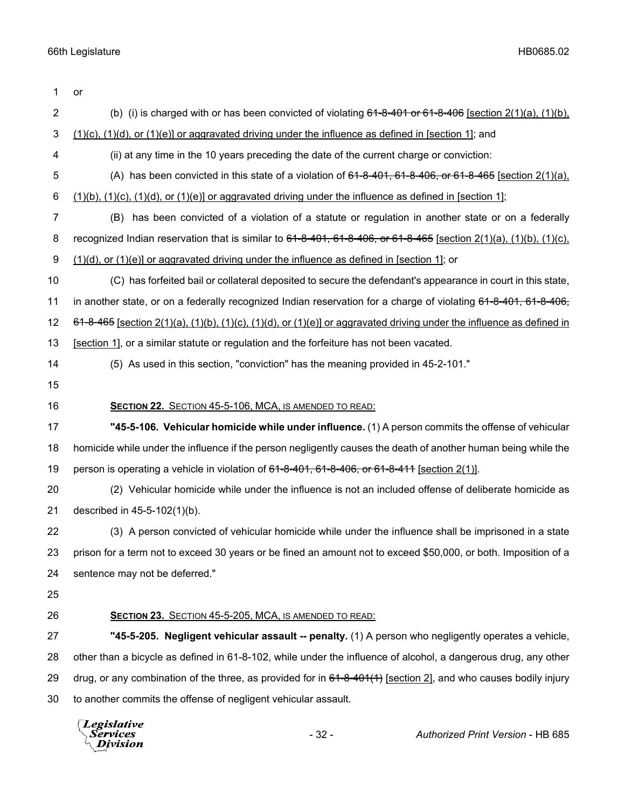| 1              | or                                                                                                                                  |  |  |
|----------------|-------------------------------------------------------------------------------------------------------------------------------------|--|--|
| $\overline{2}$ | (b) (i) is charged with or has been convicted of violating $61-8-401$ or $61-8-406$ [section $2(1)(a)$ , $(1)(b)$ ,                 |  |  |
| 3              | $(1)(c)$ , $(1)(d)$ , or $(1)(e)$ or aggravated driving under the influence as defined in [section 1]; and                          |  |  |
| 4              | (ii) at any time in the 10 years preceding the date of the current charge or conviction:                                            |  |  |
| 5              | (A) has been convicted in this state of a violation of $61-8-401$ , $61-8-406$ , or $61-8-465$ [section $2(1)(a)$ ].                |  |  |
| 6              | $(1)(b)$ , $(1)(c)$ , $(1)(d)$ , or $(1)(e)$ ] or aggravated driving under the influence as defined in [section 1];                 |  |  |
| 7              | has been convicted of a violation of a statute or regulation in another state or on a federally<br>(B)                              |  |  |
| 8              | recognized Indian reservation that is similar to $61-8-401$ , $61-8-406$ , or $61-8-465$ [section $2(1)(a)$ , $(1)(b)$ , $(1)(c)$ , |  |  |
| 9              | $(1)(d)$ , or $(1)(e)$ or aggravated driving under the influence as defined in [section 1]; or                                      |  |  |
| 10             | (C) has forfeited bail or collateral deposited to secure the defendant's appearance in court in this state,                         |  |  |
| 11             | in another state, or on a federally recognized Indian reservation for a charge of violating 61-8-401, 61-8-406,                     |  |  |
| 12             | $64-8-465$ [section 2(1)(a), (1)(b), (1)(c), (1)(d), or (1)(e)] or aggravated driving under the influence as defined in             |  |  |
| 13             | [section 1], or a similar statute or regulation and the forfeiture has not been vacated.                                            |  |  |
| 14             | (5) As used in this section, "conviction" has the meaning provided in 45-2-101."                                                    |  |  |
| 15             |                                                                                                                                     |  |  |
| 16             | SECTION 22. SECTION 45-5-106, MCA, IS AMENDED TO READ:                                                                              |  |  |
| 17             | "45-5-106. Vehicular homicide while under influence. (1) A person commits the offense of vehicular                                  |  |  |
| 18             | homicide while under the influence if the person negligently causes the death of another human being while the                      |  |  |
| 19             | person is operating a vehicle in violation of 61-8-401, 61-8-406, or 61-8-411 [section 2(1)].                                       |  |  |
| 20             | (2) Vehicular homicide while under the influence is not an included offense of deliberate homicide as                               |  |  |
| 21             | described in 45-5-102(1)(b).                                                                                                        |  |  |
| 22             | (3) A person convicted of vehicular homicide while under the influence shall be imprisoned in a state                               |  |  |
| 23             | prison for a term not to exceed 30 years or be fined an amount not to exceed \$50,000, or both. Imposition of a                     |  |  |
| 24             | sentence may not be deferred."                                                                                                      |  |  |
| 25             |                                                                                                                                     |  |  |
| 26             | <b>SECTION 23. SECTION 45-5-205, MCA, IS AMENDED TO READ:</b>                                                                       |  |  |
| 27             | "45-5-205. Negligent vehicular assault -- penalty. (1) A person who negligently operates a vehicle,                                 |  |  |
| 28             | other than a bicycle as defined in 61-8-102, while under the influence of alcohol, a dangerous drug, any other                      |  |  |
| 29             | drug, or any combination of the three, as provided for in $64-8-401(1)$ [section 2], and who causes bodily injury                   |  |  |
| 30             | to another commits the offense of negligent vehicular assault.                                                                      |  |  |
|                | Legislative<br>$-32-$<br><i>Services</i><br>Authorized Print Version - HB 685<br>Division                                           |  |  |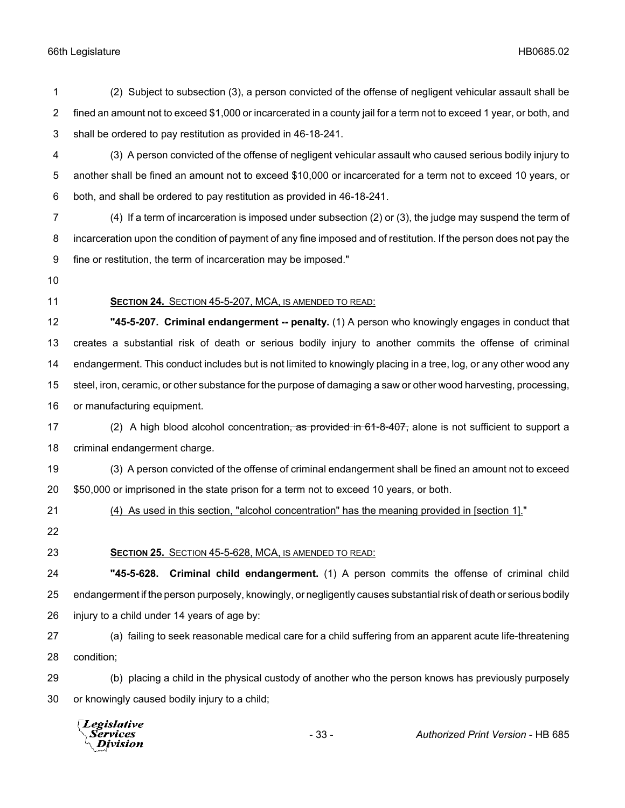| 1              | (2) Subject to subsection (3), a person convicted of the offense of negligent vehicular assault shall be             |
|----------------|----------------------------------------------------------------------------------------------------------------------|
| $\overline{2}$ | fined an amount not to exceed \$1,000 or incarcerated in a county jail for a term not to exceed 1 year, or both, and |
| $\mathbf{3}$   | shall be ordered to pay restitution as provided in 46-18-241.                                                        |
| 4              | (3) A person convicted of the offense of negligent vehicular assault who caused serious bodily injury to             |
| 5              | another shall be fined an amount not to exceed \$10,000 or incarcerated for a term not to exceed 10 years, or        |
| 6              | both, and shall be ordered to pay restitution as provided in 46-18-241.                                              |
| $\overline{7}$ | (4) If a term of incarceration is imposed under subsection (2) or (3), the judge may suspend the term of             |
| 8              | incarceration upon the condition of payment of any fine imposed and of restitution. If the person does not pay the   |
| 9              | fine or restitution, the term of incarceration may be imposed."                                                      |
| 10             |                                                                                                                      |
| 11             | <b>SECTION 24. SECTION 45-5-207, MCA, IS AMENDED TO READ:</b>                                                        |
| 12             | "45-5-207. Criminal endangerment -- penalty. (1) A person who knowingly engages in conduct that                      |
| 13             | creates a substantial risk of death or serious bodily injury to another commits the offense of criminal              |
| 14             | endangerment. This conduct includes but is not limited to knowingly placing in a tree, log, or any other wood any    |
| 15             | steel, iron, ceramic, or other substance for the purpose of damaging a saw or other wood harvesting, processing,     |
| 16             | or manufacturing equipment.                                                                                          |
| 17             | (2) A high blood alcohol concentration <del>, as provided in 61-8-407,</del> alone is not sufficient to support a    |
| 18             | criminal endangerment charge.                                                                                        |
| 19             | (3) A person convicted of the offense of criminal endangerment shall be fined an amount not to exceed                |
| 20             | \$50,000 or imprisoned in the state prison for a term not to exceed 10 years, or both.                               |
| 21             | (4) As used in this section, "alcohol concentration" has the meaning provided in [section 1]."                       |
| 22             |                                                                                                                      |
| 23             | SECTION 25. SECTION 45-5-628, MCA, IS AMENDED TO READ:                                                               |
| 24             | "45-5-628. Criminal child endangerment. (1) A person commits the offense of criminal child                           |
| 25             | endangerment if the person purposely, knowingly, or negligently causes substantial risk of death or serious bodily   |
| 26             | injury to a child under 14 years of age by:                                                                          |
| 27             | (a) failing to seek reasonable medical care for a child suffering from an apparent acute life-threatening            |
| 28             | condition;                                                                                                           |
| 29             | (b) placing a child in the physical custody of another who the person knows has previously purposely                 |
| 30             | or knowingly caused bodily injury to a child;                                                                        |

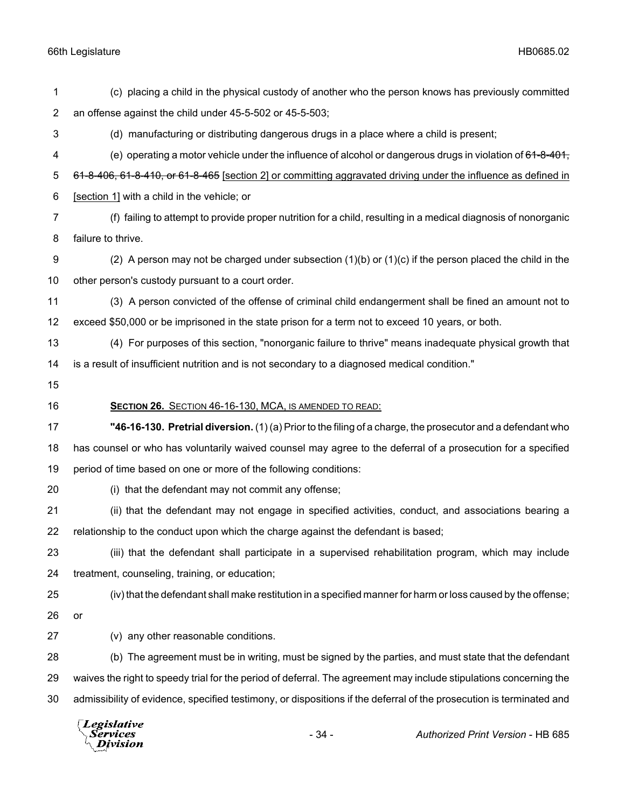|                | Legislative<br>$-34-$<br>Authorized Print Version - HB 685<br>Services<br>ivision                                    |  |
|----------------|----------------------------------------------------------------------------------------------------------------------|--|
| 30             | admissibility of evidence, specified testimony, or dispositions if the deferral of the prosecution is terminated and |  |
| 29             | waives the right to speedy trial for the period of deferral. The agreement may include stipulations concerning the   |  |
| 28             | (b) The agreement must be in writing, must be signed by the parties, and must state that the defendant               |  |
| 27             | (v) any other reasonable conditions.                                                                                 |  |
| 26             | or                                                                                                                   |  |
| 25             | (iv) that the defendant shall make restitution in a specified manner for harm or loss caused by the offense;         |  |
| 24             | treatment, counseling, training, or education;                                                                       |  |
| 23             | (iii) that the defendant shall participate in a supervised rehabilitation program, which may include                 |  |
| 22             | relationship to the conduct upon which the charge against the defendant is based;                                    |  |
| 21             | (ii) that the defendant may not engage in specified activities, conduct, and associations bearing a                  |  |
| 20             | (i) that the defendant may not commit any offense;                                                                   |  |
| 19             | period of time based on one or more of the following conditions:                                                     |  |
| 18             | has counsel or who has voluntarily waived counsel may agree to the deferral of a prosecution for a specified         |  |
| 17             | "46-16-130. Pretrial diversion. (1) (a) Prior to the filing of a charge, the prosecutor and a defendant who          |  |
| 16             | SECTION 26. SECTION 46-16-130, MCA, IS AMENDED TO READ:                                                              |  |
| 15             |                                                                                                                      |  |
| 14             | is a result of insufficient nutrition and is not secondary to a diagnosed medical condition."                        |  |
| 13             | (4) For purposes of this section, "nonorganic failure to thrive" means inadequate physical growth that               |  |
| 12             | exceed \$50,000 or be imprisoned in the state prison for a term not to exceed 10 years, or both.                     |  |
| 11             | (3) A person convicted of the offense of criminal child endangerment shall be fined an amount not to                 |  |
| 10             | other person's custody pursuant to a court order.                                                                    |  |
| 9              | (2) A person may not be charged under subsection $(1)(b)$ or $(1)(c)$ if the person placed the child in the          |  |
| 8              | failure to thrive.                                                                                                   |  |
| 7              | (f) failing to attempt to provide proper nutrition for a child, resulting in a medical diagnosis of nonorganic       |  |
| 6              | [section 1] with a child in the vehicle; or                                                                          |  |
| 5              | 61-8-406, 61-8-410, or 61-8-465 [section 2] or committing aggravated driving under the influence as defined in       |  |
| 4              | (e) operating a motor vehicle under the influence of alcohol or dangerous drugs in violation of 61-8-401,            |  |
| 3              | (d) manufacturing or distributing dangerous drugs in a place where a child is present;                               |  |
| $\overline{c}$ | an offense against the child under 45-5-502 or 45-5-503;                                                             |  |
| 1              | (c) placing a child in the physical custody of another who the person knows has previously committed                 |  |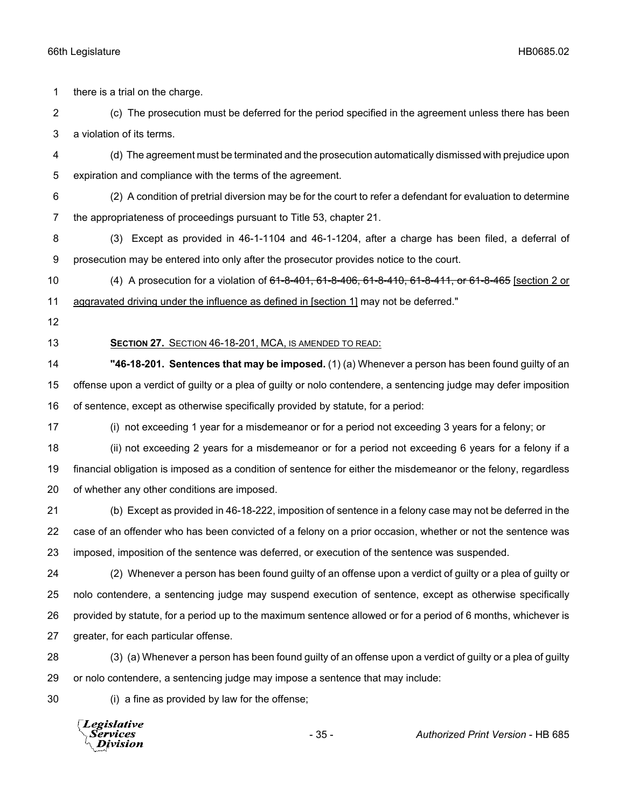there is a trial on the charge.

 (c) The prosecution must be deferred for the period specified in the agreement unless there has been a violation of its terms.

- (d) The agreement must be terminated and the prosecution automatically dismissed with prejudice upon expiration and compliance with the terms of the agreement.
- (2) A condition of pretrial diversion may be for the court to refer a defendant for evaluation to determine the appropriateness of proceedings pursuant to Title 53, chapter 21.
- (3) Except as provided in 46-1-1104 and 46-1-1204, after a charge has been filed, a deferral of prosecution may be entered into only after the prosecutor provides notice to the court.
- 10 (4) A prosecution for a violation of <del>61-8-401, 61-8-406, 61-8-410, 61-8-411, or 61-8-465</del> [section 2 or aggravated driving under the influence as defined in [section 1] may not be deferred."
- 

## **SECTION 27.** SECTION 46-18-201, MCA, IS AMENDED TO READ:

 **"46-18-201. Sentences that may be imposed.** (1) (a) Whenever a person has been found guilty of an offense upon a verdict of guilty or a plea of guilty or nolo contendere, a sentencing judge may defer imposition of sentence, except as otherwise specifically provided by statute, for a period:

(i) not exceeding 1 year for a misdemeanor or for a period not exceeding 3 years for a felony; or

 (ii) not exceeding 2 years for a misdemeanor or for a period not exceeding 6 years for a felony if a financial obligation is imposed as a condition of sentence for either the misdemeanor or the felony, regardless of whether any other conditions are imposed.

 (b) Except as provided in 46-18-222, imposition of sentence in a felony case may not be deferred in the case of an offender who has been convicted of a felony on a prior occasion, whether or not the sentence was imposed, imposition of the sentence was deferred, or execution of the sentence was suspended.

 (2) Whenever a person has been found guilty of an offense upon a verdict of guilty or a plea of guilty or nolo contendere, a sentencing judge may suspend execution of sentence, except as otherwise specifically provided by statute, for a period up to the maximum sentence allowed or for a period of 6 months, whichever is greater, for each particular offense.

 (3) (a) Whenever a person has been found guilty of an offense upon a verdict of guilty or a plea of guilty or nolo contendere, a sentencing judge may impose a sentence that may include:

(i) a fine as provided by law for the offense;

**Legislative** Services **Division**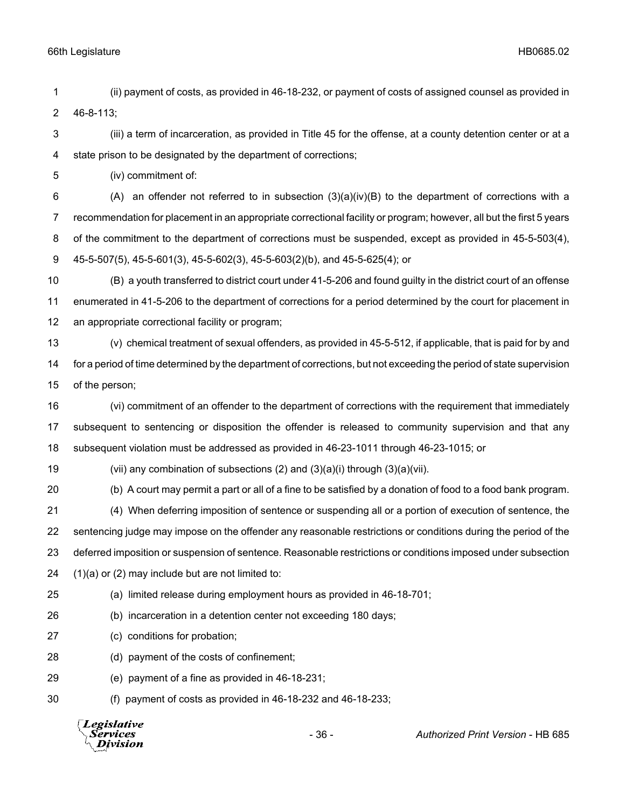(ii) payment of costs, as provided in 46-18-232, or payment of costs of assigned counsel as provided in 46-8-113;

 (iii) a term of incarceration, as provided in Title 45 for the offense, at a county detention center or at a state prison to be designated by the department of corrections;

(iv) commitment of:

 $(A)$  an offender not referred to in subsection  $(3)(a)(iv)(B)$  to the department of corrections with a recommendation for placement in an appropriate correctional facility or program; however, all but the first 5 years of the commitment to the department of corrections must be suspended, except as provided in 45-5-503(4), 45-5-507(5), 45-5-601(3), 45-5-602(3), 45-5-603(2)(b), and 45-5-625(4); or

 (B) a youth transferred to district court under 41-5-206 and found guilty in the district court of an offense enumerated in 41-5-206 to the department of corrections for a period determined by the court for placement in an appropriate correctional facility or program;

 (v) chemical treatment of sexual offenders, as provided in 45-5-512, if applicable, that is paid for by and for a period of time determined by the department of corrections, but not exceeding the period of state supervision of the person;

 (vi) commitment of an offender to the department of corrections with the requirement that immediately subsequent to sentencing or disposition the offender is released to community supervision and that any subsequent violation must be addressed as provided in 46-23-1011 through 46-23-1015; or

(vii) any combination of subsections (2) and (3)(a)(i) through (3)(a)(vii).

(b) A court may permit a part or all of a fine to be satisfied by a donation of food to a food bank program.

 (4) When deferring imposition of sentence or suspending all or a portion of execution of sentence, the sentencing judge may impose on the offender any reasonable restrictions or conditions during the period of the deferred imposition or suspension of sentence. Reasonable restrictions or conditions imposed under subsection (1)(a) or (2) may include but are not limited to:

- (a) limited release during employment hours as provided in 46-18-701;
- (b) incarceration in a detention center not exceeding 180 days;
- (c) conditions for probation;
- (d) payment of the costs of confinement;
- (e) payment of a fine as provided in 46-18-231;
- (f) payment of costs as provided in 46-18-232 and 46-18-233;

**Legislative** Services Division

- 36 - *Authorized Print Version* - HB 685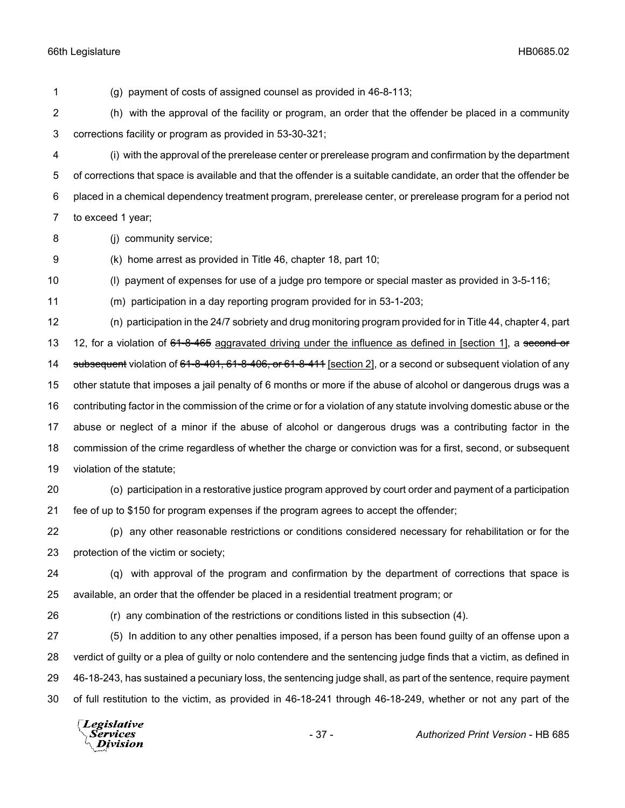(g) payment of costs of assigned counsel as provided in 46-8-113; (h) with the approval of the facility or program, an order that the offender be placed in a community corrections facility or program as provided in 53-30-321; (i) with the approval of the prerelease center or prerelease program and confirmation by the department of corrections that space is available and that the offender is a suitable candidate, an order that the offender be placed in a chemical dependency treatment program, prerelease center, or prerelease program for a period not to exceed 1 year; (j) community service; (k) home arrest as provided in Title 46, chapter 18, part 10; (l) payment of expenses for use of a judge pro tempore or special master as provided in 3-5-116; (m) participation in a day reporting program provided for in 53-1-203; (n) participation in the 24/7 sobriety and drug monitoring program provided for in Title 44, chapter 4, part 13 12, for a violation of 61-8-465 aggravated driving under the influence as defined in [section 1], a second or 14 subsequent violation of 61-8-401, 61-8-406, or 61-8-411 [section 2], or a second or subsequent violation of any other statute that imposes a jail penalty of 6 months or more if the abuse of alcohol or dangerous drugs was a contributing factor in the commission of the crime or for a violation of any statute involving domestic abuse or the abuse or neglect of a minor if the abuse of alcohol or dangerous drugs was a contributing factor in the commission of the crime regardless of whether the charge or conviction was for a first, second, or subsequent violation of the statute; (o) participation in a restorative justice program approved by court order and payment of a participation fee of up to \$150 for program expenses if the program agrees to accept the offender; (p) any other reasonable restrictions or conditions considered necessary for rehabilitation or for the protection of the victim or society; (q) with approval of the program and confirmation by the department of corrections that space is available, an order that the offender be placed in a residential treatment program; or (r) any combination of the restrictions or conditions listed in this subsection (4). (5) In addition to any other penalties imposed, if a person has been found guilty of an offense upon a verdict of guilty or a plea of guilty or nolo contendere and the sentencing judge finds that a victim, as defined in 46-18-243, has sustained a pecuniary loss, the sentencing judge shall, as part of the sentence, require payment of full restitution to the victim, as provided in 46-18-241 through 46-18-249, whether or not any part of the **Legislative** *Services* - 37 - *Authorized Print Version* - HB 685**Division**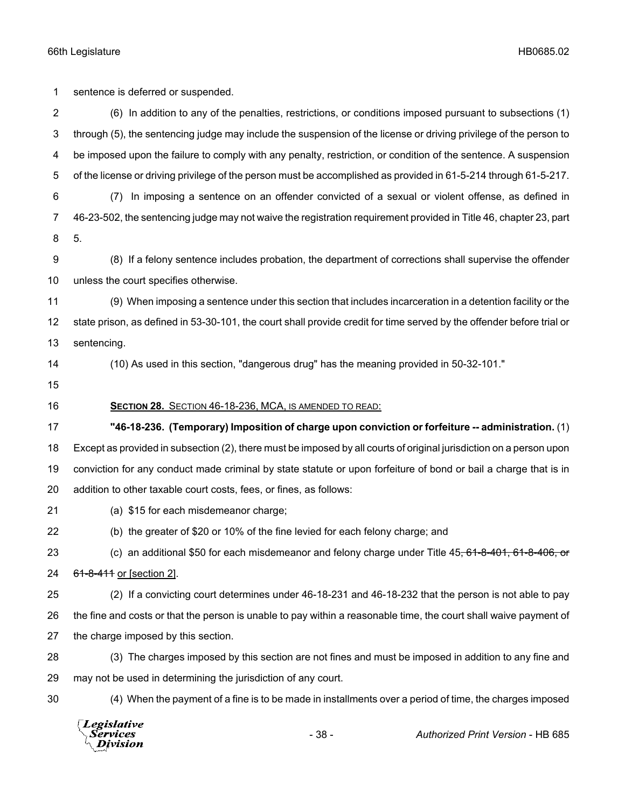sentence is deferred or suspended.

 (6) In addition to any of the penalties, restrictions, or conditions imposed pursuant to subsections (1) through (5), the sentencing judge may include the suspension of the license or driving privilege of the person to be imposed upon the failure to comply with any penalty, restriction, or condition of the sentence. A suspension of the license or driving privilege of the person must be accomplished as provided in 61-5-214 through 61-5-217. (7) In imposing a sentence on an offender convicted of a sexual or violent offense, as defined in 46-23-502, the sentencing judge may not waive the registration requirement provided in Title 46, chapter 23, part 5. (8) If a felony sentence includes probation, the department of corrections shall supervise the offender unless the court specifies otherwise. (9) When imposing a sentence under this section that includes incarceration in a detention facility or the state prison, as defined in 53-30-101, the court shall provide credit for time served by the offender before trial or sentencing. (10) As used in this section, "dangerous drug" has the meaning provided in 50-32-101." **SECTION 28.** SECTION 46-18-236, MCA, IS AMENDED TO READ: **"46-18-236. (Temporary) Imposition of charge upon conviction or forfeiture -- administration.** (1) Except as provided in subsection (2), there must be imposed by all courts of original jurisdiction on a person upon conviction for any conduct made criminal by state statute or upon forfeiture of bond or bail a charge that is in addition to other taxable court costs, fees, or fines, as follows: (a) \$15 for each misdemeanor charge; (b) the greater of \$20 or 10% of the fine levied for each felony charge; and 23 (c) an additional \$50 for each misdemeanor and felony charge under Title 45, 61-8-401, 61-8-406, or 61-8-411 or [section 2].

 (2) If a convicting court determines under 46-18-231 and 46-18-232 that the person is not able to pay the fine and costs or that the person is unable to pay within a reasonable time, the court shall waive payment of the charge imposed by this section.

 (3) The charges imposed by this section are not fines and must be imposed in addition to any fine and may not be used in determining the jurisdiction of any court.

(4) When the payment of a fine is to be made in installments over a period of time, the charges imposed

Legislative Services **Division**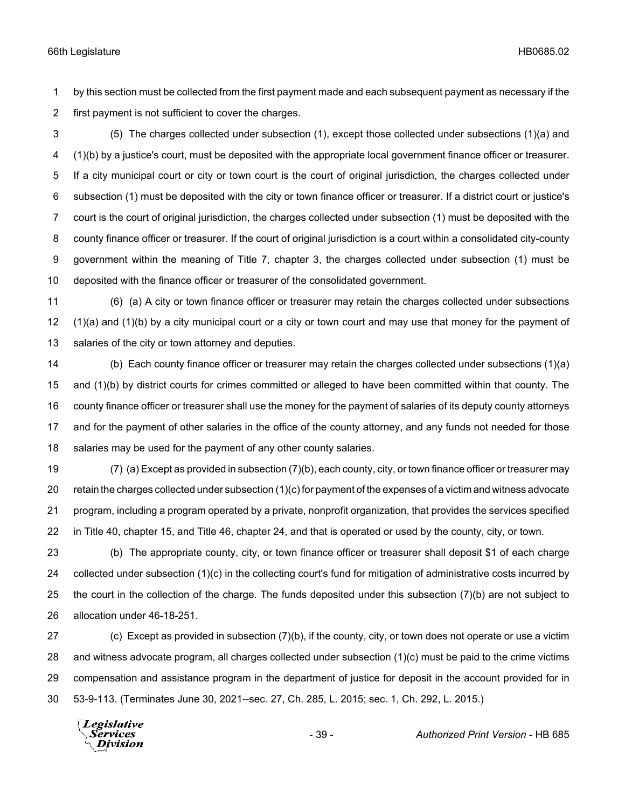by this section must be collected from the first payment made and each subsequent payment as necessary if the first payment is not sufficient to cover the charges.

 (5) The charges collected under subsection (1), except those collected under subsections (1)(a) and (1)(b) by a justice's court, must be deposited with the appropriate local government finance officer or treasurer. If a city municipal court or city or town court is the court of original jurisdiction, the charges collected under subsection (1) must be deposited with the city or town finance officer or treasurer. If a district court or justice's court is the court of original jurisdiction, the charges collected under subsection (1) must be deposited with the county finance officer or treasurer. If the court of original jurisdiction is a court within a consolidated city-county government within the meaning of Title 7, chapter 3, the charges collected under subsection (1) must be deposited with the finance officer or treasurer of the consolidated government.

 (6) (a) A city or town finance officer or treasurer may retain the charges collected under subsections (1)(a) and (1)(b) by a city municipal court or a city or town court and may use that money for the payment of salaries of the city or town attorney and deputies.

 (b) Each county finance officer or treasurer may retain the charges collected under subsections (1)(a) and (1)(b) by district courts for crimes committed or alleged to have been committed within that county. The county finance officer or treasurer shall use the money for the payment of salaries of its deputy county attorneys and for the payment of other salaries in the office of the county attorney, and any funds not needed for those 18 salaries may be used for the payment of any other county salaries.

 (7) (a) Except as provided in subsection (7)(b), each county, city, or town finance officer or treasurer may 20 retain the charges collected under subsection  $(1)(c)$  for payment of the expenses of a victim and witness advocate program, including a program operated by a private, nonprofit organization, that provides the services specified in Title 40, chapter 15, and Title 46, chapter 24, and that is operated or used by the county, city, or town.

 (b) The appropriate county, city, or town finance officer or treasurer shall deposit \$1 of each charge collected under subsection (1)(c) in the collecting court's fund for mitigation of administrative costs incurred by 25 the court in the collection of the charge. The funds deposited under this subsection (7)(b) are not subject to allocation under 46-18-251.

 (c) Except as provided in subsection (7)(b), if the county, city, or town does not operate or use a victim and witness advocate program, all charges collected under subsection (1)(c) must be paid to the crime victims compensation and assistance program in the department of justice for deposit in the account provided for in 53-9-113. (Terminates June 30, 2021--sec. 27, Ch. 285, L. 2015; sec. 1, Ch. 292, L. 2015.)

Legislative *Services* **Division**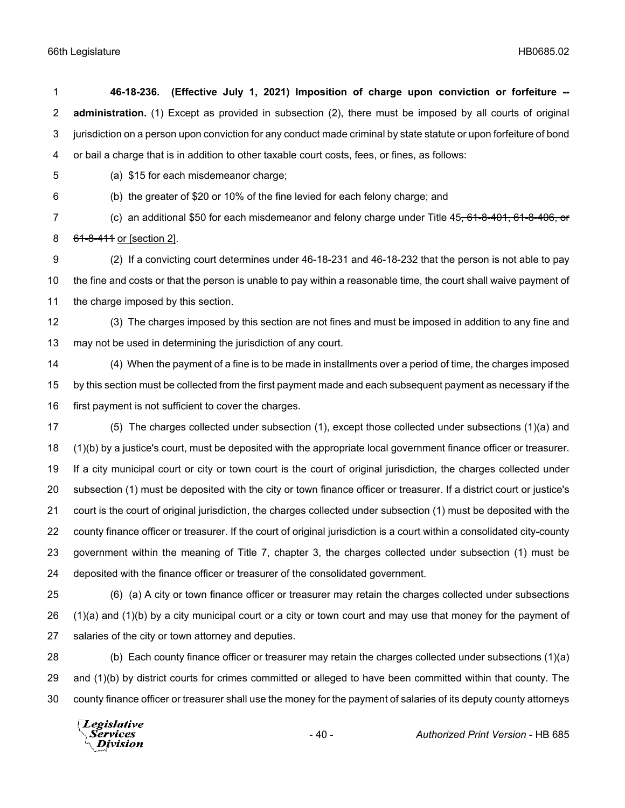| 1                       | 46-18-236. (Effective July 1, 2021) Imposition of charge upon conviction or forfeiture --                                   |
|-------------------------|-----------------------------------------------------------------------------------------------------------------------------|
| 2                       | administration. (1) Except as provided in subsection (2), there must be imposed by all courts of original                   |
| 3                       | jurisdiction on a person upon conviction for any conduct made criminal by state statute or upon forfeiture of bond          |
| $\overline{\mathbf{4}}$ | or bail a charge that is in addition to other taxable court costs, fees, or fines, as follows:                              |
| 5                       | (a) \$15 for each misdemeanor charge;                                                                                       |
| 6                       | (b) the greater of \$20 or 10% of the fine levied for each felony charge; and                                               |
| 7                       | (c) an additional \$50 for each misdemeanor and felony charge under Title 45, 61-8-401, 61-8-406, or                        |
| 8                       | 61-8-411 or [section 2].                                                                                                    |
| 9                       | (2) If a convicting court determines under 46-18-231 and 46-18-232 that the person is not able to pay                       |
| 10                      | the fine and costs or that the person is unable to pay within a reasonable time, the court shall waive payment of           |
| 11                      | the charge imposed by this section.                                                                                         |
| 12                      | (3) The charges imposed by this section are not fines and must be imposed in addition to any fine and                       |
| 13                      | may not be used in determining the jurisdiction of any court.                                                               |
| 14                      | (4) When the payment of a fine is to be made in installments over a period of time, the charges imposed                     |
| 15                      | by this section must be collected from the first payment made and each subsequent payment as necessary if the               |
| 16                      | first payment is not sufficient to cover the charges.                                                                       |
| 17                      | (5) The charges collected under subsection (1), except those collected under subsections (1)(a) and                         |
| 18                      | (1)(b) by a justice's court, must be deposited with the appropriate local government finance officer or treasurer.          |
| 19                      | If a city municipal court or city or town court is the court of original jurisdiction, the charges collected under          |
| 20                      | subsection (1) must be deposited with the city or town finance officer or treasurer. If a district court or justice's       |
| 21                      | court is the court of original jurisdiction, the charges collected under subsection (1) must be deposited with the          |
| 22                      | county finance officer or treasurer. If the court of original jurisdiction is a court within a consolidated city-county     |
| 23                      | government within the meaning of Title 7, chapter 3, the charges collected under subsection (1) must be                     |
| 24                      | deposited with the finance officer or treasurer of the consolidated government.                                             |
| າ⊏                      | $(\beta)$ , $(\alpha)$ , $\beta$ oity or town finance officer or tropouror moy rate the oberges collected under subsections |

 (6) (a) A city or town finance officer or treasurer may retain the charges collected under subsections (1)(a) and (1)(b) by a city municipal court or a city or town court and may use that money for the payment of salaries of the city or town attorney and deputies.

 (b) Each county finance officer or treasurer may retain the charges collected under subsections (1)(a) and (1)(b) by district courts for crimes committed or alleged to have been committed within that county. The county finance officer or treasurer shall use the money for the payment of salaries of its deputy county attorneys

*Legislative*<br>\ *Services* **Division**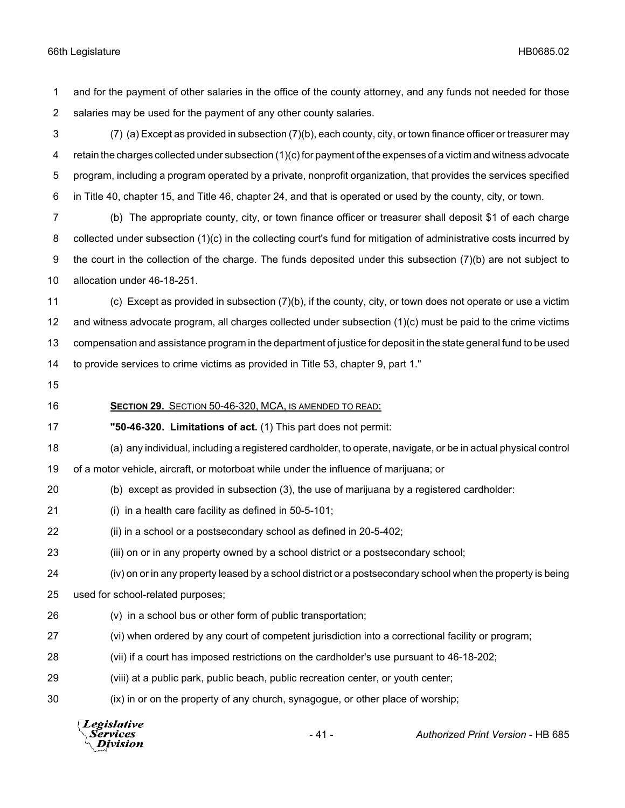and for the payment of other salaries in the office of the county attorney, and any funds not needed for those salaries may be used for the payment of any other county salaries.

 (7) (a) Except as provided in subsection (7)(b), each county, city, or town finance officer or treasurer may retain the charges collected under subsection (1)(c) for payment of the expenses of a victim and witness advocate program, including a program operated by a private, nonprofit organization, that provides the services specified in Title 40, chapter 15, and Title 46, chapter 24, and that is operated or used by the county, city, or town.

 (b) The appropriate county, city, or town finance officer or treasurer shall deposit \$1 of each charge collected under subsection (1)(c) in the collecting court's fund for mitigation of administrative costs incurred by the court in the collection of the charge. The funds deposited under this subsection (7)(b) are not subject to allocation under 46-18-251.

 (c) Except as provided in subsection (7)(b), if the county, city, or town does not operate or use a victim and witness advocate program, all charges collected under subsection (1)(c) must be paid to the crime victims compensation and assistance program in the department of justice for deposit in the state general fund to be used to provide services to crime victims as provided in Title 53, chapter 9, part 1."

# **SECTION 29.** SECTION 50-46-320, MCA, IS AMENDED TO READ:

**"50-46-320. Limitations of act.** (1) This part does not permit:

(a) any individual, including a registered cardholder, to operate, navigate, or be in actual physical control

of a motor vehicle, aircraft, or motorboat while under the influence of marijuana; or

- (b) except as provided in subsection (3), the use of marijuana by a registered cardholder:
- (i) in a health care facility as defined in 50-5-101;
- (ii) in a school or a postsecondary school as defined in 20-5-402;
- (iii) on or in any property owned by a school district or a postsecondary school;
- (iv) on or in any property leased by a school district or a postsecondary school when the property is being
- used for school-related purposes;
- (v) in a school bus or other form of public transportation;
- (vi) when ordered by any court of competent jurisdiction into a correctional facility or program;
- (vii) if a court has imposed restrictions on the cardholder's use pursuant to 46-18-202;
- (viii) at a public park, public beach, public recreation center, or youth center;
- (ix) in or on the property of any church, synagogue, or other place of worship;

**Legislative Services** - 41 - *Authorized Print Version* - HB 685Division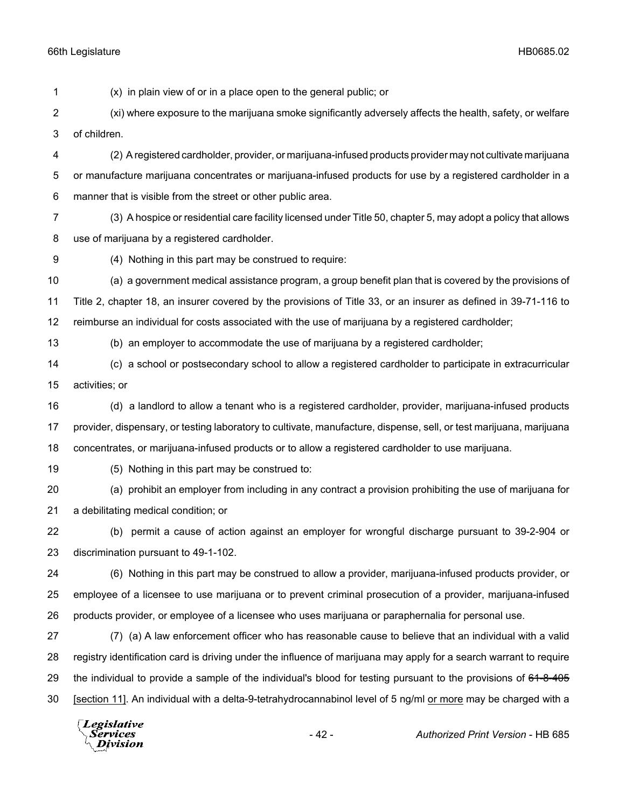(x) in plain view of or in a place open to the general public; or

 (xi) where exposure to the marijuana smoke significantly adversely affects the health, safety, or welfare of children.

 (2) A registered cardholder, provider, or marijuana-infused products provider may not cultivate marijuana or manufacture marijuana concentrates or marijuana-infused products for use by a registered cardholder in a manner that is visible from the street or other public area.

 (3) A hospice or residential care facility licensed under Title 50, chapter 5, may adopt a policy that allows use of marijuana by a registered cardholder.

(4) Nothing in this part may be construed to require:

 (a) a government medical assistance program, a group benefit plan that is covered by the provisions of Title 2, chapter 18, an insurer covered by the provisions of Title 33, or an insurer as defined in 39-71-116 to reimburse an individual for costs associated with the use of marijuana by a registered cardholder;

(b) an employer to accommodate the use of marijuana by a registered cardholder;

 (c) a school or postsecondary school to allow a registered cardholder to participate in extracurricular activities; or

 (d) a landlord to allow a tenant who is a registered cardholder, provider, marijuana-infused products provider, dispensary, or testing laboratory to cultivate, manufacture, dispense, sell, or test marijuana, marijuana concentrates, or marijuana-infused products or to allow a registered cardholder to use marijuana.

(5) Nothing in this part may be construed to:

 (a) prohibit an employer from including in any contract a provision prohibiting the use of marijuana for a debilitating medical condition; or

 (b) permit a cause of action against an employer for wrongful discharge pursuant to 39-2-904 or discrimination pursuant to 49-1-102.

 (6) Nothing in this part may be construed to allow a provider, marijuana-infused products provider, or employee of a licensee to use marijuana or to prevent criminal prosecution of a provider, marijuana-infused products provider, or employee of a licensee who uses marijuana or paraphernalia for personal use.

 (7) (a) A law enforcement officer who has reasonable cause to believe that an individual with a valid registry identification card is driving under the influence of marijuana may apply for a search warrant to require 29 the individual to provide a sample of the individual's blood for testing pursuant to the provisions of 61-8-405 [section 11]. An individual with a delta-9-tetrahydrocannabinol level of 5 ng/ml or more may be charged with a

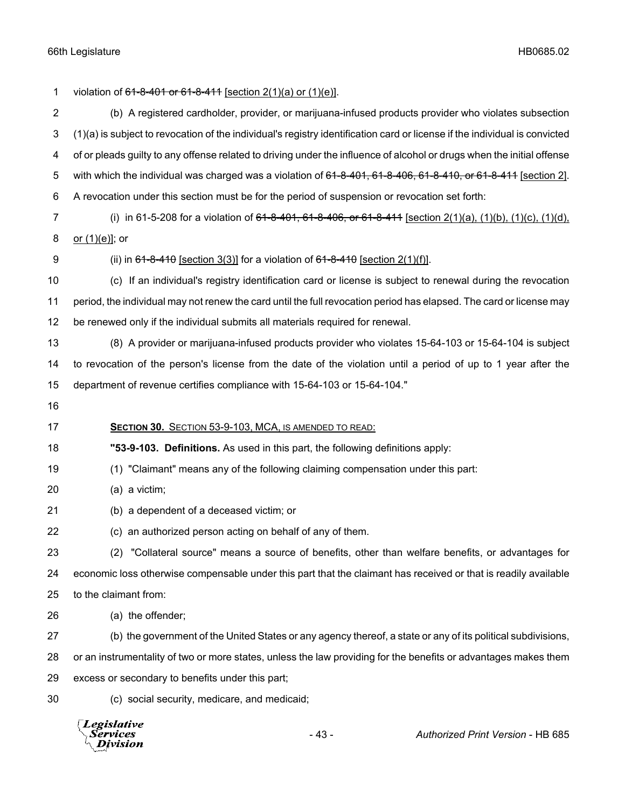1 violation of <del>61-8-401 or 61-8-411</del> [section 2(1)(a) or (1)(e)]. (b) A registered cardholder, provider, or marijuana-infused products provider who violates subsection (1)(a) is subject to revocation of the individual's registry identification card or license if the individual is convicted of or pleads guilty to any offense related to driving under the influence of alcohol or drugs when the initial offense 5 with which the individual was charged was a violation of 61-8-401, 61-8-406, 61-8-410, or 61-8-411 [section 2]. A revocation under this section must be for the period of suspension or revocation set forth: 7 (i) in 61-5-208 for a violation of <del>61-8-401, 61-8-406, or 61-8-411</del> [section 2(1)(a), (1)(b), (1)(c), (1)(d), or (1)(e)]; or 9 (ii) in  $61-8-410$  [section 3(3)] for a violation of  $61-8-410$  [section 2(1)(f)]. (c) If an individual's registry identification card or license is subject to renewal during the revocation period, the individual may not renew the card until the full revocation period has elapsed. The card or license may be renewed only if the individual submits all materials required for renewal. (8) A provider or marijuana-infused products provider who violates 15-64-103 or 15-64-104 is subject to revocation of the person's license from the date of the violation until a period of up to 1 year after the department of revenue certifies compliance with 15-64-103 or 15-64-104." **SECTION 30.** SECTION 53-9-103, MCA, IS AMENDED TO READ: **"53-9-103. Definitions.** As used in this part, the following definitions apply: (1) "Claimant" means any of the following claiming compensation under this part: (a) a victim; (b) a dependent of a deceased victim; or (c) an authorized person acting on behalf of any of them. (2) "Collateral source" means a source of benefits, other than welfare benefits, or advantages for economic loss otherwise compensable under this part that the claimant has received or that is readily available to the claimant from: (a) the offender; (b) the government of the United States or any agency thereof, a state or any of its political subdivisions, or an instrumentality of two or more states, unless the law providing for the benefits or advantages makes them excess or secondary to benefits under this part; (c) social security, medicare, and medicaid;

**Legislative** Services Division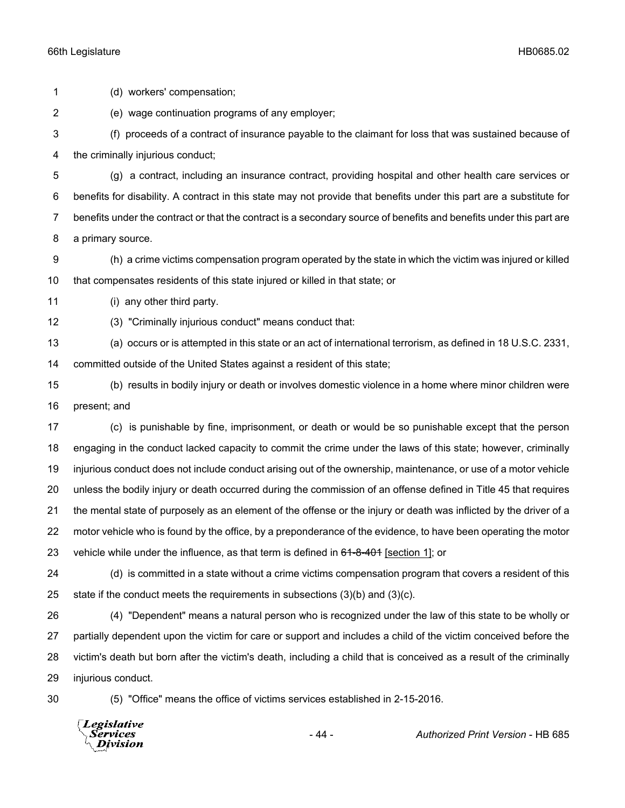(d) workers' compensation; (e) wage continuation programs of any employer; (f) proceeds of a contract of insurance payable to the claimant for loss that was sustained because of the criminally injurious conduct; (g) a contract, including an insurance contract, providing hospital and other health care services or benefits for disability. A contract in this state may not provide that benefits under this part are a substitute for benefits under the contract or that the contract is a secondary source of benefits and benefits under this part are a primary source. (h) a crime victims compensation program operated by the state in which the victim was injured or killed that compensates residents of this state injured or killed in that state; or (i) any other third party. (3) "Criminally injurious conduct" means conduct that: (a) occurs or is attempted in this state or an act of international terrorism, as defined in 18 U.S.C. 2331, committed outside of the United States against a resident of this state; (b) results in bodily injury or death or involves domestic violence in a home where minor children were present; and (c) is punishable by fine, imprisonment, or death or would be so punishable except that the person engaging in the conduct lacked capacity to commit the crime under the laws of this state; however, criminally injurious conduct does not include conduct arising out of the ownership, maintenance, or use of a motor vehicle unless the bodily injury or death occurred during the commission of an offense defined in Title 45 that requires the mental state of purposely as an element of the offense or the injury or death was inflicted by the driver of a motor vehicle who is found by the office, by a preponderance of the evidence, to have been operating the motor 23 vehicle while under the influence, as that term is defined in  $61-8-401$  [section 1]; or (d) is committed in a state without a crime victims compensation program that covers a resident of this 25 state if the conduct meets the requirements in subsections  $(3)(b)$  and  $(3)(c)$ . (4) "Dependent" means a natural person who is recognized under the law of this state to be wholly or partially dependent upon the victim for care or support and includes a child of the victim conceived before the victim's death but born after the victim's death, including a child that is conceived as a result of the criminally injurious conduct. (5) "Office" means the office of victims services established in 2-15-2016.

**Legislative** Services **Division** 

- 44 - *Authorized Print Version* - HB 685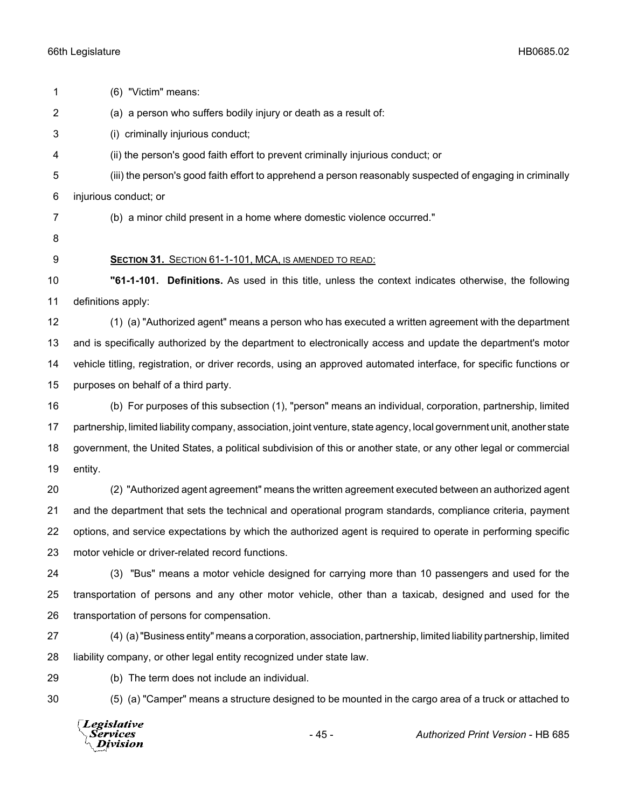| 1              | (6) "Victim" means:                                                                                                    |
|----------------|------------------------------------------------------------------------------------------------------------------------|
| $\overline{2}$ | (a) a person who suffers bodily injury or death as a result of:                                                        |
| 3              | (i) criminally injurious conduct;                                                                                      |
| 4              | (ii) the person's good faith effort to prevent criminally injurious conduct; or                                        |
| 5              | (iii) the person's good faith effort to apprehend a person reasonably suspected of engaging in criminally              |
| 6              | injurious conduct; or                                                                                                  |
| 7              | (b) a minor child present in a home where domestic violence occurred."                                                 |
| 8              |                                                                                                                        |
| 9              | SECTION 31. SECTION 61-1-101, MCA, IS AMENDED TO READ:                                                                 |
| 10             | "61-1-101. Definitions. As used in this title, unless the context indicates otherwise, the following                   |
| 11             | definitions apply:                                                                                                     |
| 12             | (1) (a) "Authorized agent" means a person who has executed a written agreement with the department                     |
| 13             | and is specifically authorized by the department to electronically access and update the department's motor            |
| 14             | vehicle titling, registration, or driver records, using an approved automated interface, for specific functions or     |
| 15             | purposes on behalf of a third party.                                                                                   |
| 16             | (b) For purposes of this subsection (1), "person" means an individual, corporation, partnership, limited               |
| 17             | partnership, limited liability company, association, joint venture, state agency, local government unit, another state |
| 18             | government, the United States, a political subdivision of this or another state, or any other legal or commercial      |
| 19             | entity.                                                                                                                |
| 20             | (2) "Authorized agent agreement" means the written agreement executed between an authorized agent                      |
| 21             | and the department that sets the technical and operational program standards, compliance criteria, payment             |
| 22             | options, and service expectations by which the authorized agent is required to operate in performing specific          |
| 23             | motor vehicle or driver-related record functions.                                                                      |
| 24             | (3) "Bus" means a motor vehicle designed for carrying more than 10 passengers and used for the                         |
| 25             | transportation of persons and any other motor vehicle, other than a taxicab, designed and used for the                 |
| 26             | transportation of persons for compensation.                                                                            |
| 27             | (4) (a) "Business entity" means a corporation, association, partnership, limited liability partnership, limited        |
| 28             | liability company, or other legal entity recognized under state law.                                                   |
| 29             | (b) The term does not include an individual.                                                                           |
| 30             | (5) (a) "Camper" means a structure designed to be mounted in the cargo area of a truck or attached to                  |
|                | Legislative<br>$-45-$<br>Authorized Print Version - HB 685<br>Services<br>Division                                     |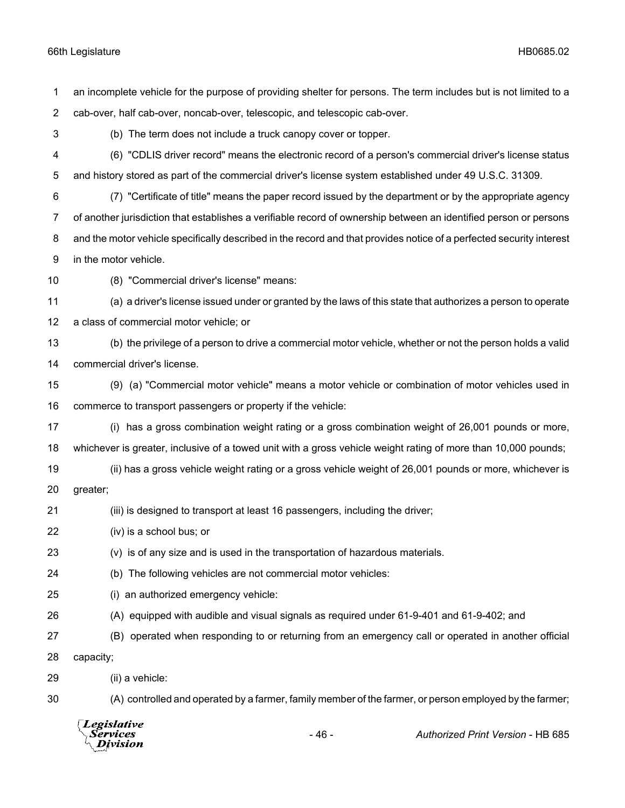|                | Legislative<br>Services<br>Division                                                                     | $-46-$ | Authorized Print Version - HB 685                                                                                    |
|----------------|---------------------------------------------------------------------------------------------------------|--------|----------------------------------------------------------------------------------------------------------------------|
| 30             |                                                                                                         |        | (A) controlled and operated by a farmer, family member of the farmer, or person employed by the farmer;              |
| 29             | (ii) a vehicle:                                                                                         |        |                                                                                                                      |
| 28             | capacity;                                                                                               |        |                                                                                                                      |
| 27             |                                                                                                         |        | (B) operated when responding to or returning from an emergency call or operated in another official                  |
| 26             | (A) equipped with audible and visual signals as required under 61-9-401 and 61-9-402; and               |        |                                                                                                                      |
| 25             | (i) an authorized emergency vehicle:                                                                    |        |                                                                                                                      |
| 24             | (b) The following vehicles are not commercial motor vehicles:                                           |        |                                                                                                                      |
| 23             | (v) is of any size and is used in the transportation of hazardous materials.                            |        |                                                                                                                      |
| 22             | (iv) is a school bus; or                                                                                |        |                                                                                                                      |
| 21             | (iii) is designed to transport at least 16 passengers, including the driver;                            |        |                                                                                                                      |
| 20             | greater;                                                                                                |        |                                                                                                                      |
| 19             |                                                                                                         |        | (ii) has a gross vehicle weight rating or a gross vehicle weight of 26,001 pounds or more, whichever is              |
| 18             |                                                                                                         |        | whichever is greater, inclusive of a towed unit with a gross vehicle weight rating of more than 10,000 pounds;       |
| 17             |                                                                                                         |        | (i) has a gross combination weight rating or a gross combination weight of 26,001 pounds or more,                    |
| 16             | commerce to transport passengers or property if the vehicle:                                            |        |                                                                                                                      |
| 15             |                                                                                                         |        | (9) (a) "Commercial motor vehicle" means a motor vehicle or combination of motor vehicles used in                    |
| 14             | commercial driver's license.                                                                            |        |                                                                                                                      |
| 13             |                                                                                                         |        | (b) the privilege of a person to drive a commercial motor vehicle, whether or not the person holds a valid           |
| 12             | a class of commercial motor vehicle; or                                                                 |        |                                                                                                                      |
| 11             |                                                                                                         |        | (a) a driver's license issued under or granted by the laws of this state that authorizes a person to operate         |
| 10             | (8) "Commercial driver's license" means:                                                                |        |                                                                                                                      |
| 9              | in the motor vehicle.                                                                                   |        |                                                                                                                      |
| 8              |                                                                                                         |        | and the motor vehicle specifically described in the record and that provides notice of a perfected security interest |
| 7              |                                                                                                         |        | of another jurisdiction that establishes a verifiable record of ownership between an identified person or persons    |
| 6              |                                                                                                         |        | (7) "Certificate of title" means the paper record issued by the department or by the appropriate agency              |
| 5              | and history stored as part of the commercial driver's license system established under 49 U.S.C. 31309. |        |                                                                                                                      |
| 4              |                                                                                                         |        | (6) "CDLIS driver record" means the electronic record of a person's commercial driver's license status               |
| 3              | (b) The term does not include a truck canopy cover or topper.                                           |        |                                                                                                                      |
| $\overline{c}$ | cab-over, half cab-over, noncab-over, telescopic, and telescopic cab-over.                              |        |                                                                                                                      |
| 1              |                                                                                                         |        | an incomplete vehicle for the purpose of providing shelter for persons. The term includes but is not limited to a    |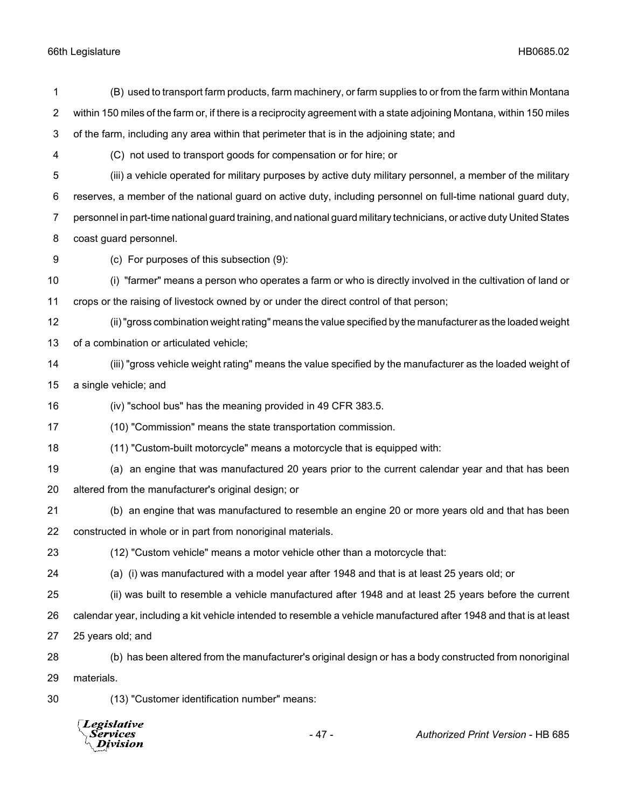|                     | Legislative<br><i>Services</i><br>Division                                                                                                                                                                                        | $-47-$                                                                                      | Authorized Print Version - HB 685                                                                                     |  |
|---------------------|-----------------------------------------------------------------------------------------------------------------------------------------------------------------------------------------------------------------------------------|---------------------------------------------------------------------------------------------|-----------------------------------------------------------------------------------------------------------------------|--|
| 30                  | (13) "Customer identification number" means:                                                                                                                                                                                      |                                                                                             |                                                                                                                       |  |
| 29                  | materials.                                                                                                                                                                                                                        |                                                                                             |                                                                                                                       |  |
| 28                  |                                                                                                                                                                                                                                   |                                                                                             | (b) has been altered from the manufacturer's original design or has a body constructed from nonoriginal               |  |
| 27                  | 25 years old; and                                                                                                                                                                                                                 |                                                                                             |                                                                                                                       |  |
| 26                  |                                                                                                                                                                                                                                   |                                                                                             | calendar year, including a kit vehicle intended to resemble a vehicle manufactured after 1948 and that is at least    |  |
| 25                  |                                                                                                                                                                                                                                   |                                                                                             | (ii) was built to resemble a vehicle manufactured after 1948 and at least 25 years before the current                 |  |
| 24                  |                                                                                                                                                                                                                                   | (a) (i) was manufactured with a model year after 1948 and that is at least 25 years old; or |                                                                                                                       |  |
| 23                  | (12) "Custom vehicle" means a motor vehicle other than a motorcycle that:                                                                                                                                                         |                                                                                             |                                                                                                                       |  |
| 22                  | constructed in whole or in part from nonoriginal materials.                                                                                                                                                                       |                                                                                             |                                                                                                                       |  |
| 21                  |                                                                                                                                                                                                                                   |                                                                                             | (b) an engine that was manufactured to resemble an engine 20 or more years old and that has been                      |  |
| 20                  | altered from the manufacturer's original design; or                                                                                                                                                                               |                                                                                             |                                                                                                                       |  |
| 19                  |                                                                                                                                                                                                                                   |                                                                                             | (a) an engine that was manufactured 20 years prior to the current calendar year and that has been                     |  |
| 18                  |                                                                                                                                                                                                                                   | (11) "Custom-built motorcycle" means a motorcycle that is equipped with:                    |                                                                                                                       |  |
| 17                  |                                                                                                                                                                                                                                   | (10) "Commission" means the state transportation commission.                                |                                                                                                                       |  |
| 16                  |                                                                                                                                                                                                                                   | (iv) "school bus" has the meaning provided in 49 CFR 383.5.                                 |                                                                                                                       |  |
| 15                  | a single vehicle; and                                                                                                                                                                                                             |                                                                                             |                                                                                                                       |  |
| 14                  |                                                                                                                                                                                                                                   |                                                                                             | (iii) "gross vehicle weight rating" means the value specified by the manufacturer as the loaded weight of             |  |
| 13                  | of a combination or articulated vehicle;                                                                                                                                                                                          |                                                                                             |                                                                                                                       |  |
| 12                  |                                                                                                                                                                                                                                   |                                                                                             | (ii) "gross combination weight rating" means the value specified by the manufacturer as the loaded weight             |  |
| 11                  | crops or the raising of livestock owned by or under the direct control of that person;                                                                                                                                            |                                                                                             |                                                                                                                       |  |
| 10                  |                                                                                                                                                                                                                                   |                                                                                             | (i) "farmer" means a person who operates a farm or who is directly involved in the cultivation of land or             |  |
| 9                   | (c) For purposes of this subsection (9):                                                                                                                                                                                          |                                                                                             |                                                                                                                       |  |
| 8                   | coast guard personnel.                                                                                                                                                                                                            |                                                                                             |                                                                                                                       |  |
| 7                   |                                                                                                                                                                                                                                   |                                                                                             | personnel in part-time national guard training, and national guard military technicians, or active duty United States |  |
| 6                   |                                                                                                                                                                                                                                   |                                                                                             | reserves, a member of the national guard on active duty, including personnel on full-time national guard duty,        |  |
| 5                   | (iii) a vehicle operated for military purposes by active duty military personnel, a member of the military                                                                                                                        |                                                                                             |                                                                                                                       |  |
| 4                   | (C) not used to transport goods for compensation or for hire; or                                                                                                                                                                  |                                                                                             |                                                                                                                       |  |
| 3                   | of the farm, including any area within that perimeter that is in the adjoining state; and                                                                                                                                         |                                                                                             |                                                                                                                       |  |
| 1<br>$\overline{c}$ | (B) used to transport farm products, farm machinery, or farm supplies to or from the farm within Montana<br>within 150 miles of the farm or, if there is a reciprocity agreement with a state adjoining Montana, within 150 miles |                                                                                             |                                                                                                                       |  |
|                     |                                                                                                                                                                                                                                   |                                                                                             |                                                                                                                       |  |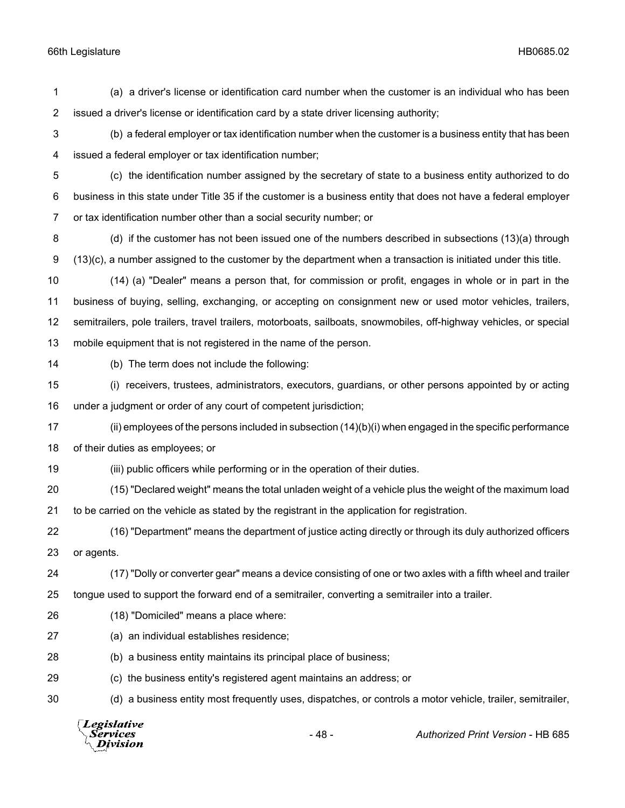(a) a driver's license or identification card number when the customer is an individual who has been issued a driver's license or identification card by a state driver licensing authority;

 (b) a federal employer or tax identification number when the customer is a business entity that has been issued a federal employer or tax identification number;

 (c) the identification number assigned by the secretary of state to a business entity authorized to do business in this state under Title 35 if the customer is a business entity that does not have a federal employer or tax identification number other than a social security number; or

 (d) if the customer has not been issued one of the numbers described in subsections (13)(a) through (13)(c), a number assigned to the customer by the department when a transaction is initiated under this title.

 (14) (a) "Dealer" means a person that, for commission or profit, engages in whole or in part in the business of buying, selling, exchanging, or accepting on consignment new or used motor vehicles, trailers, semitrailers, pole trailers, travel trailers, motorboats, sailboats, snowmobiles, off-highway vehicles, or special mobile equipment that is not registered in the name of the person.

(b) The term does not include the following:

 (i) receivers, trustees, administrators, executors, guardians, or other persons appointed by or acting under a judgment or order of any court of competent jurisdiction;

 (ii) employees of the persons included in subsection (14)(b)(i) when engaged in the specific performance of their duties as employees; or

(iii) public officers while performing or in the operation of their duties.

 (15) "Declared weight" means the total unladen weight of a vehicle plus the weight of the maximum load to be carried on the vehicle as stated by the registrant in the application for registration.

 (16) "Department" means the department of justice acting directly or through its duly authorized officers or agents.

 (17) "Dolly or converter gear" means a device consisting of one or two axles with a fifth wheel and trailer tongue used to support the forward end of a semitrailer, converting a semitrailer into a trailer.

- (18) "Domiciled" means a place where:
- (a) an individual establishes residence;
- (b) a business entity maintains its principal place of business;

(c) the business entity's registered agent maintains an address; or

(d) a business entity most frequently uses, dispatches, or controls a motor vehicle, trailer, semitrailer,

**Legislative** Services Division

- 48 - *Authorized Print Version* - HB 685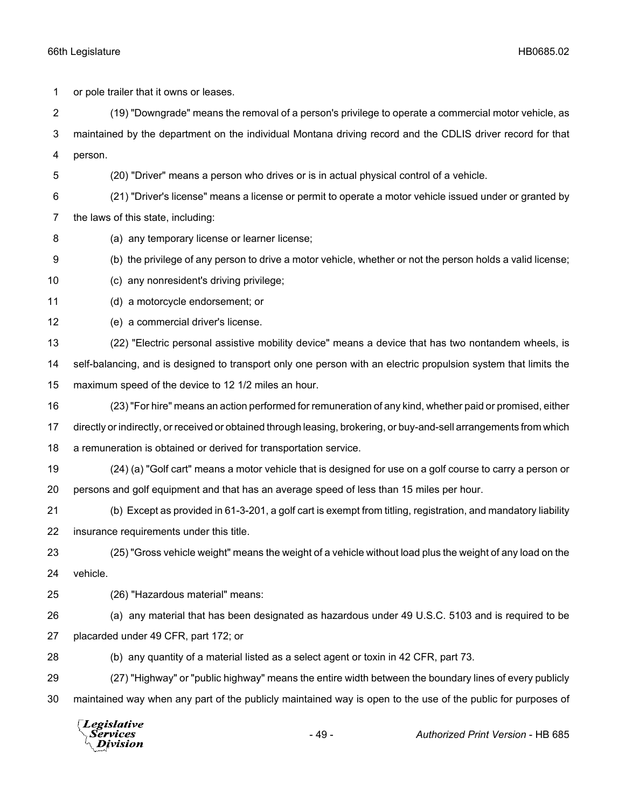or pole trailer that it owns or leases. (19) "Downgrade" means the removal of a person's privilege to operate a commercial motor vehicle, as maintained by the department on the individual Montana driving record and the CDLIS driver record for that person. (20) "Driver" means a person who drives or is in actual physical control of a vehicle. (21) "Driver's license" means a license or permit to operate a motor vehicle issued under or granted by the laws of this state, including: (a) any temporary license or learner license; (b) the privilege of any person to drive a motor vehicle, whether or not the person holds a valid license; (c) any nonresident's driving privilege; (d) a motorcycle endorsement; or (e) a commercial driver's license. (22) "Electric personal assistive mobility device" means a device that has two nontandem wheels, is self-balancing, and is designed to transport only one person with an electric propulsion system that limits the maximum speed of the device to 12 1/2 miles an hour. (23) "For hire" means an action performed for remuneration of any kind, whether paid or promised, either directly or indirectly, or received or obtained through leasing, brokering, or buy-and-sell arrangements from which a remuneration is obtained or derived for transportation service. (24) (a) "Golf cart" means a motor vehicle that is designed for use on a golf course to carry a person or persons and golf equipment and that has an average speed of less than 15 miles per hour. (b) Except as provided in 61-3-201, a golf cart is exempt from titling, registration, and mandatory liability insurance requirements under this title. (25) "Gross vehicle weight" means the weight of a vehicle without load plus the weight of any load on the vehicle. (26) "Hazardous material" means: (a) any material that has been designated as hazardous under 49 U.S.C. 5103 and is required to be placarded under 49 CFR, part 172; or (b) any quantity of a material listed as a select agent or toxin in 42 CFR, part 73. (27) "Highway" or "public highway" means the entire width between the boundary lines of every publicly maintained way when any part of the publicly maintained way is open to the use of the public for purposes of **Legislative** 

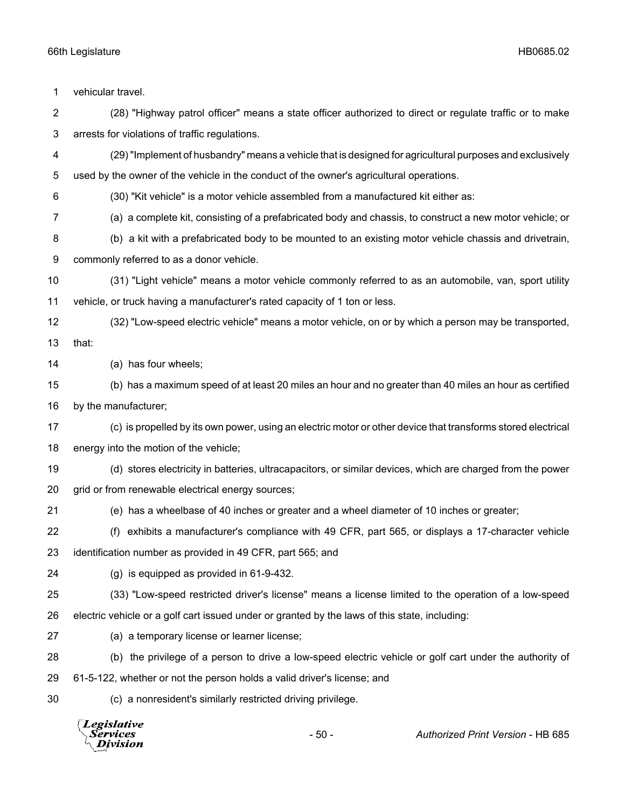vehicular travel. (28) "Highway patrol officer" means a state officer authorized to direct or regulate traffic or to make arrests for violations of traffic regulations. (29) "Implement of husbandry" means a vehicle that is designed for agricultural purposes and exclusively used by the owner of the vehicle in the conduct of the owner's agricultural operations. (30) "Kit vehicle" is a motor vehicle assembled from a manufactured kit either as: (a) a complete kit, consisting of a prefabricated body and chassis, to construct a new motor vehicle; or (b) a kit with a prefabricated body to be mounted to an existing motor vehicle chassis and drivetrain, commonly referred to as a donor vehicle. (31) "Light vehicle" means a motor vehicle commonly referred to as an automobile, van, sport utility vehicle, or truck having a manufacturer's rated capacity of 1 ton or less. (32) "Low-speed electric vehicle" means a motor vehicle, on or by which a person may be transported, that: (a) has four wheels; (b) has a maximum speed of at least 20 miles an hour and no greater than 40 miles an hour as certified by the manufacturer; (c) is propelled by its own power, using an electric motor or other device that transforms stored electrical energy into the motion of the vehicle; (d) stores electricity in batteries, ultracapacitors, or similar devices, which are charged from the power grid or from renewable electrical energy sources; (e) has a wheelbase of 40 inches or greater and a wheel diameter of 10 inches or greater; (f) exhibits a manufacturer's compliance with 49 CFR, part 565, or displays a 17-character vehicle identification number as provided in 49 CFR, part 565; and (g) is equipped as provided in 61-9-432. (33) "Low-speed restricted driver's license" means a license limited to the operation of a low-speed electric vehicle or a golf cart issued under or granted by the laws of this state, including: (a) a temporary license or learner license; (b) the privilege of a person to drive a low-speed electric vehicle or golf cart under the authority of 61-5-122, whether or not the person holds a valid driver's license; and (c) a nonresident's similarly restricted driving privilege.

**Legislative** Services **Division** 

- 50 - *Authorized Print Version* - HB 685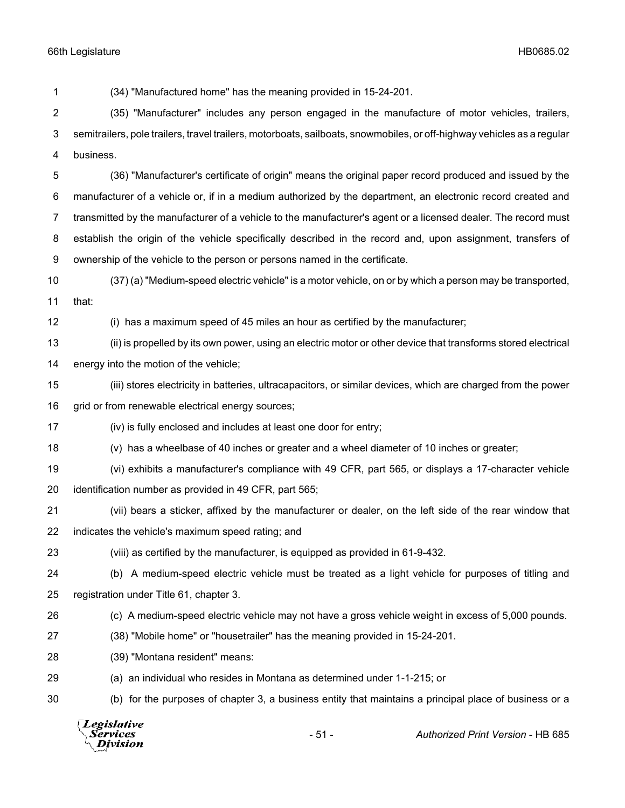(34) "Manufactured home" has the meaning provided in 15-24-201. (35) "Manufacturer" includes any person engaged in the manufacture of motor vehicles, trailers, semitrailers, pole trailers, travel trailers, motorboats, sailboats, snowmobiles, or off-highway vehicles as a regular business. (36) "Manufacturer's certificate of origin" means the original paper record produced and issued by the manufacturer of a vehicle or, if in a medium authorized by the department, an electronic record created and transmitted by the manufacturer of a vehicle to the manufacturer's agent or a licensed dealer. The record must establish the origin of the vehicle specifically described in the record and, upon assignment, transfers of ownership of the vehicle to the person or persons named in the certificate. (37) (a) "Medium-speed electric vehicle" is a motor vehicle, on or by which a person may be transported, that: (i) has a maximum speed of 45 miles an hour as certified by the manufacturer; (ii) is propelled by its own power, using an electric motor or other device that transforms stored electrical energy into the motion of the vehicle; (iii) stores electricity in batteries, ultracapacitors, or similar devices, which are charged from the power 16 grid or from renewable electrical energy sources; (iv) is fully enclosed and includes at least one door for entry; (v) has a wheelbase of 40 inches or greater and a wheel diameter of 10 inches or greater; (vi) exhibits a manufacturer's compliance with 49 CFR, part 565, or displays a 17-character vehicle identification number as provided in 49 CFR, part 565; (vii) bears a sticker, affixed by the manufacturer or dealer, on the left side of the rear window that indicates the vehicle's maximum speed rating; and (viii) as certified by the manufacturer, is equipped as provided in 61-9-432. (b) A medium-speed electric vehicle must be treated as a light vehicle for purposes of titling and registration under Title 61, chapter 3. (c) A medium-speed electric vehicle may not have a gross vehicle weight in excess of 5,000 pounds. (38) "Mobile home" or "housetrailer" has the meaning provided in 15-24-201. (39) "Montana resident" means: (a) an individual who resides in Montana as determined under 1-1-215; or (b) for the purposes of chapter 3, a business entity that maintains a principal place of business or a **Legislative** Services - 51 - *Authorized Print Version* - HB 685Division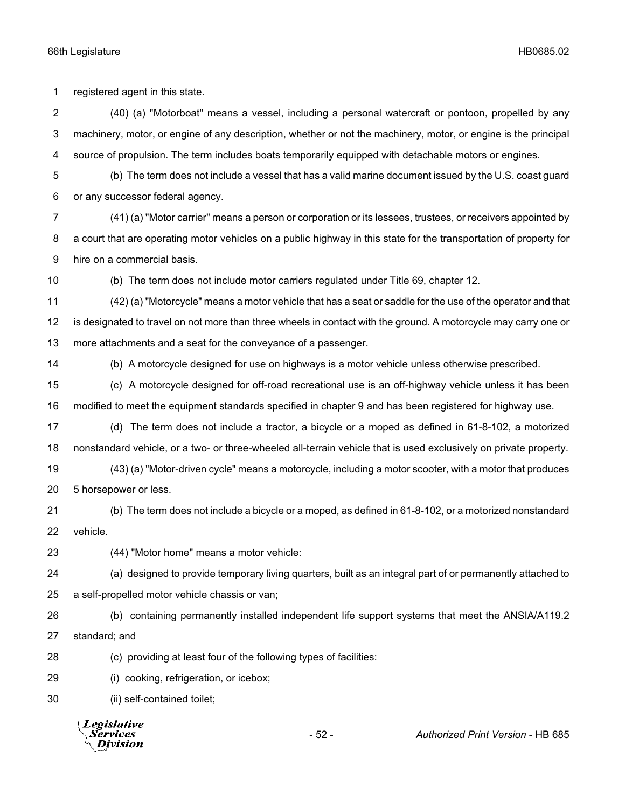registered agent in this state.

 (40) (a) "Motorboat" means a vessel, including a personal watercraft or pontoon, propelled by any machinery, motor, or engine of any description, whether or not the machinery, motor, or engine is the principal source of propulsion. The term includes boats temporarily equipped with detachable motors or engines.

 (b) The term does not include a vessel that has a valid marine document issued by the U.S. coast guard or any successor federal agency.

 (41) (a) "Motor carrier" means a person or corporation or its lessees, trustees, or receivers appointed by a court that are operating motor vehicles on a public highway in this state for the transportation of property for hire on a commercial basis.

(b) The term does not include motor carriers regulated under Title 69, chapter 12.

 (42) (a) "Motorcycle" means a motor vehicle that has a seat or saddle for the use of the operator and that is designated to travel on not more than three wheels in contact with the ground. A motorcycle may carry one or more attachments and a seat for the conveyance of a passenger.

(b) A motorcycle designed for use on highways is a motor vehicle unless otherwise prescribed.

 (c) A motorcycle designed for off-road recreational use is an off-highway vehicle unless it has been modified to meet the equipment standards specified in chapter 9 and has been registered for highway use.

 (d) The term does not include a tractor, a bicycle or a moped as defined in 61-8-102, a motorized nonstandard vehicle, or a two- or three-wheeled all-terrain vehicle that is used exclusively on private property.

 (43) (a) "Motor-driven cycle" means a motorcycle, including a motor scooter, with a motor that produces 5 horsepower or less.

 (b) The term does not include a bicycle or a moped, as defined in 61-8-102, or a motorized nonstandard vehicle.

(44) "Motor home" means a motor vehicle:

(a) designed to provide temporary living quarters, built as an integral part of or permanently attached to

a self-propelled motor vehicle chassis or van;

 (b) containing permanently installed independent life support systems that meet the ANSIA/A119.2 standard; and

(c) providing at least four of the following types of facilities:

(i) cooking, refrigeration, or icebox;

(ii) self-contained toilet;

**Legislative** Services Division

- 52 - *Authorized Print Version* - HB 685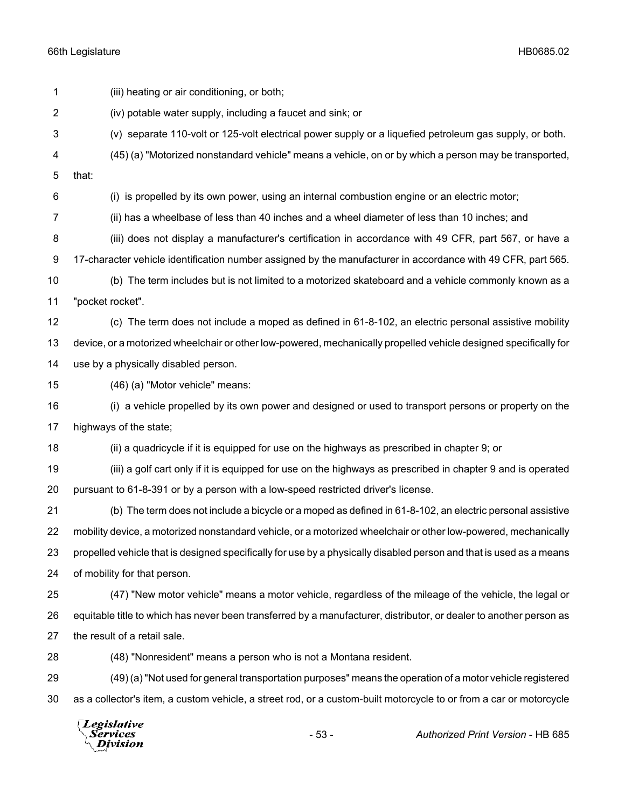(iii) heating or air conditioning, or both; (iv) potable water supply, including a faucet and sink; or (v) separate 110-volt or 125-volt electrical power supply or a liquefied petroleum gas supply, or both. (45) (a) "Motorized nonstandard vehicle" means a vehicle, on or by which a person may be transported, that: (i) is propelled by its own power, using an internal combustion engine or an electric motor; (ii) has a wheelbase of less than 40 inches and a wheel diameter of less than 10 inches; and (iii) does not display a manufacturer's certification in accordance with 49 CFR, part 567, or have a 17-character vehicle identification number assigned by the manufacturer in accordance with 49 CFR, part 565. (b) The term includes but is not limited to a motorized skateboard and a vehicle commonly known as a "pocket rocket". (c) The term does not include a moped as defined in 61-8-102, an electric personal assistive mobility device, or a motorized wheelchair or other low-powered, mechanically propelled vehicle designed specifically for use by a physically disabled person. (46) (a) "Motor vehicle" means: (i) a vehicle propelled by its own power and designed or used to transport persons or property on the highways of the state; (ii) a quadricycle if it is equipped for use on the highways as prescribed in chapter 9; or (iii) a golf cart only if it is equipped for use on the highways as prescribed in chapter 9 and is operated pursuant to 61-8-391 or by a person with a low-speed restricted driver's license. (b) The term does not include a bicycle or a moped as defined in 61-8-102, an electric personal assistive mobility device, a motorized nonstandard vehicle, or a motorized wheelchair or other low-powered, mechanically propelled vehicle that is designed specifically for use by a physically disabled person and that is used as a means of mobility for that person. (47) "New motor vehicle" means a motor vehicle, regardless of the mileage of the vehicle, the legal or equitable title to which has never been transferred by a manufacturer, distributor, or dealer to another person as 27 the result of a retail sale. (48) "Nonresident" means a person who is not a Montana resident. (49) (a) "Not used for general transportation purposes" means the operation of a motor vehicle registered as a collector's item, a custom vehicle, a street rod, or a custom-built motorcycle to or from a car or motorcycle

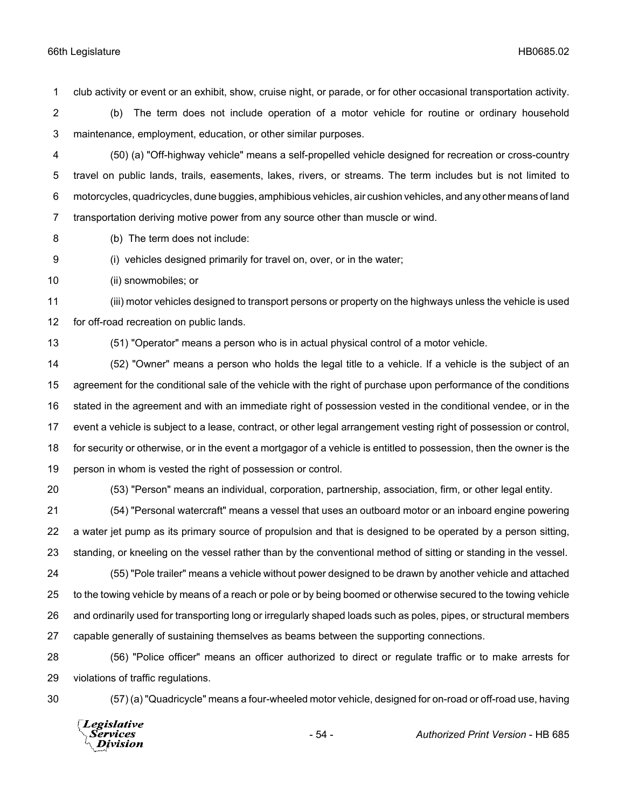club activity or event or an exhibit, show, cruise night, or parade, or for other occasional transportation activity.

 (b) The term does not include operation of a motor vehicle for routine or ordinary household maintenance, employment, education, or other similar purposes.

 (50) (a) "Off-highway vehicle" means a self-propelled vehicle designed for recreation or cross-country travel on public lands, trails, easements, lakes, rivers, or streams. The term includes but is not limited to motorcycles, quadricycles, dune buggies, amphibious vehicles, air cushion vehicles, and any other means of land transportation deriving motive power from any source other than muscle or wind.

(b) The term does not include:

(i) vehicles designed primarily for travel on, over, or in the water;

(ii) snowmobiles; or

 (iii) motor vehicles designed to transport persons or property on the highways unless the vehicle is used for off-road recreation on public lands.

(51) "Operator" means a person who is in actual physical control of a motor vehicle.

 (52) "Owner" means a person who holds the legal title to a vehicle. If a vehicle is the subject of an agreement for the conditional sale of the vehicle with the right of purchase upon performance of the conditions stated in the agreement and with an immediate right of possession vested in the conditional vendee, or in the event a vehicle is subject to a lease, contract, or other legal arrangement vesting right of possession or control, for security or otherwise, or in the event a mortgagor of a vehicle is entitled to possession, then the owner is the person in whom is vested the right of possession or control.

(53) "Person" means an individual, corporation, partnership, association, firm, or other legal entity.

 (54) "Personal watercraft" means a vessel that uses an outboard motor or an inboard engine powering a water jet pump as its primary source of propulsion and that is designed to be operated by a person sitting, standing, or kneeling on the vessel rather than by the conventional method of sitting or standing in the vessel.

 (55) "Pole trailer" means a vehicle without power designed to be drawn by another vehicle and attached to the towing vehicle by means of a reach or pole or by being boomed or otherwise secured to the towing vehicle and ordinarily used for transporting long or irregularly shaped loads such as poles, pipes, or structural members capable generally of sustaining themselves as beams between the supporting connections.

 (56) "Police officer" means an officer authorized to direct or regulate traffic or to make arrests for violations of traffic regulations.

(57) (a) "Quadricycle" means a four-wheeled motor vehicle, designed for on-road or off-road use, having

Legislative *Services* **Division**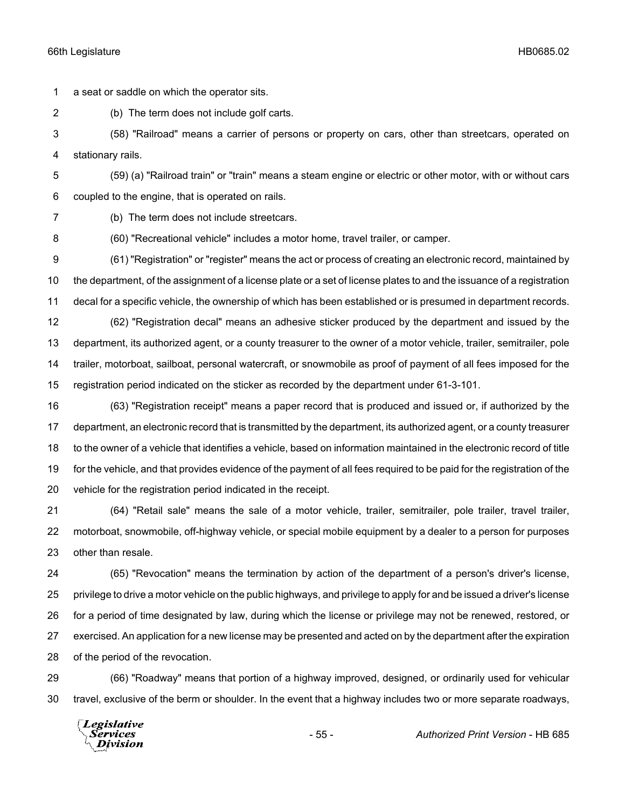a seat or saddle on which the operator sits.

(b) The term does not include golf carts.

 (58) "Railroad" means a carrier of persons or property on cars, other than streetcars, operated on stationary rails.

 (59) (a) "Railroad train" or "train" means a steam engine or electric or other motor, with or without cars coupled to the engine, that is operated on rails.

(b) The term does not include streetcars.

(60) "Recreational vehicle" includes a motor home, travel trailer, or camper.

 (61) "Registration" or "register" means the act or process of creating an electronic record, maintained by the department, of the assignment of a license plate or a set of license plates to and the issuance of a registration decal for a specific vehicle, the ownership of which has been established or is presumed in department records.

 (62) "Registration decal" means an adhesive sticker produced by the department and issued by the department, its authorized agent, or a county treasurer to the owner of a motor vehicle, trailer, semitrailer, pole trailer, motorboat, sailboat, personal watercraft, or snowmobile as proof of payment of all fees imposed for the registration period indicated on the sticker as recorded by the department under 61-3-101.

 (63) "Registration receipt" means a paper record that is produced and issued or, if authorized by the department, an electronic record that is transmitted by the department, its authorized agent, or a county treasurer to the owner of a vehicle that identifies a vehicle, based on information maintained in the electronic record of title for the vehicle, and that provides evidence of the payment of all fees required to be paid for the registration of the vehicle for the registration period indicated in the receipt.

 (64) "Retail sale" means the sale of a motor vehicle, trailer, semitrailer, pole trailer, travel trailer, motorboat, snowmobile, off-highway vehicle, or special mobile equipment by a dealer to a person for purposes other than resale.

 (65) "Revocation" means the termination by action of the department of a person's driver's license, privilege to drive a motor vehicle on the public highways, and privilege to apply for and be issued a driver's license for a period of time designated by law, during which the license or privilege may not be renewed, restored, or exercised. An application for a new license may be presented and acted on by the department after the expiration of the period of the revocation.

 (66) "Roadway" means that portion of a highway improved, designed, or ordinarily used for vehicular travel, exclusive of the berm or shoulder. In the event that a highway includes two or more separate roadways,

Legislative Services **Division**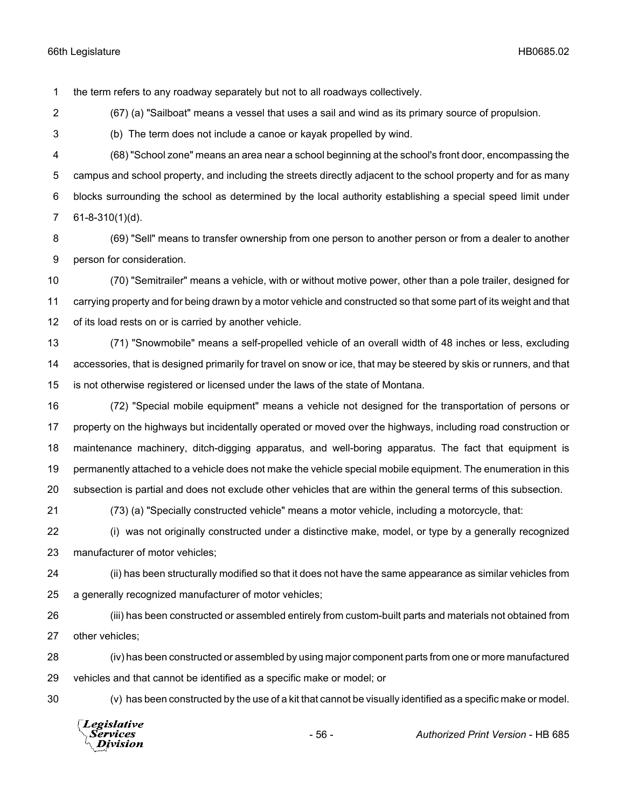the term refers to any roadway separately but not to all roadways collectively.

(67) (a) "Sailboat" means a vessel that uses a sail and wind as its primary source of propulsion.

(b) The term does not include a canoe or kayak propelled by wind.

 (68) "School zone" means an area near a school beginning at the school's front door, encompassing the campus and school property, and including the streets directly adjacent to the school property and for as many blocks surrounding the school as determined by the local authority establishing a special speed limit under 61-8-310(1)(d).

 (69) "Sell" means to transfer ownership from one person to another person or from a dealer to another person for consideration.

 (70) "Semitrailer" means a vehicle, with or without motive power, other than a pole trailer, designed for carrying property and for being drawn by a motor vehicle and constructed so that some part of its weight and that of its load rests on or is carried by another vehicle.

 (71) "Snowmobile" means a self-propelled vehicle of an overall width of 48 inches or less, excluding accessories, that is designed primarily for travel on snow or ice, that may be steered by skis or runners, and that is not otherwise registered or licensed under the laws of the state of Montana.

 (72) "Special mobile equipment" means a vehicle not designed for the transportation of persons or property on the highways but incidentally operated or moved over the highways, including road construction or maintenance machinery, ditch-digging apparatus, and well-boring apparatus. The fact that equipment is permanently attached to a vehicle does not make the vehicle special mobile equipment. The enumeration in this subsection is partial and does not exclude other vehicles that are within the general terms of this subsection.

(73) (a) "Specially constructed vehicle" means a motor vehicle, including a motorcycle, that:

 (i) was not originally constructed under a distinctive make, model, or type by a generally recognized manufacturer of motor vehicles;

 (ii) has been structurally modified so that it does not have the same appearance as similar vehicles from a generally recognized manufacturer of motor vehicles;

 (iii) has been constructed or assembled entirely from custom-built parts and materials not obtained from other vehicles;

 (iv) has been constructed or assembled by using major component parts from one or more manufactured vehicles and that cannot be identified as a specific make or model; or

(v) has been constructed by the use of a kit that cannot be visually identified as a specific make or model.

Legislative *Services* **Division** 

- 56 - *Authorized Print Version* - HB 685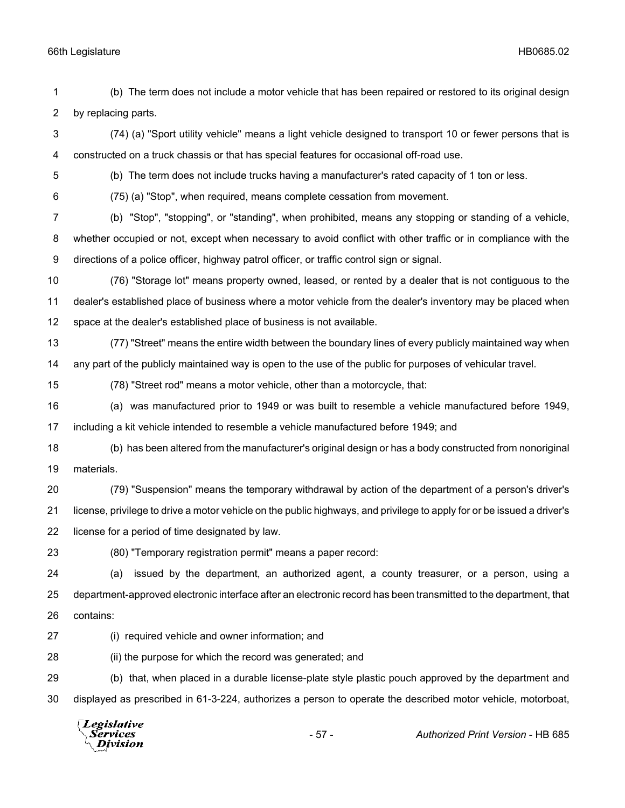(b) The term does not include a motor vehicle that has been repaired or restored to its original design by replacing parts.

 (74) (a) "Sport utility vehicle" means a light vehicle designed to transport 10 or fewer persons that is constructed on a truck chassis or that has special features for occasional off-road use.

(b) The term does not include trucks having a manufacturer's rated capacity of 1 ton or less.

(75) (a) "Stop", when required, means complete cessation from movement.

 (b) "Stop", "stopping", or "standing", when prohibited, means any stopping or standing of a vehicle, whether occupied or not, except when necessary to avoid conflict with other traffic or in compliance with the directions of a police officer, highway patrol officer, or traffic control sign or signal.

 (76) "Storage lot" means property owned, leased, or rented by a dealer that is not contiguous to the dealer's established place of business where a motor vehicle from the dealer's inventory may be placed when space at the dealer's established place of business is not available.

 (77) "Street" means the entire width between the boundary lines of every publicly maintained way when any part of the publicly maintained way is open to the use of the public for purposes of vehicular travel.

(78) "Street rod" means a motor vehicle, other than a motorcycle, that:

 (a) was manufactured prior to 1949 or was built to resemble a vehicle manufactured before 1949, including a kit vehicle intended to resemble a vehicle manufactured before 1949; and

 (b) has been altered from the manufacturer's original design or has a body constructed from nonoriginal materials.

 (79) "Suspension" means the temporary withdrawal by action of the department of a person's driver's license, privilege to drive a motor vehicle on the public highways, and privilege to apply for or be issued a driver's license for a period of time designated by law.

(80) "Temporary registration permit" means a paper record:

 (a) issued by the department, an authorized agent, a county treasurer, or a person, using a department-approved electronic interface after an electronic record has been transmitted to the department, that contains:

(i) required vehicle and owner information; and

(ii) the purpose for which the record was generated; and

 (b) that, when placed in a durable license-plate style plastic pouch approved by the department and displayed as prescribed in 61-3-224, authorizes a person to operate the described motor vehicle, motorboat,

Legislative Services **Division**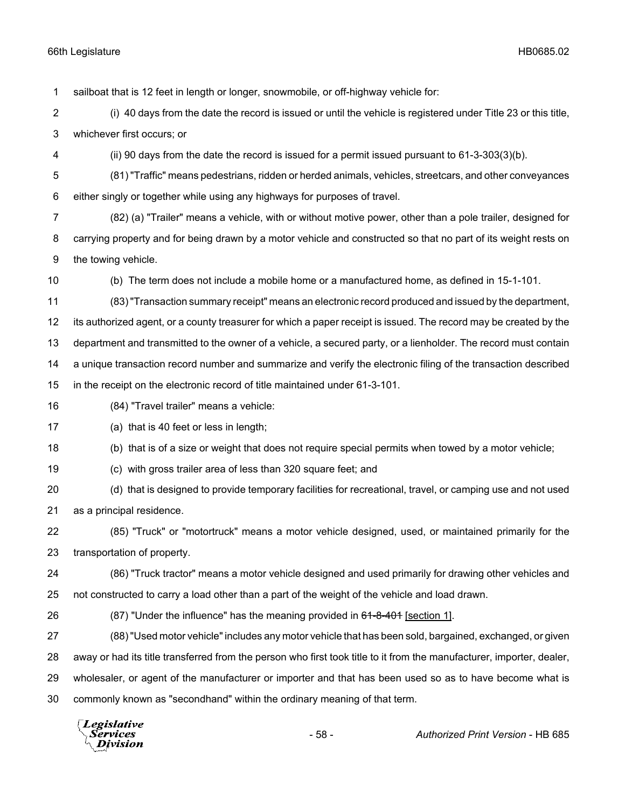sailboat that is 12 feet in length or longer, snowmobile, or off-highway vehicle for:

 (i) 40 days from the date the record is issued or until the vehicle is registered under Title 23 or this title, whichever first occurs; or

(ii) 90 days from the date the record is issued for a permit issued pursuant to 61-3-303(3)(b).

 (81) "Traffic" means pedestrians, ridden or herded animals, vehicles, streetcars, and other conveyances either singly or together while using any highways for purposes of travel.

 (82) (a) "Trailer" means a vehicle, with or without motive power, other than a pole trailer, designed for carrying property and for being drawn by a motor vehicle and constructed so that no part of its weight rests on the towing vehicle.

(b) The term does not include a mobile home or a manufactured home, as defined in 15-1-101.

 (83) "Transaction summary receipt" means an electronic record produced and issued by the department, its authorized agent, or a county treasurer for which a paper receipt is issued. The record may be created by the department and transmitted to the owner of a vehicle, a secured party, or a lienholder. The record must contain a unique transaction record number and summarize and verify the electronic filing of the transaction described in the receipt on the electronic record of title maintained under 61-3-101.

(84) "Travel trailer" means a vehicle:

(a) that is 40 feet or less in length;

(b) that is of a size or weight that does not require special permits when towed by a motor vehicle;

(c) with gross trailer area of less than 320 square feet; and

 (d) that is designed to provide temporary facilities for recreational, travel, or camping use and not used as a principal residence.

 (85) "Truck" or "motortruck" means a motor vehicle designed, used, or maintained primarily for the transportation of property.

 (86) "Truck tractor" means a motor vehicle designed and used primarily for drawing other vehicles and not constructed to carry a load other than a part of the weight of the vehicle and load drawn.

26 (87) "Under the influence" has the meaning provided in 61-8-401 [section 1].

 (88) "Used motor vehicle" includes any motor vehicle that has been sold, bargained, exchanged, or given away or had its title transferred from the person who first took title to it from the manufacturer, importer, dealer,

wholesaler, or agent of the manufacturer or importer and that has been used so as to have become what is

commonly known as "secondhand" within the ordinary meaning of that term.

Legislative *Services* **Division**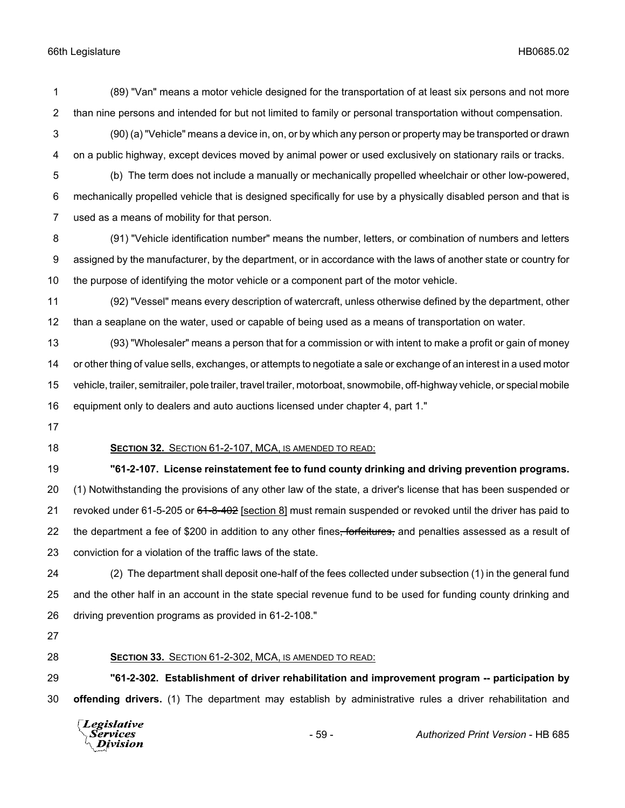- (89) "Van" means a motor vehicle designed for the transportation of at least six persons and not more than nine persons and intended for but not limited to family or personal transportation without compensation.
- (90) (a) "Vehicle" means a device in, on, or by which any person or property may be transported or drawn on a public highway, except devices moved by animal power or used exclusively on stationary rails or tracks.
- (b) The term does not include a manually or mechanically propelled wheelchair or other low-powered, mechanically propelled vehicle that is designed specifically for use by a physically disabled person and that is used as a means of mobility for that person.
- (91) "Vehicle identification number" means the number, letters, or combination of numbers and letters assigned by the manufacturer, by the department, or in accordance with the laws of another state or country for the purpose of identifying the motor vehicle or a component part of the motor vehicle.
- (92) "Vessel" means every description of watercraft, unless otherwise defined by the department, other than a seaplane on the water, used or capable of being used as a means of transportation on water.

 (93) "Wholesaler" means a person that for a commission or with intent to make a profit or gain of money or other thing of value sells, exchanges, or attempts to negotiate a sale or exchange of an interest in a used motor vehicle, trailer, semitrailer, pole trailer, travel trailer, motorboat, snowmobile, off-highway vehicle, or special mobile equipment only to dealers and auto auctions licensed under chapter 4, part 1."

**SECTION 32.** SECTION 61-2-107, MCA, IS AMENDED TO READ:

 **"61-2-107. License reinstatement fee to fund county drinking and driving prevention programs.** (1) Notwithstanding the provisions of any other law of the state, a driver's license that has been suspended or 21 revoked under 61-5-205 or 61-8-402 [section 8] must remain suspended or revoked until the driver has paid to 22 the department a fee of \$200 in addition to any other fines, forfeitures, and penalties assessed as a result of conviction for a violation of the traffic laws of the state.

 (2) The department shall deposit one-half of the fees collected under subsection (1) in the general fund and the other half in an account in the state special revenue fund to be used for funding county drinking and driving prevention programs as provided in 61-2-108."

# **SECTION 33.** SECTION 61-2-302, MCA, IS AMENDED TO READ:

 **"61-2-302. Establishment of driver rehabilitation and improvement program -- participation by offending drivers.** (1) The department may establish by administrative rules a driver rehabilitation and

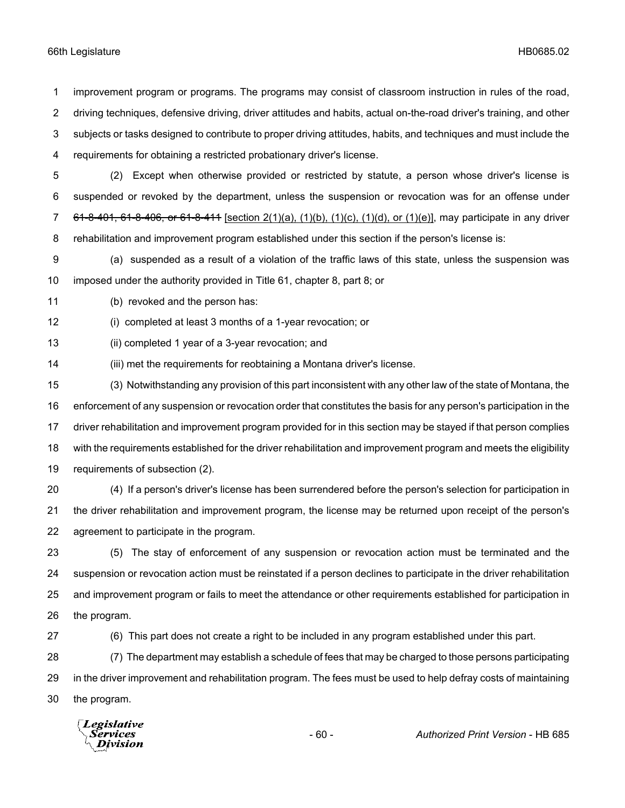improvement program or programs. The programs may consist of classroom instruction in rules of the road, driving techniques, defensive driving, driver attitudes and habits, actual on-the-road driver's training, and other subjects or tasks designed to contribute to proper driving attitudes, habits, and techniques and must include the requirements for obtaining a restricted probationary driver's license.

- (2) Except when otherwise provided or restricted by statute, a person whose driver's license is suspended or revoked by the department, unless the suspension or revocation was for an offense under 7 61-8-401, 61-8-406, or 61-8-411 [section  $2(1)(a)$ ,  $(1)(b)$ ,  $(1)(c)$ ,  $(1)(d)$ , or  $(1)(e)$ ], may participate in any driver rehabilitation and improvement program established under this section if the person's license is:
- (a) suspended as a result of a violation of the traffic laws of this state, unless the suspension was imposed under the authority provided in Title 61, chapter 8, part 8; or

(b) revoked and the person has:

(i) completed at least 3 months of a 1-year revocation; or

(ii) completed 1 year of a 3-year revocation; and

(iii) met the requirements for reobtaining a Montana driver's license.

 (3) Notwithstanding any provision of this part inconsistent with any other law of the state of Montana, the enforcement of any suspension or revocation order that constitutes the basis for any person's participation in the driver rehabilitation and improvement program provided for in this section may be stayed if that person complies with the requirements established for the driver rehabilitation and improvement program and meets the eligibility requirements of subsection (2).

 (4) If a person's driver's license has been surrendered before the person's selection for participation in the driver rehabilitation and improvement program, the license may be returned upon receipt of the person's agreement to participate in the program.

 (5) The stay of enforcement of any suspension or revocation action must be terminated and the suspension or revocation action must be reinstated if a person declines to participate in the driver rehabilitation and improvement program or fails to meet the attendance or other requirements established for participation in the program.

(6) This part does not create a right to be included in any program established under this part.

 (7) The department may establish a schedule of fees that may be charged to those persons participating in the driver improvement and rehabilitation program. The fees must be used to help defray costs of maintaining the program.

Legislative Division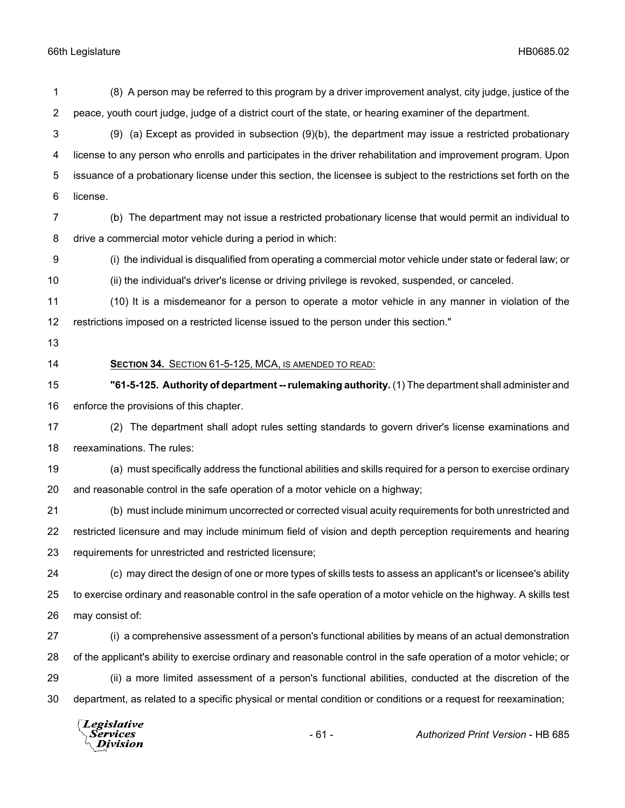(8) A person may be referred to this program by a driver improvement analyst, city judge, justice of the peace, youth court judge, judge of a district court of the state, or hearing examiner of the department. (9) (a) Except as provided in subsection (9)(b), the department may issue a restricted probationary license to any person who enrolls and participates in the driver rehabilitation and improvement program. Upon issuance of a probationary license under this section, the licensee is subject to the restrictions set forth on the license. (b) The department may not issue a restricted probationary license that would permit an individual to drive a commercial motor vehicle during a period in which: (i) the individual is disqualified from operating a commercial motor vehicle under state or federal law; or (ii) the individual's driver's license or driving privilege is revoked, suspended, or canceled. (10) It is a misdemeanor for a person to operate a motor vehicle in any manner in violation of the restrictions imposed on a restricted license issued to the person under this section." **SECTION 34.** SECTION 61-5-125, MCA, IS AMENDED TO READ: **"61-5-125. Authority of department -- rulemaking authority.** (1) The department shall administer and enforce the provisions of this chapter. (2) The department shall adopt rules setting standards to govern driver's license examinations and reexaminations. The rules: (a) must specifically address the functional abilities and skills required for a person to exercise ordinary and reasonable control in the safe operation of a motor vehicle on a highway; (b) must include minimum uncorrected or corrected visual acuity requirements for both unrestricted and restricted licensure and may include minimum field of vision and depth perception requirements and hearing requirements for unrestricted and restricted licensure; (c) may direct the design of one or more types of skills tests to assess an applicant's or licensee's ability to exercise ordinary and reasonable control in the safe operation of a motor vehicle on the highway. A skills test may consist of: (i) a comprehensive assessment of a person's functional abilities by means of an actual demonstration of the applicant's ability to exercise ordinary and reasonable control in the safe operation of a motor vehicle; or (ii) a more limited assessment of a person's functional abilities, conducted at the discretion of the department, as related to a specific physical or mental condition or conditions or a request for reexamination; Legislative

Services Division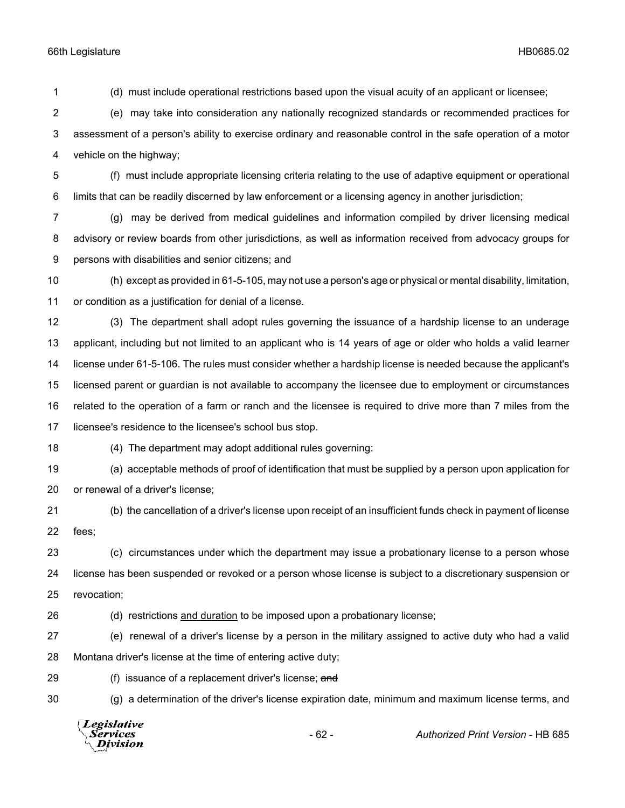(d) must include operational restrictions based upon the visual acuity of an applicant or licensee; (e) may take into consideration any nationally recognized standards or recommended practices for assessment of a person's ability to exercise ordinary and reasonable control in the safe operation of a motor vehicle on the highway;

 (f) must include appropriate licensing criteria relating to the use of adaptive equipment or operational limits that can be readily discerned by law enforcement or a licensing agency in another jurisdiction;

 (g) may be derived from medical guidelines and information compiled by driver licensing medical advisory or review boards from other jurisdictions, as well as information received from advocacy groups for persons with disabilities and senior citizens; and

 (h) except as provided in 61-5-105, may not use a person's age or physical or mental disability, limitation, or condition as a justification for denial of a license.

 (3) The department shall adopt rules governing the issuance of a hardship license to an underage applicant, including but not limited to an applicant who is 14 years of age or older who holds a valid learner license under 61-5-106. The rules must consider whether a hardship license is needed because the applicant's licensed parent or guardian is not available to accompany the licensee due to employment or circumstances related to the operation of a farm or ranch and the licensee is required to drive more than 7 miles from the licensee's residence to the licensee's school bus stop.

(4) The department may adopt additional rules governing:

 (a) acceptable methods of proof of identification that must be supplied by a person upon application for or renewal of a driver's license;

 (b) the cancellation of a driver's license upon receipt of an insufficient funds check in payment of license fees;

 (c) circumstances under which the department may issue a probationary license to a person whose license has been suspended or revoked or a person whose license is subject to a discretionary suspension or revocation;

- (d) restrictions and duration to be imposed upon a probationary license;
- (e) renewal of a driver's license by a person in the military assigned to active duty who had a valid Montana driver's license at the time of entering active duty;
- 29 (f) issuance of a replacement driver's license; and

(g) a determination of the driver's license expiration date, minimum and maximum license terms, and

**Legislative** Services - 62 - *Authorized Print Version* - HB 685Division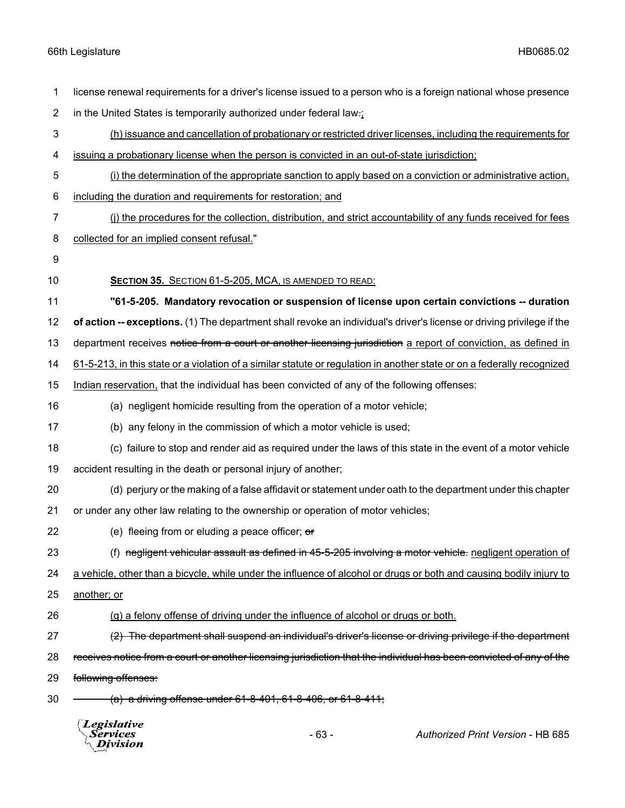|                | Legislative<br>Services<br>Division                                                                                                                                                   | $-63-$ | Authorized Print Version - HB 685                                                                                     |
|----------------|---------------------------------------------------------------------------------------------------------------------------------------------------------------------------------------|--------|-----------------------------------------------------------------------------------------------------------------------|
| 30             | $(a)$ a driving offense under 61-8-401, 61-8-406, or 61-8-411;                                                                                                                        |        |                                                                                                                       |
| 29             | following offenses:                                                                                                                                                                   |        |                                                                                                                       |
| 28             |                                                                                                                                                                                       |        | receives notice from a court or another licensing jurisdiction that the individual has been convicted of any of the   |
| 27             | (2) The department shall suspend an individual's driver's license or driving privilege if the department                                                                              |        |                                                                                                                       |
| 26             | (g) a felony offense of driving under the influence of alcohol or drugs or both.                                                                                                      |        |                                                                                                                       |
| 25             | another; or                                                                                                                                                                           |        |                                                                                                                       |
| 24             | a vehicle, other than a bicycle, while under the influence of alcohol or drugs or both and causing bodily injury to                                                                   |        |                                                                                                                       |
| 23             |                                                                                                                                                                                       |        | (f) negligent vehicular assault as defined in 45-5-205 involving a motor vehicle. negligent operation of              |
| 22             | (e) fleeing from or eluding a peace officer; or                                                                                                                                       |        |                                                                                                                       |
| 21             | or under any other law relating to the ownership or operation of motor vehicles;                                                                                                      |        |                                                                                                                       |
| 20             | (d) perjury or the making of a false affidavit or statement under oath to the department under this chapter                                                                           |        |                                                                                                                       |
| 19             | accident resulting in the death or personal injury of another;                                                                                                                        |        |                                                                                                                       |
| 18             | (c) failure to stop and render aid as required under the laws of this state in the event of a motor vehicle                                                                           |        |                                                                                                                       |
| 17             | (b) any felony in the commission of which a motor vehicle is used;                                                                                                                    |        |                                                                                                                       |
| 16             | (a) negligent homicide resulting from the operation of a motor vehicle;                                                                                                               |        |                                                                                                                       |
| 15             | Indian reservation, that the individual has been convicted of any of the following offenses:                                                                                          |        |                                                                                                                       |
| 14             | 61-5-213, in this state or a violation of a similar statute or regulation in another state or on a federally recognized                                                               |        |                                                                                                                       |
| 13             |                                                                                                                                                                                       |        | department receives notice from a court or another licensing jurisdiction a report of conviction, as defined in       |
| 12             |                                                                                                                                                                                       |        | of action -- exceptions. (1) The department shall revoke an individual's driver's license or driving privilege if the |
| 11             |                                                                                                                                                                                       |        | "61-5-205. Mandatory revocation or suspension of license upon certain convictions -- duration                         |
| 10             | SECTION 35. SECTION 61-5-205, MCA, IS AMENDED TO READ:                                                                                                                                |        |                                                                                                                       |
| 9              |                                                                                                                                                                                       |        |                                                                                                                       |
| 8              | collected for an implied consent refusal."                                                                                                                                            |        |                                                                                                                       |
| 7              |                                                                                                                                                                                       |        | (i) the procedures for the collection, distribution, and strict accountability of any funds received for fees         |
| 6              | including the duration and requirements for restoration; and                                                                                                                          |        |                                                                                                                       |
| 5              |                                                                                                                                                                                       |        | (i) the determination of the appropriate sanction to apply based on a conviction or administrative action,            |
| 4              | issuing a probationary license when the person is convicted in an out-of-state jurisdiction;                                                                                          |        |                                                                                                                       |
| 3              | (h) issuance and cancellation of probationary or restricted driver licenses, including the requirements for                                                                           |        |                                                                                                                       |
| $\overline{2}$ | license renewal requirements for a driver's license issued to a person who is a foreign national whose presence<br>in the United States is temporarily authorized under federal law-: |        |                                                                                                                       |
| 1              |                                                                                                                                                                                       |        |                                                                                                                       |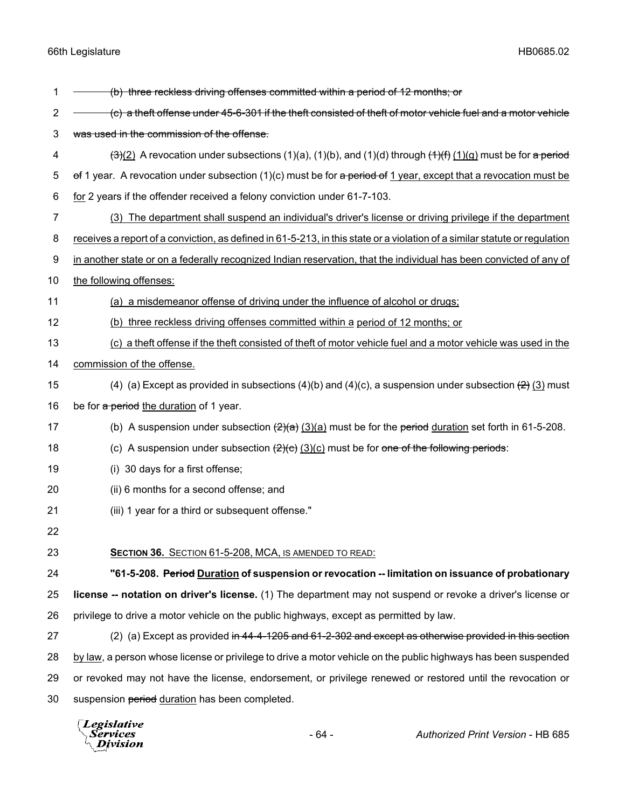| 1              | (b) three reckless driving offenses committed within a period of 12 months; or                                                     |
|----------------|------------------------------------------------------------------------------------------------------------------------------------|
| $\overline{c}$ | (c) a theft offense under 45-6-301 if the theft consisted of theft of motor vehicle fuel and a motor vehicle                       |
| 3              | was used in the commission of the offense.                                                                                         |
| 4              | $\frac{(-3)(2)}{2}$ A revocation under subsections (1)(a), (1)(b), and (1)(d) through $\frac{(+)(+)}{(+)(+)}$ must be for a period |
| 5              | of 1 year. A revocation under subsection $(1)(c)$ must be for a period of 1 year, except that a revocation must be                 |
| 6              | for 2 years if the offender received a felony conviction under 61-7-103.                                                           |
| 7              | (3) The department shall suspend an individual's driver's license or driving privilege if the department                           |
| 8              | receives a report of a conviction, as defined in 61-5-213, in this state or a violation of a similar statute or regulation         |
| 9              | in another state or on a federally recognized Indian reservation, that the individual has been convicted of any of                 |
| 10             | the following offenses:                                                                                                            |
| 11             | (a) a misdemeanor offense of driving under the influence of alcohol or drugs;                                                      |
| 12             | (b) three reckless driving offenses committed within a period of 12 months; or                                                     |
| 13             | (c) a theft offense if the theft consisted of theft of motor vehicle fuel and a motor vehicle was used in the                      |
| 14             | commission of the offense.                                                                                                         |
| 15             | (4) (a) Except as provided in subsections (4)(b) and (4)(c), a suspension under subsection $\left(\frac{2}{2}\right)$ must         |
| 16             | be for a period the duration of 1 year.                                                                                            |
| 17             | (b) A suspension under subsection $(2)(a)$ must be for the period duration set forth in 61-5-208.                                  |
| 18             | (c) A suspension under subsection $(2)(e)$ (3)(c) must be for one of the following periods:                                        |
| 19             | (i) 30 days for a first offense;                                                                                                   |
| 20             | (ii) 6 months for a second offense; and                                                                                            |
| 21             | (iii) 1 year for a third or subsequent offense."                                                                                   |
| 22             |                                                                                                                                    |
| 23             | <b>SECTION 36. SECTION 61-5-208, MCA, IS AMENDED TO READ:</b>                                                                      |
| 24             | "61-5-208. Period Duration of suspension or revocation -- limitation on issuance of probationary                                   |
| 25             | license -- notation on driver's license. (1) The department may not suspend or revoke a driver's license or                        |
| 26             | privilege to drive a motor vehicle on the public highways, except as permitted by law.                                             |
| 27             | (2) (a) Except as provided in 44-4-1205 and 61-2-302 and except as otherwise provided in this section                              |
| 28             | by law, a person whose license or privilege to drive a motor vehicle on the public highways has been suspended                     |
| 29             | or revoked may not have the license, endorsement, or privilege renewed or restored until the revocation or                         |
| 30             | suspension period duration has been completed.                                                                                     |

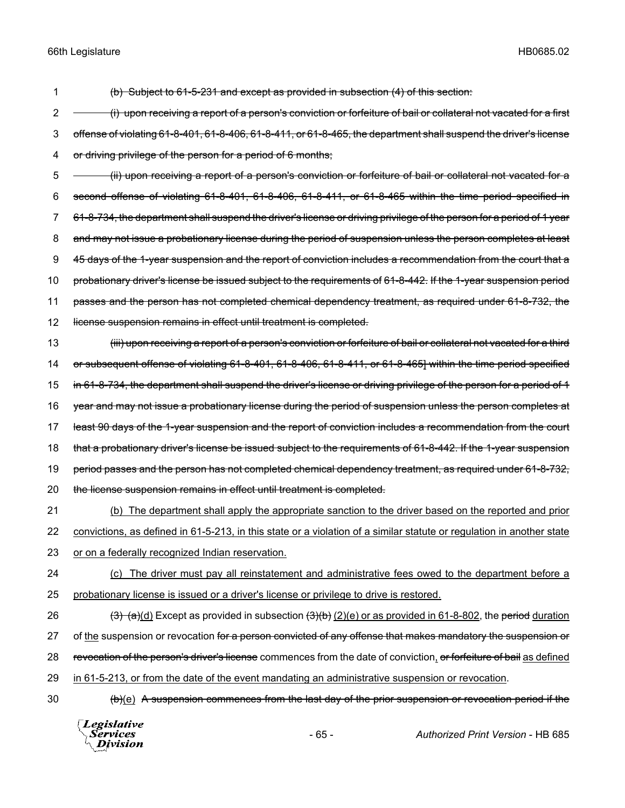1 (b) Subject to 61-5-231 and except as provided in subsection (4) of this section:

2 - (i) upon receiving a report of a person's conviction or forfeiture of bail or collateral not vacated for a first 3 offense of violating 61-8-401, 61-8-406, 61-8-411, or 61-8-465, the department shall suspend the driver's license 4 or driving privilege of the person for a period of 6 months;

5 - (ii) upon receiving a report of a person's conviction or forfeiture of bail or collateral not vacated for a 6 second offense of violating 61-8-401, 61-8-406, 61-8-411, or 61-8-465 within the time period specified in 7 61-8-734, the department shall suspend the driver's license or driving privilege of the person for a period of 1 year 8 and may not issue a probationary license during the period of suspension unless the person completes at least 9 45 days of the 1-year suspension and the report of conviction includes a recommendation from the court that a 10 probationary driver's license be issued subject to the requirements of 61-8-442. If the 1-year suspension period 11 passes and the person has not completed chemical dependency treatment, as required under 61-8-732, the 12 license suspension remains in effect until treatment is completed.

13 (iii) upon receiving a report of a person's conviction or forfeiture of bail or collateral not vacated for a third 14 or subsequent offense of violating 61-8-401, 61-8-406, 61-8-411, or 61-8-465] within the time period specified 15 in 61-8-734, the department shall suspend the driver's license or driving privilege of the person for a period of 4 16 year and may not issue a probationary license during the period of suspension unless the person completes at 17 least 90 days of the 1-year suspension and the report of conviction includes a recommendation from the court 18 that a probationary driver's license be issued subject to the requirements of 61-8-442. If the 1-year suspension 19 period passes and the person has not completed chemical dependency treatment, as required under 61-8-732, 20 the license suspension remains in effect until treatment is completed.

21 (b) The department shall apply the appropriate sanction to the driver based on the reported and prior 22 convictions, as defined in 61-5-213, in this state or a violation of a similar statute or regulation in another state 23 or on a federally recognized Indian reservation.

24 (c) The driver must pay all reinstatement and administrative fees owed to the department before a 25 probationary license is issued or a driver's license or privilege to drive is restored.

26  $\left(3\right)$   $\left(\frac{a}{d}\right)$  Except as provided in subsection  $\left(\frac{3}{b}\right)$   $\left(\frac{2}{e}\right)$  or as provided in 61-8-802, the period duration 27 of the suspension or revocation for a person convicted of any offense that makes mandatory the suspension or 28 revocation of the person's driver's license commences from the date of conviction, or forfeiture of bail as defined 29 in 61-5-213, or from the date of the event mandating an administrative suspension or revocation.

30 (b)(e) A suspension commences from the last day of the prior suspension or revocation period if the

**Legislative Services Division**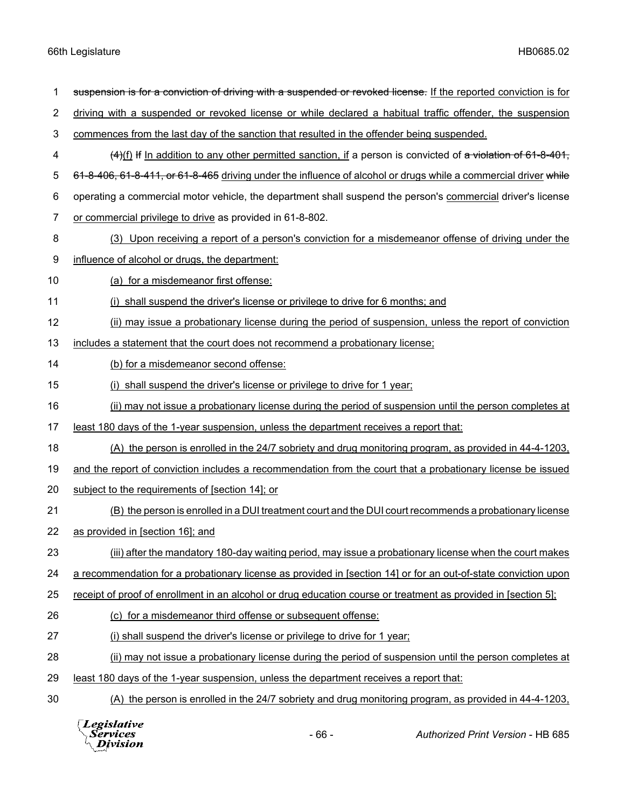| 1              | suspension is for a conviction of driving with a suspended or revoked license. If the reported conviction is for |
|----------------|------------------------------------------------------------------------------------------------------------------|
| $\overline{c}$ | driving with a suspended or revoked license or while declared a habitual traffic offender, the suspension        |
| 3              | commences from the last day of the sanction that resulted in the offender being suspended.                       |
| 4              | $(4)$ (f) If In addition to any other permitted sanction, if a person is convicted of a violation of 61-8-401,   |
| 5              | 61-8-406, 61-8-411, or 61-8-465 driving under the influence of alcohol or drugs while a commercial driver while  |
| 6              | operating a commercial motor vehicle, the department shall suspend the person's commercial driver's license      |
| 7              | or commercial privilege to drive as provided in 61-8-802.                                                        |
| 8              | (3) Upon receiving a report of a person's conviction for a misdemeanor offense of driving under the              |
| 9              | influence of alcohol or drugs, the department:                                                                   |
| 10             | (a) for a misdemeanor first offense:                                                                             |
| 11             | (i) shall suspend the driver's license or privilege to drive for 6 months; and                                   |
| 12             | (ii) may issue a probationary license during the period of suspension, unless the report of conviction           |
| 13             | includes a statement that the court does not recommend a probationary license;                                   |
| 14             | (b) for a misdemeanor second offense:                                                                            |
| 15             | (i) shall suspend the driver's license or privilege to drive for 1 year;                                         |
| 16             | (ii) may not issue a probationary license during the period of suspension until the person completes at          |
| 17             | least 180 days of the 1-year suspension, unless the department receives a report that:                           |
| 18             | (A) the person is enrolled in the 24/7 sobriety and drug monitoring program, as provided in 44-4-1203,           |
| 19             | and the report of conviction includes a recommendation from the court that a probationary license be issued      |
| 20             | subject to the requirements of [section 14]; or                                                                  |
| 21             | (B) the person is enrolled in a DUI treatment court and the DUI court recommends a probationary license          |
| 22             | as provided in [section 16]; and                                                                                 |
| 23             | (iii) after the mandatory 180-day waiting period, may issue a probationary license when the court makes          |
| 24             | a recommendation for a probationary license as provided in [section 14] or for an out-of-state conviction upon   |
| 25             | receipt of proof of enrollment in an alcohol or drug education course or treatment as provided in [section 5];   |
| 26             | (c) for a misdemeanor third offense or subsequent offense:                                                       |
| 27             | (i) shall suspend the driver's license or privilege to drive for 1 year:                                         |
| 28             | (ii) may not issue a probationary license during the period of suspension until the person completes at          |
| 29             | least 180 days of the 1-year suspension, unless the department receives a report that:                           |
| 30             | (A) the person is enrolled in the 24/7 sobriety and drug monitoring program, as provided in 44-4-1203,           |
|                |                                                                                                                  |



- 66 - *Authorized Print Version* - HB 685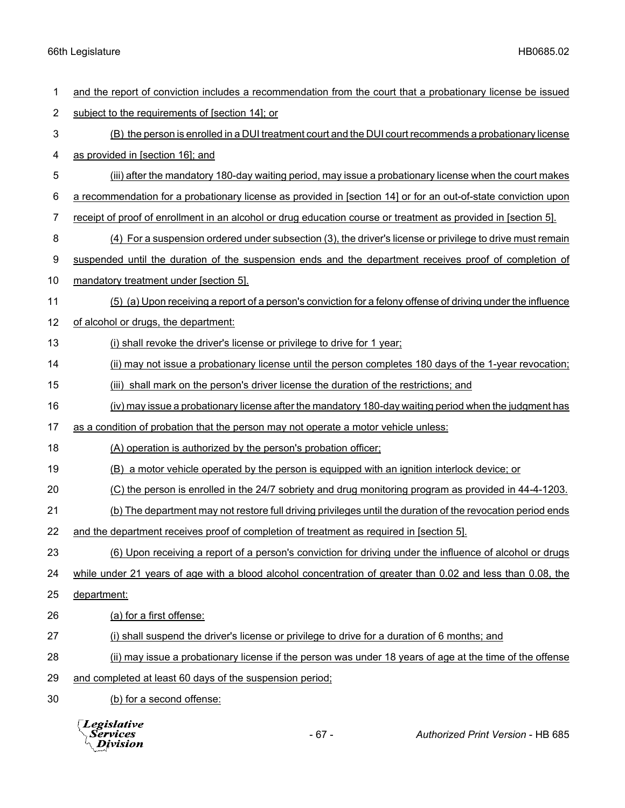| 1  | and the report of conviction includes a recommendation from the court that a probationary license be issued    |  |  |
|----|----------------------------------------------------------------------------------------------------------------|--|--|
| 2  | subject to the requirements of [section 14]; or                                                                |  |  |
| 3  | (B) the person is enrolled in a DUI treatment court and the DUI court recommends a probationary license        |  |  |
| 4  | as provided in [section 16]; and                                                                               |  |  |
| 5  | (iii) after the mandatory 180-day waiting period, may issue a probationary license when the court makes        |  |  |
| 6  | a recommendation for a probationary license as provided in [section 14] or for an out-of-state conviction upon |  |  |
| 7  | receipt of proof of enrollment in an alcohol or drug education course or treatment as provided in [section 5]. |  |  |
| 8  | (4) For a suspension ordered under subsection (3), the driver's license or privilege to drive must remain      |  |  |
| 9  | suspended until the duration of the suspension ends and the department receives proof of completion of         |  |  |
| 10 | mandatory treatment under [section 5].                                                                         |  |  |
| 11 | (5) (a) Upon receiving a report of a person's conviction for a felony offense of driving under the influence   |  |  |
| 12 | of alcohol or drugs, the department:                                                                           |  |  |
| 13 | (i) shall revoke the driver's license or privilege to drive for 1 year;                                        |  |  |
| 14 | (ii) may not issue a probationary license until the person completes 180 days of the 1-year revocation;        |  |  |
| 15 | (iii) shall mark on the person's driver license the duration of the restrictions; and                          |  |  |
| 16 | (iv) may issue a probationary license after the mandatory 180-day waiting period when the judgment has         |  |  |
| 17 | as a condition of probation that the person may not operate a motor vehicle unless:                            |  |  |
| 18 | (A) operation is authorized by the person's probation officer;                                                 |  |  |
| 19 | (B) a motor vehicle operated by the person is equipped with an ignition interlock device; or                   |  |  |
| 20 | (C) the person is enrolled in the 24/7 sobriety and drug monitoring program as provided in 44-4-1203.          |  |  |
| 21 | (b) The department may not restore full driving privileges until the duration of the revocation period ends    |  |  |
| 22 | and the department receives proof of completion of treatment as required in [section 5].                       |  |  |
| 23 | (6) Upon receiving a report of a person's conviction for driving under the influence of alcohol or drugs       |  |  |
| 24 | while under 21 years of age with a blood alcohol concentration of greater than 0.02 and less than 0.08, the    |  |  |
| 25 | department:                                                                                                    |  |  |
| 26 | (a) for a first offense:                                                                                       |  |  |
| 27 | (i) shall suspend the driver's license or privilege to drive for a duration of 6 months; and                   |  |  |
| 28 | (ii) may issue a probationary license if the person was under 18 years of age at the time of the offense       |  |  |
| 29 | and completed at least 60 days of the suspension period;                                                       |  |  |
| 30 | (b) for a second offense:                                                                                      |  |  |
|    |                                                                                                                |  |  |

*Legislative*<br>Services<br>*Division*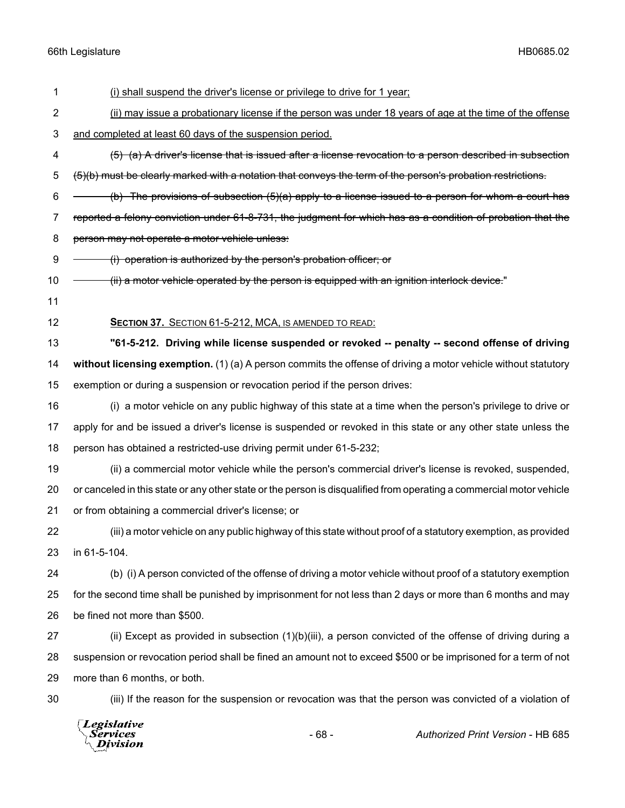|                  | Legislative<br><b>Services</b><br>Division                                                                           | $-68-$                                                                                                   | Authorized Print Version - HB 685                                                                             |  |
|------------------|----------------------------------------------------------------------------------------------------------------------|----------------------------------------------------------------------------------------------------------|---------------------------------------------------------------------------------------------------------------|--|
| 30               |                                                                                                                      |                                                                                                          | (iii) If the reason for the suspension or revocation was that the person was convicted of a violation of      |  |
| 29               | more than 6 months, or both.                                                                                         |                                                                                                          |                                                                                                               |  |
| 28               | suspension or revocation period shall be fined an amount not to exceed \$500 or be imprisoned for a term of not      |                                                                                                          |                                                                                                               |  |
| 27               |                                                                                                                      |                                                                                                          | (ii) Except as provided in subsection $(1)(b)(iii)$ , a person convicted of the offense of driving during a   |  |
| 26               | be fined not more than \$500.                                                                                        |                                                                                                          |                                                                                                               |  |
| 25               | for the second time shall be punished by imprisonment for not less than 2 days or more than 6 months and may         |                                                                                                          |                                                                                                               |  |
| 24               |                                                                                                                      |                                                                                                          | (b) (i) A person convicted of the offense of driving a motor vehicle without proof of a statutory exemption   |  |
| 23               | in 61-5-104.                                                                                                         |                                                                                                          |                                                                                                               |  |
| 22               |                                                                                                                      |                                                                                                          | (iii) a motor vehicle on any public highway of this state without proof of a statutory exemption, as provided |  |
| 21               | or from obtaining a commercial driver's license; or                                                                  |                                                                                                          |                                                                                                               |  |
| 20               | or canceled in this state or any other state or the person is disqualified from operating a commercial motor vehicle |                                                                                                          |                                                                                                               |  |
| 19               |                                                                                                                      |                                                                                                          | (ii) a commercial motor vehicle while the person's commercial driver's license is revoked, suspended,         |  |
| 18               | person has obtained a restricted-use driving permit under 61-5-232;                                                  |                                                                                                          |                                                                                                               |  |
| 17               | apply for and be issued a driver's license is suspended or revoked in this state or any other state unless the       |                                                                                                          |                                                                                                               |  |
| 16               |                                                                                                                      |                                                                                                          | (i) a motor vehicle on any public highway of this state at a time when the person's privilege to drive or     |  |
| 15               |                                                                                                                      | exemption or during a suspension or revocation period if the person drives:                              |                                                                                                               |  |
| 14               | without licensing exemption. (1) (a) A person commits the offense of driving a motor vehicle without statutory       |                                                                                                          |                                                                                                               |  |
| 13               |                                                                                                                      |                                                                                                          | "61-5-212. Driving while license suspended or revoked -- penalty -- second offense of driving                 |  |
| 12               | SECTION 37. SECTION 61-5-212, MCA, IS AMENDED TO READ:                                                               |                                                                                                          |                                                                                                               |  |
| 11               |                                                                                                                      |                                                                                                          |                                                                                                               |  |
| 10               | (ii) a motor vehicle operated by the person is equipped with an ignition interlock device."                          |                                                                                                          |                                                                                                               |  |
| $\boldsymbol{9}$ | (i) operation is authorized by the person's probation officer; or                                                    |                                                                                                          |                                                                                                               |  |
| 8                | person may not operate a motor vehicle unless:                                                                       |                                                                                                          |                                                                                                               |  |
| $\overline{7}$   | reported a felony conviction under 61-8-731, the judgment for which has as a condition of probation that the         |                                                                                                          |                                                                                                               |  |
| 6                | (b) The provisions of subsection $(5)(a)$ apply to a license issued to a person for whom a court has                 |                                                                                                          |                                                                                                               |  |
| 5                | (5)(b) must be clearly marked with a notation that conveys the term of the person's probation restrictions.          |                                                                                                          |                                                                                                               |  |
| 4                | (5) (a) A driver's license that is issued after a license revocation to a person described in subsection             |                                                                                                          |                                                                                                               |  |
| 3                |                                                                                                                      | and completed at least 60 days of the suspension period.                                                 |                                                                                                               |  |
| $\overline{2}$   |                                                                                                                      | (ii) may issue a probationary license if the person was under 18 years of age at the time of the offense |                                                                                                               |  |
| 1                | (i) shall suspend the driver's license or privilege to drive for 1 year;                                             |                                                                                                          |                                                                                                               |  |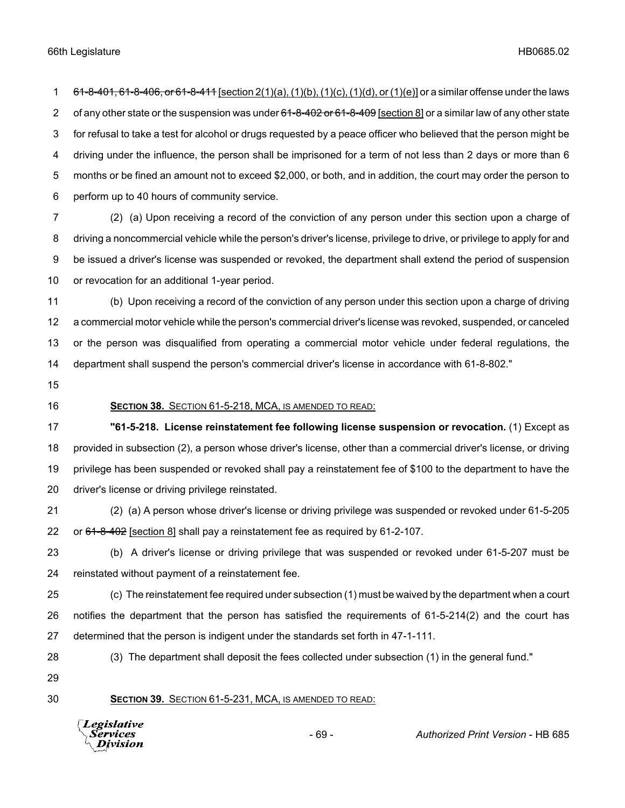1 61-8-401, 61-8-406, or 61-8-411 [section 2(1)(a), (1)(b), (1)(c), (1)(d), or (1)(e)] or a similar offense under the laws 2 of any other state or the suspension was under 61-8-402 or 61-8-409 [section 8] or a similar law of any other state for refusal to take a test for alcohol or drugs requested by a peace officer who believed that the person might be driving under the influence, the person shall be imprisoned for a term of not less than 2 days or more than 6 months or be fined an amount not to exceed \$2,000, or both, and in addition, the court may order the person to perform up to 40 hours of community service.

 (2) (a) Upon receiving a record of the conviction of any person under this section upon a charge of driving a noncommercial vehicle while the person's driver's license, privilege to drive, or privilege to apply for and be issued a driver's license was suspended or revoked, the department shall extend the period of suspension or revocation for an additional 1-year period.

 (b) Upon receiving a record of the conviction of any person under this section upon a charge of driving a commercial motor vehicle while the person's commercial driver's license was revoked, suspended, or canceled or the person was disqualified from operating a commercial motor vehicle under federal regulations, the department shall suspend the person's commercial driver's license in accordance with 61-8-802."

- 
- 

#### **SECTION 38.** SECTION 61-5-218, MCA, IS AMENDED TO READ:

 **"61-5-218. License reinstatement fee following license suspension or revocation.** (1) Except as provided in subsection (2), a person whose driver's license, other than a commercial driver's license, or driving privilege has been suspended or revoked shall pay a reinstatement fee of \$100 to the department to have the driver's license or driving privilege reinstated.

 (2) (a) A person whose driver's license or driving privilege was suspended or revoked under 61-5-205 22 or  $61-8-402$  [section 8] shall pay a reinstatement fee as required by 61-2-107.

 (b) A driver's license or driving privilege that was suspended or revoked under 61-5-207 must be reinstated without payment of a reinstatement fee.

 (c) The reinstatement fee required under subsection (1) must be waived by the department when a court notifies the department that the person has satisfied the requirements of 61-5-214(2) and the court has determined that the person is indigent under the standards set forth in 47-1-111.

(3) The department shall deposit the fees collected under subsection (1) in the general fund."

### **SECTION 39.** SECTION 61-5-231, MCA, IS AMENDED TO READ:

**Legislative** *Services* **Division**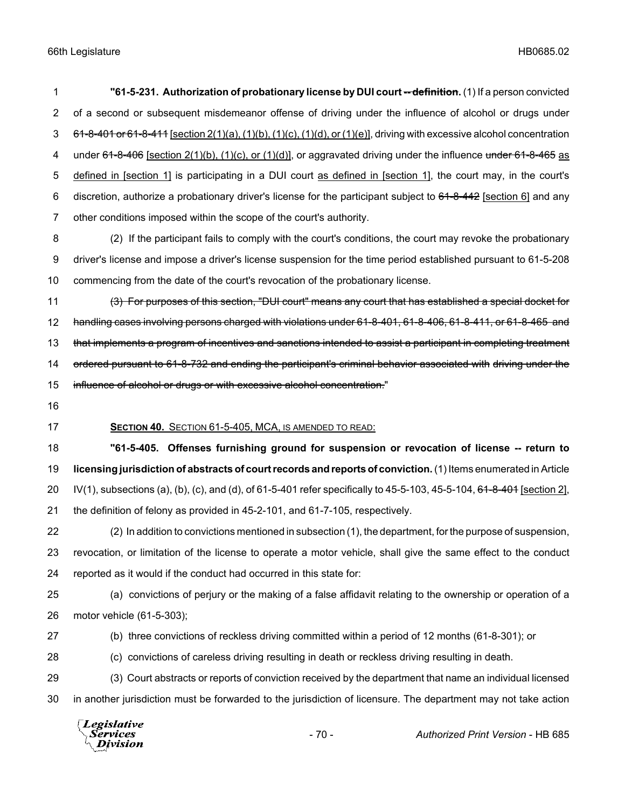**"61-5-231. Authorization of probationary license by DUI court -- definition.** (1) If a person convicted of a second or subsequent misdemeanor offense of driving under the influence of alcohol or drugs under  $3\quad 61-8-401$  or 61-8-411 [section  $2(1)(a)$ ,  $(1)(b)$ ,  $(1)(c)$ ,  $(1)(d)$ , or  $(1)(e)$ ], driving with excessive alcohol concentration 4 under 61-8-406 [section 2(1)(b), (1)(c), or (1)(d)], or aggravated driving under the influence under 61-8-465 as defined in [section 1] is participating in a DUI court as defined in [section 1], the court may, in the court's 6 discretion, authorize a probationary driver's license for the participant subject to  $61-8-442$  [section 6] and any other conditions imposed within the scope of the court's authority.

 (2) If the participant fails to comply with the court's conditions, the court may revoke the probationary driver's license and impose a driver's license suspension for the time period established pursuant to 61-5-208 commencing from the date of the court's revocation of the probationary license.

 (3) For purposes of this section, "DUI court" means any court that has established a special docket for handling cases involving persons charged with violations under 61-8-401, 61-8-406, 61-8-411, or 61-8-465 and 13 that implements a program of incentives and sanctions intended to assist a participant in completing treatment 14 ordered pursuant to 61-8-732 and ending the participant's criminal behavior associated with driving under the 15 influence of alcohol or drugs or with excessive alcohol concentration."

# **SECTION 40.** SECTION 61-5-405, MCA, IS AMENDED TO READ:

 **"61-5-405. Offenses furnishing ground for suspension or revocation of license -- return to licensing jurisdiction of abstracts of court records and reports of conviction.** (1) Items enumerated in Article 20 IV(1), subsections (a), (b), (c), and (d), of 61-5-401 refer specifically to 45-5-103, 45-5-104,  $61-8-401$  [section 2], the definition of felony as provided in 45-2-101, and 61-7-105, respectively.

 (2) In addition to convictions mentioned in subsection (1), the department, for the purpose of suspension, revocation, or limitation of the license to operate a motor vehicle, shall give the same effect to the conduct reported as it would if the conduct had occurred in this state for:

 (a) convictions of perjury or the making of a false affidavit relating to the ownership or operation of a motor vehicle (61-5-303);

(b) three convictions of reckless driving committed within a period of 12 months (61-8-301); or

(c) convictions of careless driving resulting in death or reckless driving resulting in death.

 (3) Court abstracts or reports of conviction received by the department that name an individual licensed in another jurisdiction must be forwarded to the jurisdiction of licensure. The department may not take action

Legislative *Services* Division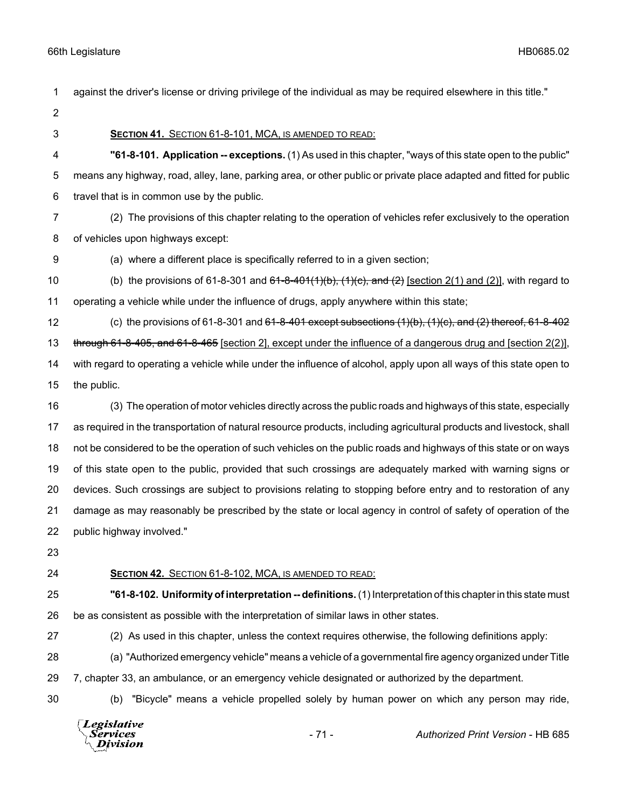| 2  |                                                                                                                      |        |                                                                                                                     |
|----|----------------------------------------------------------------------------------------------------------------------|--------|---------------------------------------------------------------------------------------------------------------------|
| 3  | SECTION 41. SECTION 61-8-101, MCA, IS AMENDED TO READ:                                                               |        |                                                                                                                     |
| 4  |                                                                                                                      |        | "61-8-101. Application -- exceptions. (1) As used in this chapter, "ways of this state open to the public"          |
| 5  | means any highway, road, alley, lane, parking area, or other public or private place adapted and fitted for public   |        |                                                                                                                     |
| 6  | travel that is in common use by the public.                                                                          |        |                                                                                                                     |
| 7  |                                                                                                                      |        | (2) The provisions of this chapter relating to the operation of vehicles refer exclusively to the operation         |
| 8  | of vehicles upon highways except:                                                                                    |        |                                                                                                                     |
| 9  | (a) where a different place is specifically referred to in a given section;                                          |        |                                                                                                                     |
| 10 |                                                                                                                      |        | (b) the provisions of 61-8-301 and $64-8-401(1)(b)$ , $(1)(c)$ , and $(2)$ [section 2(1) and (2)], with regard to   |
| 11 | operating a vehicle while under the influence of drugs, apply anywhere within this state;                            |        |                                                                                                                     |
| 12 |                                                                                                                      |        | (c) the provisions of 61-8-301 and <del>61-8-401 except subsections (1)(b), (1)(c), and (2) thereof, 61-8-402</del> |
| 13 | through 61-8-405, and 61-8-465 [section 2], except under the influence of a dangerous drug and [section 2(2)],       |        |                                                                                                                     |
| 14 | with regard to operating a vehicle while under the influence of alcohol, apply upon all ways of this state open to   |        |                                                                                                                     |
| 15 | the public.                                                                                                          |        |                                                                                                                     |
| 16 |                                                                                                                      |        | (3) The operation of motor vehicles directly across the public roads and highways of this state, especially         |
| 17 | as required in the transportation of natural resource products, including agricultural products and livestock, shall |        |                                                                                                                     |
| 18 | not be considered to be the operation of such vehicles on the public roads and highways of this state or on ways     |        |                                                                                                                     |
| 19 | of this state open to the public, provided that such crossings are adequately marked with warning signs or           |        |                                                                                                                     |
| 20 | devices. Such crossings are subject to provisions relating to stopping before entry and to restoration of any        |        |                                                                                                                     |
| 21 | damage as may reasonably be prescribed by the state or local agency in control of safety of operation of the         |        |                                                                                                                     |
| 22 | public highway involved."                                                                                            |        |                                                                                                                     |
| 23 |                                                                                                                      |        |                                                                                                                     |
| 24 | SECTION 42. SECTION 61-8-102, MCA, IS AMENDED TO READ:                                                               |        |                                                                                                                     |
| 25 |                                                                                                                      |        | "61-8-102. Uniformity of interpretation -- definitions. (1) Interpretation of this chapter in this state must       |
| 26 | be as consistent as possible with the interpretation of similar laws in other states.                                |        |                                                                                                                     |
| 27 |                                                                                                                      |        | (2) As used in this chapter, unless the context requires otherwise, the following definitions apply:                |
| 28 |                                                                                                                      |        | (a) "Authorized emergency vehicle" means a vehicle of a governmental fire agency organized under Title              |
| 29 | 7, chapter 33, an ambulance, or an emergency vehicle designated or authorized by the department.                     |        |                                                                                                                     |
| 30 | (b)                                                                                                                  |        | "Bicycle" means a vehicle propelled solely by human power on which any person may ride,                             |
|    | Legislative<br>Services<br>Division                                                                                  | $-71-$ | Authorized Print Version - HB 685                                                                                   |

against the driver's license or driving privilege of the individual as may be required elsewhere in this title."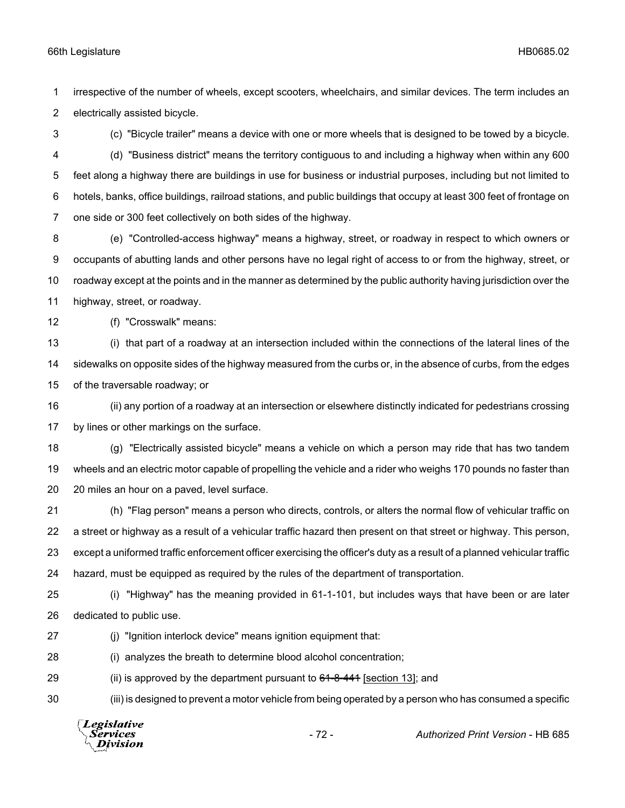irrespective of the number of wheels, except scooters, wheelchairs, and similar devices. The term includes an electrically assisted bicycle.

(c) "Bicycle trailer" means a device with one or more wheels that is designed to be towed by a bicycle.

 (d) "Business district" means the territory contiguous to and including a highway when within any 600 feet along a highway there are buildings in use for business or industrial purposes, including but not limited to hotels, banks, office buildings, railroad stations, and public buildings that occupy at least 300 feet of frontage on one side or 300 feet collectively on both sides of the highway.

 (e) "Controlled-access highway" means a highway, street, or roadway in respect to which owners or occupants of abutting lands and other persons have no legal right of access to or from the highway, street, or roadway except at the points and in the manner as determined by the public authority having jurisdiction over the highway, street, or roadway.

(f) "Crosswalk" means:

 (i) that part of a roadway at an intersection included within the connections of the lateral lines of the sidewalks on opposite sides of the highway measured from the curbs or, in the absence of curbs, from the edges of the traversable roadway; or

 (ii) any portion of a roadway at an intersection or elsewhere distinctly indicated for pedestrians crossing by lines or other markings on the surface.

 (g) "Electrically assisted bicycle" means a vehicle on which a person may ride that has two tandem wheels and an electric motor capable of propelling the vehicle and a rider who weighs 170 pounds no faster than 20 miles an hour on a paved, level surface.

 (h) "Flag person" means a person who directs, controls, or alters the normal flow of vehicular traffic on a street or highway as a result of a vehicular traffic hazard then present on that street or highway. This person, except a uniformed traffic enforcement officer exercising the officer's duty as a result of a planned vehicular traffic hazard, must be equipped as required by the rules of the department of transportation.

 (i) "Highway" has the meaning provided in 61-1-101, but includes ways that have been or are later dedicated to public use.

27 (i) "Ignition interlock device" means ignition equipment that:

(i) analyzes the breath to determine blood alcohol concentration;

29 (ii) is approved by the department pursuant to  $64-8-441$  [section 13]; and

(iii) is designed to prevent a motor vehicle from being operated by a person who has consumed a specific

| $\sqrt{L}$ <i>egislative</i><br>Services<br>$-72-$<br>$\Lambda$ Division | <b>Authorized Print Version - HB 685</b> |
|--------------------------------------------------------------------------|------------------------------------------|
|--------------------------------------------------------------------------|------------------------------------------|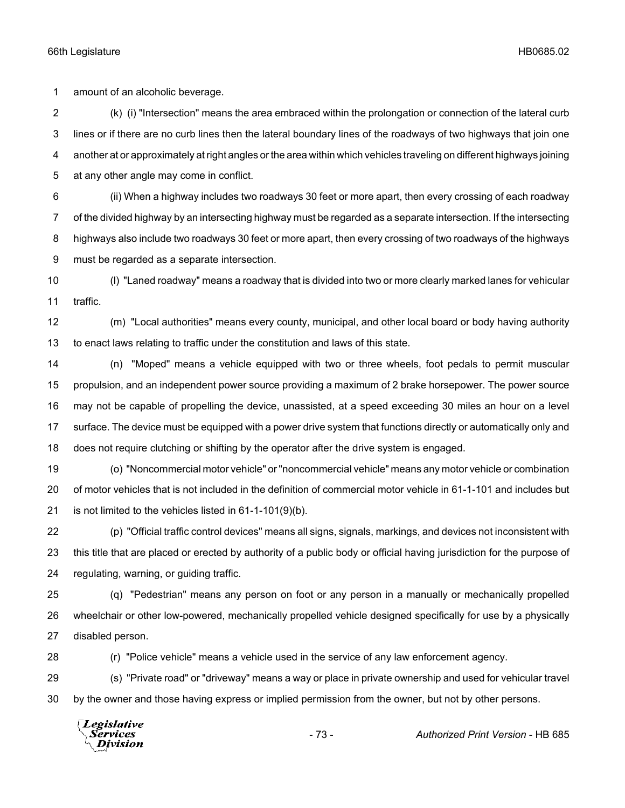amount of an alcoholic beverage.

 (k) (i) "Intersection" means the area embraced within the prolongation or connection of the lateral curb lines or if there are no curb lines then the lateral boundary lines of the roadways of two highways that join one another at or approximately at right angles or the area within which vehicles traveling on different highways joining at any other angle may come in conflict.

 (ii) When a highway includes two roadways 30 feet or more apart, then every crossing of each roadway of the divided highway by an intersecting highway must be regarded as a separate intersection. If the intersecting highways also include two roadways 30 feet or more apart, then every crossing of two roadways of the highways must be regarded as a separate intersection.

 (l) "Laned roadway" means a roadway that is divided into two or more clearly marked lanes for vehicular traffic.

 (m) "Local authorities" means every county, municipal, and other local board or body having authority to enact laws relating to traffic under the constitution and laws of this state.

 (n) "Moped" means a vehicle equipped with two or three wheels, foot pedals to permit muscular propulsion, and an independent power source providing a maximum of 2 brake horsepower. The power source may not be capable of propelling the device, unassisted, at a speed exceeding 30 miles an hour on a level surface. The device must be equipped with a power drive system that functions directly or automatically only and does not require clutching or shifting by the operator after the drive system is engaged.

 (o) "Noncommercial motor vehicle" or "noncommercial vehicle" means any motor vehicle or combination of motor vehicles that is not included in the definition of commercial motor vehicle in 61-1-101 and includes but is not limited to the vehicles listed in 61-1-101(9)(b).

 (p) "Official traffic control devices" means all signs, signals, markings, and devices not inconsistent with this title that are placed or erected by authority of a public body or official having jurisdiction for the purpose of regulating, warning, or guiding traffic.

 (q) "Pedestrian" means any person on foot or any person in a manually or mechanically propelled wheelchair or other low-powered, mechanically propelled vehicle designed specifically for use by a physically disabled person.

(r) "Police vehicle" means a vehicle used in the service of any law enforcement agency.

 (s) "Private road" or "driveway" means a way or place in private ownership and used for vehicular travel by the owner and those having express or implied permission from the owner, but not by other persons.

Legislative Services Division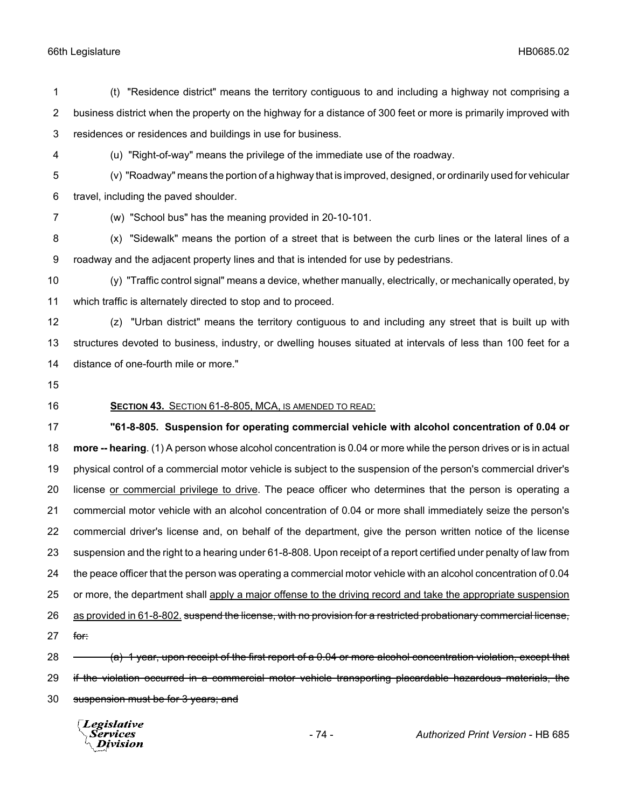#### 66th Legislature HB0685.02

 (t) "Residence district" means the territory contiguous to and including a highway not comprising a business district when the property on the highway for a distance of 300 feet or more is primarily improved with residences or residences and buildings in use for business. (u) "Right-of-way" means the privilege of the immediate use of the roadway. (v) "Roadway" means the portion of a highway that is improved, designed, or ordinarily used for vehicular travel, including the paved shoulder. (w) "School bus" has the meaning provided in 20-10-101. (x) "Sidewalk" means the portion of a street that is between the curb lines or the lateral lines of a roadway and the adjacent property lines and that is intended for use by pedestrians. (y) "Traffic control signal" means a device, whether manually, electrically, or mechanically operated, by which traffic is alternately directed to stop and to proceed. (z) "Urban district" means the territory contiguous to and including any street that is built up with structures devoted to business, industry, or dwelling houses situated at intervals of less than 100 feet for a distance of one-fourth mile or more." **SECTION 43.** SECTION 61-8-805, MCA, IS AMENDED TO READ: **"61-8-805. Suspension for operating commercial vehicle with alcohol concentration of 0.04 or more -- hearing**. (1) A person whose alcohol concentration is 0.04 or more while the person drives or is in actual physical control of a commercial motor vehicle is subject to the suspension of the person's commercial driver's license or commercial privilege to drive. The peace officer who determines that the person is operating a commercial motor vehicle with an alcohol concentration of 0.04 or more shall immediately seize the person's commercial driver's license and, on behalf of the department, give the person written notice of the license suspension and the right to a hearing under 61-8-808. Upon receipt of a report certified under penalty of law from the peace officer that the person was operating a commercial motor vehicle with an alcohol concentration of 0.04 or more, the department shall apply a major offense to the driving record and take the appropriate suspension 26 as provided in 61-8-802, suspend the license, with no provision for a restricted probationary commercial license, for: 28 (a) 1 year, upon receipt of the first report of a 0.04 or more alcohol concentration violation, except that 29 if the violation occurred in a commercial motor vehicle transporting placardable hazardous materials, the suspension must be for 3 years; and Legislative Services - 74 - *Authorized Print Version* - HB 685Division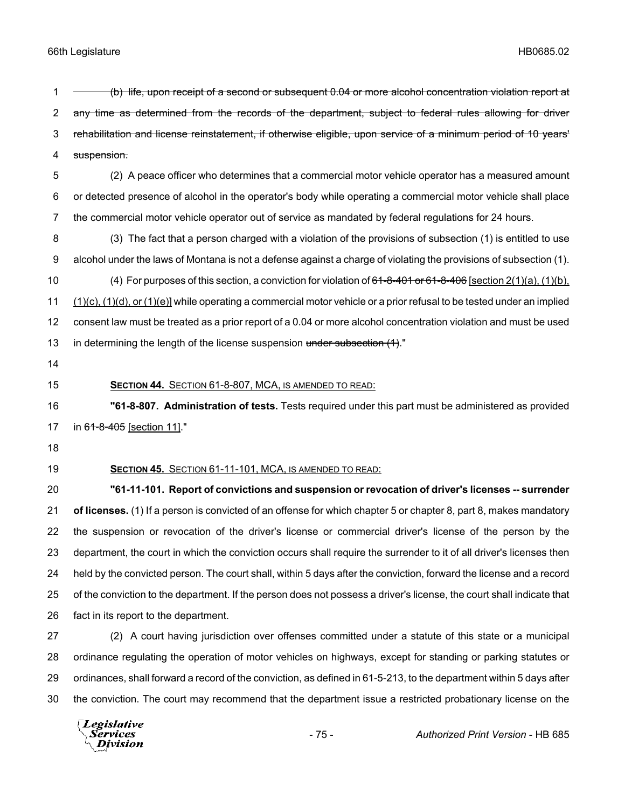1 - (b) life, upon receipt of a second or subsequent 0.04 or more alcohol concentration violation report at 2 any time as determined from the records of the department, subject to federal rules allowing for driver rehabilitation and license reinstatement, if otherwise eligible, upon service of a minimum period of 10 years' suspension. (2) A peace officer who determines that a commercial motor vehicle operator has a measured amount or detected presence of alcohol in the operator's body while operating a commercial motor vehicle shall place the commercial motor vehicle operator out of service as mandated by federal regulations for 24 hours. (3) The fact that a person charged with a violation of the provisions of subsection (1) is entitled to use alcohol under the laws of Montana is not a defense against a charge of violating the provisions of subsection (1). 10 (4) For purposes of this section, a conviction for violation of  $61-8-401$  or  $61-8-406$  [section 2(1)(a), (1)(b), (1)(c), (1)(d), or (1)(e)] while operating a commercial motor vehicle or a prior refusal to be tested under an implied consent law must be treated as a prior report of a 0.04 or more alcohol concentration violation and must be used 13 in determining the length of the license suspension under subsection (1)." **SECTION 44.** SECTION 61-8-807, MCA, IS AMENDED TO READ:

 **"61-8-807. Administration of tests.** Tests required under this part must be administered as provided 17 in 61-8-405 [section 11]."

- 
- 

#### **SECTION 45.** SECTION 61-11-101, MCA, IS AMENDED TO READ:

 **"61-11-101. Report of convictions and suspension or revocation of driver's licenses -- surrender of licenses.** (1) If a person is convicted of an offense for which chapter 5 or chapter 8, part 8, makes mandatory the suspension or revocation of the driver's license or commercial driver's license of the person by the department, the court in which the conviction occurs shall require the surrender to it of all driver's licenses then held by the convicted person. The court shall, within 5 days after the conviction, forward the license and a record of the conviction to the department. If the person does not possess a driver's license, the court shall indicate that fact in its report to the department.

 (2) A court having jurisdiction over offenses committed under a statute of this state or a municipal ordinance regulating the operation of motor vehicles on highways, except for standing or parking statutes or ordinances, shall forward a record of the conviction, as defined in 61-5-213, to the department within 5 days after the conviction. The court may recommend that the department issue a restricted probationary license on the

Legislative *Services* **Division**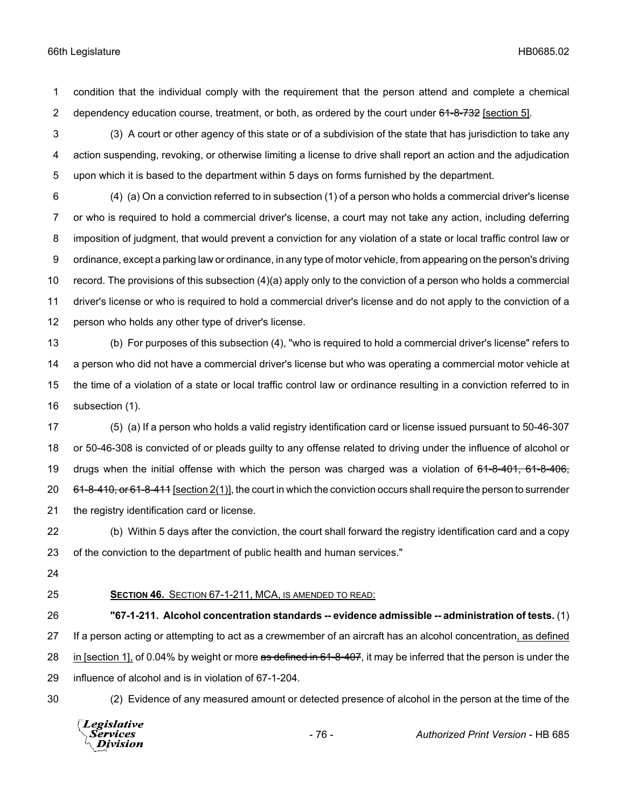condition that the individual comply with the requirement that the person attend and complete a chemical 2 dependency education course, treatment, or both, as ordered by the court under 61-8-732 [section 5].

 (3) A court or other agency of this state or of a subdivision of the state that has jurisdiction to take any action suspending, revoking, or otherwise limiting a license to drive shall report an action and the adjudication upon which it is based to the department within 5 days on forms furnished by the department.

 (4) (a) On a conviction referred to in subsection (1) of a person who holds a commercial driver's license or who is required to hold a commercial driver's license, a court may not take any action, including deferring imposition of judgment, that would prevent a conviction for any violation of a state or local traffic control law or ordinance, except a parking law or ordinance, in any type of motor vehicle, from appearing on the person's driving record. The provisions of this subsection (4)(a) apply only to the conviction of a person who holds a commercial driver's license or who is required to hold a commercial driver's license and do not apply to the conviction of a person who holds any other type of driver's license.

 (b) For purposes of this subsection (4), "who is required to hold a commercial driver's license" refers to a person who did not have a commercial driver's license but who was operating a commercial motor vehicle at the time of a violation of a state or local traffic control law or ordinance resulting in a conviction referred to in subsection (1).

 (5) (a) If a person who holds a valid registry identification card or license issued pursuant to 50-46-307 or 50-46-308 is convicted of or pleads guilty to any offense related to driving under the influence of alcohol or 19 drugs when the initial offense with which the person was charged was a violation of 61-8-401, 61-8-406,  $61-8-410$ , or  $61-8-411$  [section 2(1)], the court in which the conviction occurs shall require the person to surrender the registry identification card or license.

 (b) Within 5 days after the conviction, the court shall forward the registry identification card and a copy of the conviction to the department of public health and human services."

- 
- 

**SECTION 46.** SECTION 67-1-211, MCA, IS AMENDED TO READ:

 **"67-1-211. Alcohol concentration standards -- evidence admissible -- administration of tests.** (1) If a person acting or attempting to act as a crewmember of an aircraft has an alcohol concentration, as defined 28 in [section 1], of 0.04% by weight or more as defined in 61-8-407, it may be inferred that the person is under the influence of alcohol and is in violation of 67-1-204.

(2) Evidence of any measured amount or detected presence of alcohol in the person at the time of the

Legislative *Services* **Division**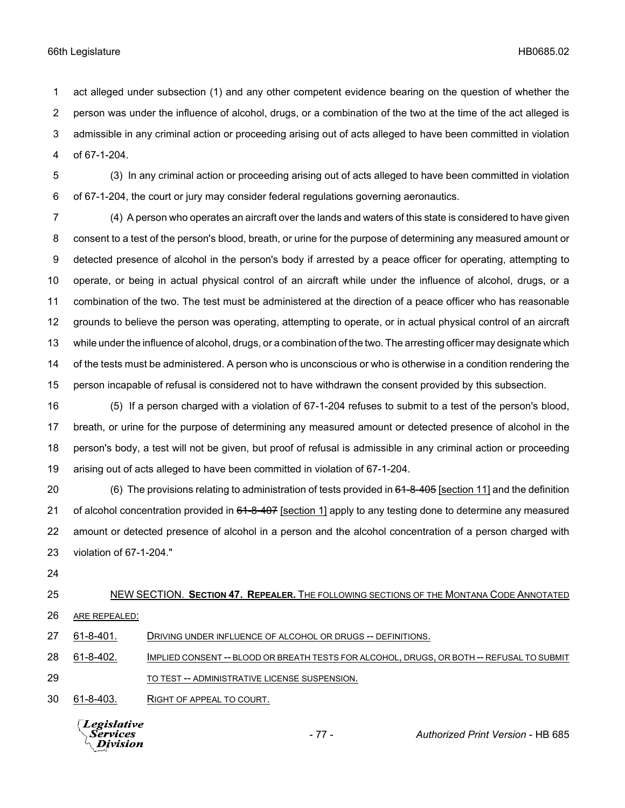act alleged under subsection (1) and any other competent evidence bearing on the question of whether the person was under the influence of alcohol, drugs, or a combination of the two at the time of the act alleged is admissible in any criminal action or proceeding arising out of acts alleged to have been committed in violation of 67-1-204.

 (3) In any criminal action or proceeding arising out of acts alleged to have been committed in violation of 67-1-204, the court or jury may consider federal regulations governing aeronautics.

 (4) A person who operates an aircraft over the lands and waters of this state is considered to have given consent to a test of the person's blood, breath, or urine for the purpose of determining any measured amount or detected presence of alcohol in the person's body if arrested by a peace officer for operating, attempting to operate, or being in actual physical control of an aircraft while under the influence of alcohol, drugs, or a combination of the two. The test must be administered at the direction of a peace officer who has reasonable grounds to believe the person was operating, attempting to operate, or in actual physical control of an aircraft while under the influence of alcohol, drugs, or a combination of the two. The arresting officer may designate which of the tests must be administered. A person who is unconscious or who is otherwise in a condition rendering the person incapable of refusal is considered not to have withdrawn the consent provided by this subsection.

 (5) If a person charged with a violation of 67-1-204 refuses to submit to a test of the person's blood, breath, or urine for the purpose of determining any measured amount or detected presence of alcohol in the person's body, a test will not be given, but proof of refusal is admissible in any criminal action or proceeding arising out of acts alleged to have been committed in violation of 67-1-204.

20 (6) The provisions relating to administration of tests provided in 64-8-405 [section 11] and the definition 21 of alcohol concentration provided in 61-8-407 [section 1] apply to any testing done to determine any measured amount or detected presence of alcohol in a person and the alcohol concentration of a person charged with violation of 67-1-204."

# NEW SECTION. **SECTION 47. REPEALER.** THE FOLLOWING SECTIONS OF THE MONTANA CODE ANNOTATED ARE REPEALED:

27 61-8-401. DRIVING UNDER INFLUENCE OF ALCOHOL OR DRUGS -- DEFINITIONS.

 61-8-402. IMPLIED CONSENT -- BLOOD OR BREATH TESTS FOR ALCOHOL, DRUGS, OR BOTH -- REFUSAL TO SUBMIT 29 TO TEST -- ADMINISTRATIVE LICENSE SUSPENSION.

61-8-403. RIGHT OF APPEAL TO COURT.

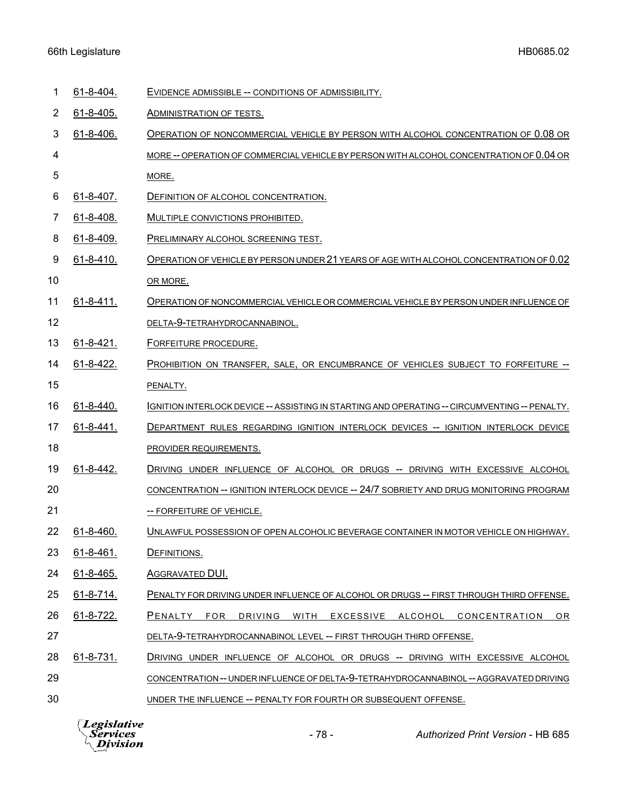## 66th Legislature HB0685.02

| 1  | 61-8-404.        | EVIDENCE ADMISSIBLE -- CONDITIONS OF ADMISSIBILITY.                                           |
|----|------------------|-----------------------------------------------------------------------------------------------|
| 2  | $61 - 8 - 405.$  | <b>ADMINISTRATION OF TESTS.</b>                                                               |
| 3  | 61-8-406.        | OPERATION OF NONCOMMERCIAL VEHICLE BY PERSON WITH ALCOHOL CONCENTRATION OF 0.08 OR            |
| 4  |                  | MORE-- OPERATION OF COMMERCIAL VEHICLE BY PERSON WITH ALCOHOL CONCENTRATION OF 0.04 OR        |
| 5  |                  | MORE.                                                                                         |
| 6  | 61-8-407.        | DEFINITION OF ALCOHOL CONCENTRATION.                                                          |
| 7  | 61-8-408.        | MULTIPLE CONVICTIONS PROHIBITED.                                                              |
| 8  | 61-8-409.        | PRELIMINARY ALCOHOL SCREENING TEST.                                                           |
| 9  | $61 - 8 - 410$ . | OPERATION OF VEHICLE BY PERSON UNDER 21 YEARS OF AGE WITH ALCOHOL CONCENTRATION OF 0.02       |
| 10 |                  | OR MORE.                                                                                      |
| 11 | $61 - 8 - 411$ . | OPERATION OF NONCOMMERCIAL VEHICLE OR COMMERCIAL VEHICLE BY PERSON UNDER INFLUENCE OF         |
| 12 |                  | DELTA-9-TETRAHYDROCANNABINOL.                                                                 |
| 13 | $61 - 8 - 421$ . | <b>FORFEITURE PROCEDURE.</b>                                                                  |
| 14 | 61-8-422.        | PROHIBITION ON TRANSFER, SALE, OR ENCUMBRANCE OF VEHICLES SUBJECT TO FORFEITURE --            |
| 15 |                  | PENALTY.                                                                                      |
| 16 | 61-8-440.        | IGNITION INTERLOCK DEVICE -- ASSISTING IN STARTING AND OPERATING -- CIRCUMVENTING -- PENALTY. |
| 17 | $61 - 8 - 441.$  | DEPARTMENT RULES REGARDING IGNITION INTERLOCK DEVICES -- IGNITION INTERLOCK DEVICE            |
| 18 |                  | PROVIDER REQUIREMENTS.                                                                        |
| 19 | 61-8-442.        | DRIVING UNDER INFLUENCE OF ALCOHOL OR DRUGS -- DRIVING WITH EXCESSIVE ALCOHOL                 |
| 20 |                  | CONCENTRATION -- IGNITION INTERLOCK DEVICE -- 24/7 SOBRIETY AND DRUG MONITORING PROGRAM       |
| 21 |                  | -- FORFEITURE OF VEHICLE.                                                                     |
| 22 | 61-8-460.        | UNLAWFUL POSSESSION OF OPEN ALCOHOLIC BEVERAGE CONTAINER IN MOTOR VEHICLE ON HIGHWAY.         |
| 23 | 61-8-461.        | DEFINITIONS.                                                                                  |
| 24 | 61-8-465.        | AGGRAVATED DUI.                                                                               |
| 25 | 61-8-714.        | PENALTY FOR DRIVING UNDER INFLUENCE OF ALCOHOL OR DRUGS -- FIRST THROUGH THIRD OFFENSE.       |
| 26 | $61 - 8 - 722$ . | PENALTY FOR DRIVING WITH EXCESSIVE ALCOHOL CONCENTRATION<br>OR.                               |
| 27 |                  | DELTA-9-TETRAHYDROCANNABINOL LEVEL -- FIRST THROUGH THIRD OFFENSE.                            |
| 28 | 61-8-731.        | DRIVING UNDER INFLUENCE OF ALCOHOL OR DRUGS -- DRIVING WITH EXCESSIVE ALCOHOL                 |
| 29 |                  | CONCENTRATION -- UNDER INFLUENCE OF DELTA-9-TETRAHYDROCANNABINOL -- AGGRAVATED DRIVING        |
| 30 |                  | UNDER THE INFLUENCE -- PENALTY FOR FOURTH OR SUBSEQUENT OFFENSE.                              |

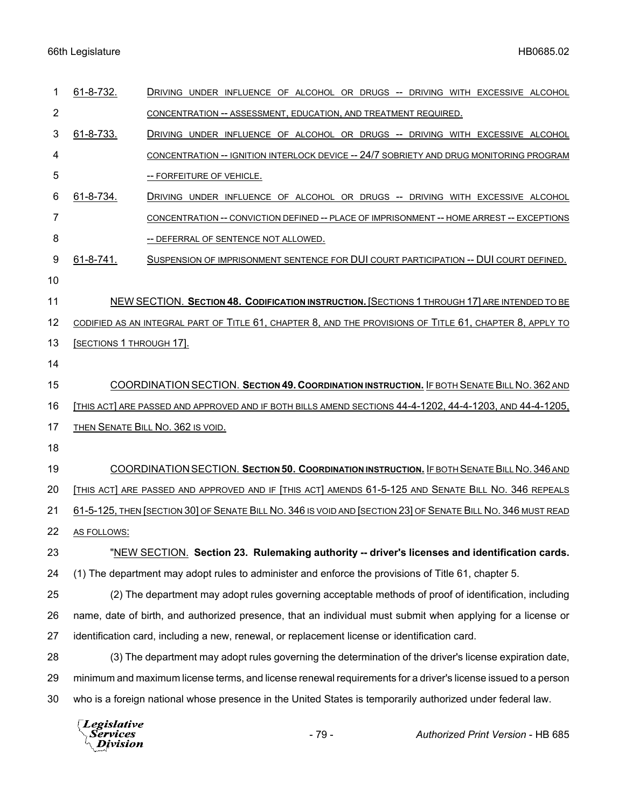## 66th Legislature HB0685.02

| 1              | 61-8-732.                                                                                                    | DRIVING UNDER INFLUENCE OF ALCOHOL OR DRUGS -- DRIVING WITH EXCESSIVE ALCOHOL                                 |  |
|----------------|--------------------------------------------------------------------------------------------------------------|---------------------------------------------------------------------------------------------------------------|--|
| $\overline{2}$ |                                                                                                              | CONCENTRATION -- ASSESSMENT, EDUCATION, AND TREATMENT REQUIRED.                                               |  |
| 3              | 61-8-733.                                                                                                    | DRIVING UNDER INFLUENCE OF ALCOHOL OR DRUGS -- DRIVING WITH EXCESSIVE ALCOHOL                                 |  |
| 4              |                                                                                                              | CONCENTRATION -- IGNITION INTERLOCK DEVICE -- 24/7 SOBRIETY AND DRUG MONITORING PROGRAM                       |  |
| 5              |                                                                                                              | -- FORFEITURE OF VEHICLE.                                                                                     |  |
| 6              | 61-8-734.                                                                                                    | DRIVING UNDER INFLUENCE OF ALCOHOL OR DRUGS -- DRIVING WITH EXCESSIVE ALCOHOL                                 |  |
| 7              |                                                                                                              | CONCENTRATION -- CONVICTION DEFINED -- PLACE OF IMPRISONMENT -- HOME ARREST -- EXCEPTIONS                     |  |
| 8              |                                                                                                              | -- DEFERRAL OF SENTENCE NOT ALLOWED.                                                                          |  |
| 9              | 61-8-741.                                                                                                    | SUSPENSION OF IMPRISONMENT SENTENCE FOR DUI COURT PARTICIPATION -- DUI COURT DEFINED.                         |  |
| 10             |                                                                                                              |                                                                                                               |  |
| 11             |                                                                                                              | NEW SECTION. SECTION 48. CODIFICATION INSTRUCTION. [SECTIONS 1 THROUGH 17] ARE INTENDED TO BE                 |  |
| 12             |                                                                                                              | CODIFIED AS AN INTEGRAL PART OF TITLE 61, CHAPTER 8, AND THE PROVISIONS OF TITLE 61, CHAPTER 8, APPLY TO      |  |
| 13             | <b>SECTIONS 1 THROUGH 17].</b>                                                                               |                                                                                                               |  |
| 14             |                                                                                                              |                                                                                                               |  |
| 15             | COORDINATION SECTION. SECTION 49. COORDINATION INSTRUCTION. IF BOTH SENATE BILL NO. 362 AND                  |                                                                                                               |  |
| 16             |                                                                                                              | THIS ACT] ARE PASSED AND APPROVED AND IF BOTH BILLS AMEND SECTIONS 44-4-1202, 44-4-1203, AND 44-4-1205,       |  |
| 17             | THEN SENATE BILL NO. 362 IS VOID.                                                                            |                                                                                                               |  |
| 18             |                                                                                                              |                                                                                                               |  |
| 19             | COORDINATION SECTION. SECTION 50. COORDINATION INSTRUCTION. IF BOTH SENATE BILL NO. 346 AND                  |                                                                                                               |  |
| 20             | [THIS ACT] ARE PASSED AND APPROVED AND IF [THIS ACT] AMENDS 61-5-125 AND SENATE BILL NO. 346 REPEALS         |                                                                                                               |  |
| 21             | 61-5-125, THEN [SECTION 30] OF SENATE BILL NO. 346 IS VOID AND [SECTION 23] OF SENATE BILL NO. 346 MUST READ |                                                                                                               |  |
| 22             | AS FOLLOWS:                                                                                                  |                                                                                                               |  |
| 23             | "NEW SECTION. Section 23. Rulemaking authority -- driver's licenses and identification cards.                |                                                                                                               |  |
| 24             | (1) The department may adopt rules to administer and enforce the provisions of Title 61, chapter 5.          |                                                                                                               |  |
| 25             | (2) The department may adopt rules governing acceptable methods of proof of identification, including        |                                                                                                               |  |
| 26             | name, date of birth, and authorized presence, that an individual must submit when applying for a license or  |                                                                                                               |  |
| 27             | identification card, including a new, renewal, or replacement license or identification card.                |                                                                                                               |  |
| 28             | (3) The department may adopt rules governing the determination of the driver's license expiration date,      |                                                                                                               |  |
| 29             |                                                                                                              | minimum and maximum license terms, and license renewal requirements for a driver's license issued to a person |  |
| 30             |                                                                                                              | who is a foreign national whose presence in the United States is temporarily authorized under federal law.    |  |
|                |                                                                                                              |                                                                                                               |  |

*Legislative*<br>Services<br>*Division*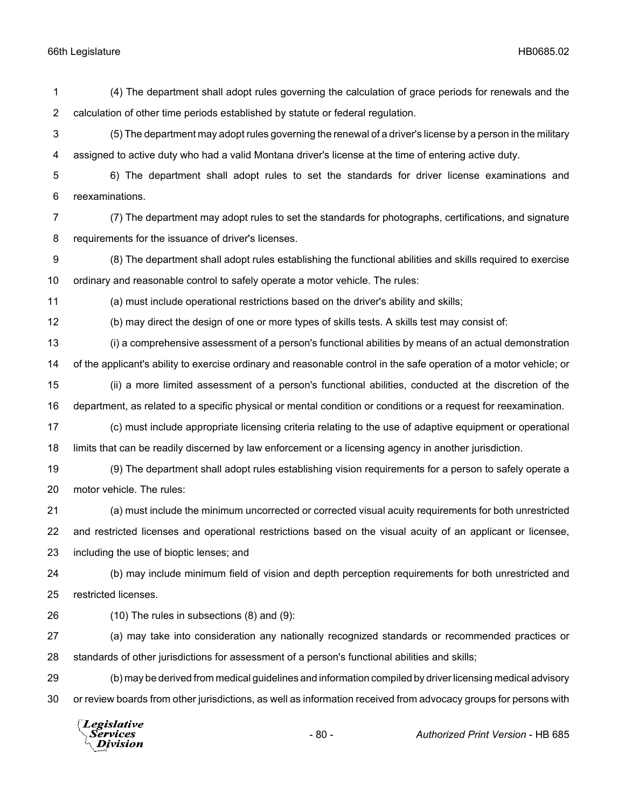(4) The department shall adopt rules governing the calculation of grace periods for renewals and the calculation of other time periods established by statute or federal regulation.

 (5) The department may adopt rules governing the renewal of a driver's license by a person in the military assigned to active duty who had a valid Montana driver's license at the time of entering active duty.

 6) The department shall adopt rules to set the standards for driver license examinations and reexaminations.

 (7) The department may adopt rules to set the standards for photographs, certifications, and signature requirements for the issuance of driver's licenses.

 (8) The department shall adopt rules establishing the functional abilities and skills required to exercise ordinary and reasonable control to safely operate a motor vehicle. The rules:

(a) must include operational restrictions based on the driver's ability and skills;

(b) may direct the design of one or more types of skills tests. A skills test may consist of:

 (i) a comprehensive assessment of a person's functional abilities by means of an actual demonstration of the applicant's ability to exercise ordinary and reasonable control in the safe operation of a motor vehicle; or (ii) a more limited assessment of a person's functional abilities, conducted at the discretion of the

department, as related to a specific physical or mental condition or conditions or a request for reexamination.

 (c) must include appropriate licensing criteria relating to the use of adaptive equipment or operational limits that can be readily discerned by law enforcement or a licensing agency in another jurisdiction.

 (9) The department shall adopt rules establishing vision requirements for a person to safely operate a motor vehicle. The rules:

 (a) must include the minimum uncorrected or corrected visual acuity requirements for both unrestricted and restricted licenses and operational restrictions based on the visual acuity of an applicant or licensee,

including the use of bioptic lenses; and

 (b) may include minimum field of vision and depth perception requirements for both unrestricted and restricted licenses.

(10) The rules in subsections (8) and (9):

 (a) may take into consideration any nationally recognized standards or recommended practices or standards of other jurisdictions for assessment of a person's functional abilities and skills;

 (b) may be derived from medical guidelines and information compiled by driver licensing medical advisory or review boards from other jurisdictions, as well as information received from advocacy groups for persons with

Legislative *Services* **Division**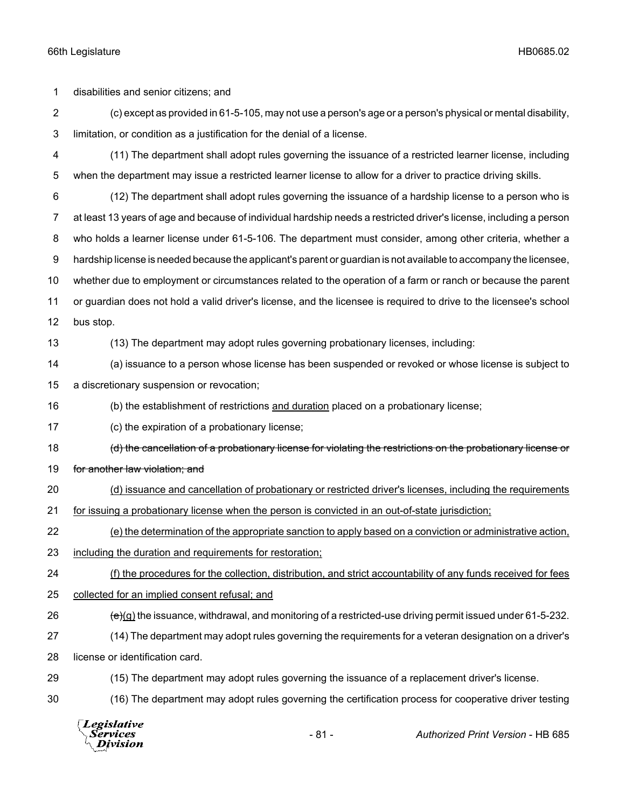disabilities and senior citizens; and (c) except as provided in 61-5-105, may not use a person's age or a person's physical or mental disability, limitation, or condition as a justification for the denial of a license. (11) The department shall adopt rules governing the issuance of a restricted learner license, including when the department may issue a restricted learner license to allow for a driver to practice driving skills. (12) The department shall adopt rules governing the issuance of a hardship license to a person who is at least 13 years of age and because of individual hardship needs a restricted driver's license, including a person who holds a learner license under 61-5-106. The department must consider, among other criteria, whether a hardship license is needed because the applicant's parent or guardian is not available to accompany the licensee, whether due to employment or circumstances related to the operation of a farm or ranch or because the parent or guardian does not hold a valid driver's license, and the licensee is required to drive to the licensee's school bus stop. (13) The department may adopt rules governing probationary licenses, including: (a) issuance to a person whose license has been suspended or revoked or whose license is subject to a discretionary suspension or revocation; (b) the establishment of restrictions and duration placed on a probationary license; (c) the expiration of a probationary license; 18 (d) the cancellation of a probationary license for violating the restrictions on the probationary license or 19 for another law violation; and (d) issuance and cancellation of probationary or restricted driver's licenses, including the requirements 21 for issuing a probationary license when the person is convicted in an out-of-state jurisdiction; (e) the determination of the appropriate sanction to apply based on a conviction or administrative action, including the duration and requirements for restoration; (f) the procedures for the collection, distribution, and strict accountability of any funds received for fees collected for an implied consent refusal; and  $\left(\frac{e}{c}\right)$  (g) the issuance, withdrawal, and monitoring of a restricted-use driving permit issued under 61-5-232. (14) The department may adopt rules governing the requirements for a veteran designation on a driver's license or identification card. (15) The department may adopt rules governing the issuance of a replacement driver's license. (16) The department may adopt rules governing the certification process for cooperative driver testing

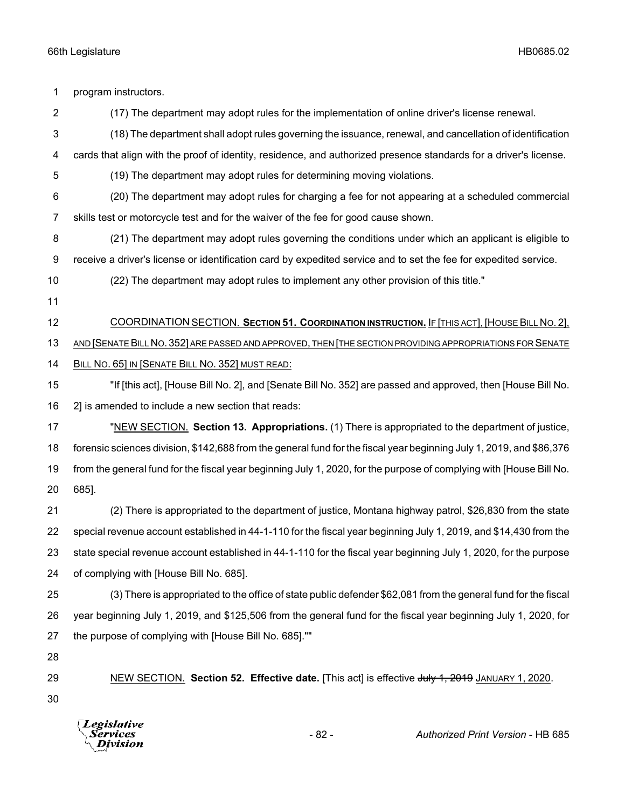| 1              | program instructors.                                                                                                 |  |  |
|----------------|----------------------------------------------------------------------------------------------------------------------|--|--|
| $\overline{2}$ | (17) The department may adopt rules for the implementation of online driver's license renewal.                       |  |  |
| 3              | (18) The department shall adopt rules governing the issuance, renewal, and cancellation of identification            |  |  |
| 4              | cards that align with the proof of identity, residence, and authorized presence standards for a driver's license.    |  |  |
| 5              | (19) The department may adopt rules for determining moving violations.                                               |  |  |
| 6              | (20) The department may adopt rules for charging a fee for not appearing at a scheduled commercial                   |  |  |
| 7              | skills test or motorcycle test and for the waiver of the fee for good cause shown.                                   |  |  |
| 8              | (21) The department may adopt rules governing the conditions under which an applicant is eligible to                 |  |  |
| 9              | receive a driver's license or identification card by expedited service and to set the fee for expedited service.     |  |  |
| 10             | (22) The department may adopt rules to implement any other provision of this title."                                 |  |  |
| 11             |                                                                                                                      |  |  |
| 12             | COORDINATION SECTION. SECTION 51. COORDINATION INSTRUCTION. IF [THIS ACT], [HOUSE BILL NO. 2],                       |  |  |
| 13             | AND [SENATE BILL NO. 352] ARE PASSED AND APPROVED, THEN [THE SECTION PROVIDING APPROPRIATIONS FOR SENATE             |  |  |
| 14             | BILL NO. 65] IN [SENATE BILL NO. 352] MUST READ:                                                                     |  |  |
| 15             | "If [this act], [House Bill No. 2], and [Senate Bill No. 352] are passed and approved, then [House Bill No.          |  |  |
| 16             | 2] is amended to include a new section that reads:                                                                   |  |  |
| 17             | "NEW SECTION. Section 13. Appropriations. (1) There is appropriated to the department of justice,                    |  |  |
| 18             | forensic sciences division, \$142,688 from the general fund for the fiscal year beginning July 1, 2019, and \$86,376 |  |  |
| 19             | from the general fund for the fiscal year beginning July 1, 2020, for the purpose of complying with [House Bill No.  |  |  |
| 20             | 685].                                                                                                                |  |  |
| 21             | (2) There is appropriated to the department of justice, Montana highway patrol, \$26,830 from the state              |  |  |
| 22             | special revenue account established in 44-1-110 for the fiscal year beginning July 1, 2019, and \$14,430 from the    |  |  |
| 23             | state special revenue account established in 44-1-110 for the fiscal year beginning July 1, 2020, for the purpose    |  |  |
| 24             | of complying with [House Bill No. 685].                                                                              |  |  |
| 25             | (3) There is appropriated to the office of state public defender \$62,081 from the general fund for the fiscal       |  |  |
| 26             | year beginning July 1, 2019, and \$125,506 from the general fund for the fiscal year beginning July 1, 2020, for     |  |  |
| 27             | the purpose of complying with [House Bill No. 685].""                                                                |  |  |
| 28             |                                                                                                                      |  |  |
| 29             | NEW SECTION. Section 52. Effective date. [This act] is effective July 1, 2019 JANUARY 1, 2020.                       |  |  |
| 30             |                                                                                                                      |  |  |
|                |                                                                                                                      |  |  |